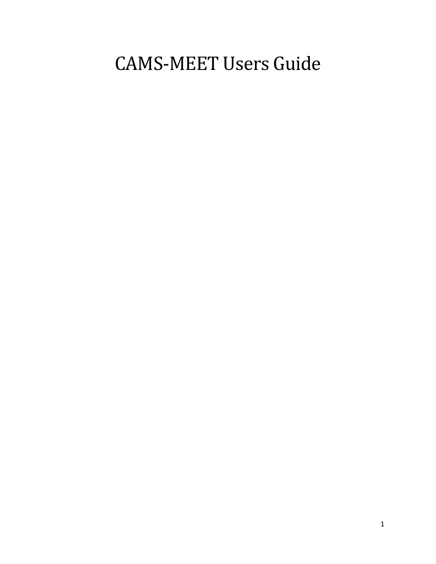# CAMS-MEET Users Guide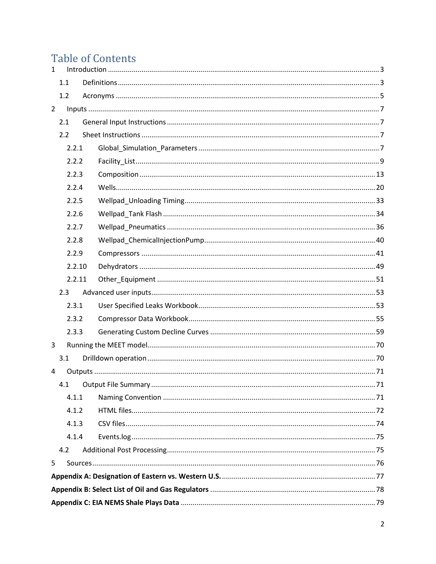## **Table of Contents**

| $\mathbf{1}$   |        |  |  |  |
|----------------|--------|--|--|--|
|                | 1.1    |  |  |  |
|                | 1.2    |  |  |  |
| $\overline{2}$ |        |  |  |  |
|                | 2.1    |  |  |  |
|                | 2.2    |  |  |  |
|                | 2.2.1  |  |  |  |
|                | 2.2.2  |  |  |  |
|                | 2.2.3  |  |  |  |
|                | 2.2.4  |  |  |  |
|                | 2.2.5  |  |  |  |
|                | 2.2.6  |  |  |  |
|                | 2.2.7  |  |  |  |
|                | 2.2.8  |  |  |  |
|                | 2.2.9  |  |  |  |
|                | 2.2.10 |  |  |  |
|                | 2.2.11 |  |  |  |
|                | 2.3    |  |  |  |
|                | 2.3.1  |  |  |  |
|                | 2.3.2  |  |  |  |
|                | 2.3.3  |  |  |  |
| 3              |        |  |  |  |
|                | 3.1    |  |  |  |
| 4              |        |  |  |  |
|                |        |  |  |  |
|                | 4.1.1  |  |  |  |
|                | 4.1.2  |  |  |  |
|                | 4.1.3  |  |  |  |
|                | 4.1.4  |  |  |  |
|                | 4.2    |  |  |  |
| 5              |        |  |  |  |
|                |        |  |  |  |
|                |        |  |  |  |
|                |        |  |  |  |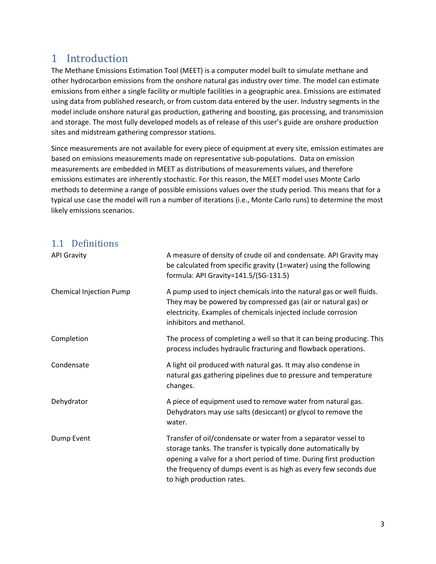## <span id="page-2-0"></span>1 Introduction

The Methane Emissions Estimation Tool (MEET) is a computer model built to simulate methane and other hydrocarbon emissions from the onshore natural gas industry over time. The model can estimate emissions from either a single facility or multiple facilities in a geographic area. Emissions are estimated using data from published research, or from custom data entered by the user. Industry segments in the model include onshore natural gas production, gathering and boosting, gas processing, and transmission and storage. The most fully developed models as of release of this user's guide are onshore production sites and midstream gathering compressor stations.

Since measurements are not available for every piece of equipment at every site, emission estimates are based on emissions measurements made on representative sub-populations. Data on emission measurements are embedded in MEET as distributions of measurements values, and therefore emissions estimates are inherently stochastic. For this reason, the MEET model uses Monte Carlo methods to determine a range of possible emissions values over the study period. This means that for a typical use case the model will run a number of iterations (i.e., Monte Carlo runs) to determine the most likely emissions scenarios.

## <span id="page-2-1"></span>1.1 Definitions

| <b>API Gravity</b>             | A measure of density of crude oil and condensate. API Gravity may<br>be calculated from specific gravity (1=water) using the following<br>formula: API Gravity=141.5/(SG-131.5)                                                                                                                          |  |
|--------------------------------|----------------------------------------------------------------------------------------------------------------------------------------------------------------------------------------------------------------------------------------------------------------------------------------------------------|--|
| <b>Chemical Injection Pump</b> | A pump used to inject chemicals into the natural gas or well fluids.<br>They may be powered by compressed gas (air or natural gas) or<br>electricity. Examples of chemicals injected include corrosion<br>inhibitors and methanol.                                                                       |  |
| Completion                     | The process of completing a well so that it can being producing. This<br>process includes hydraulic fracturing and flowback operations.                                                                                                                                                                  |  |
| Condensate                     | A light oil produced with natural gas. It may also condense in<br>natural gas gathering pipelines due to pressure and temperature<br>changes.                                                                                                                                                            |  |
| Dehydrator                     | A piece of equipment used to remove water from natural gas.<br>Dehydrators may use salts (desiccant) or glycol to remove the<br>water.                                                                                                                                                                   |  |
| Dump Event                     | Transfer of oil/condensate or water from a separator vessel to<br>storage tanks. The transfer is typically done automatically by<br>opening a valve for a short period of time. During first production<br>the frequency of dumps event is as high as every few seconds due<br>to high production rates. |  |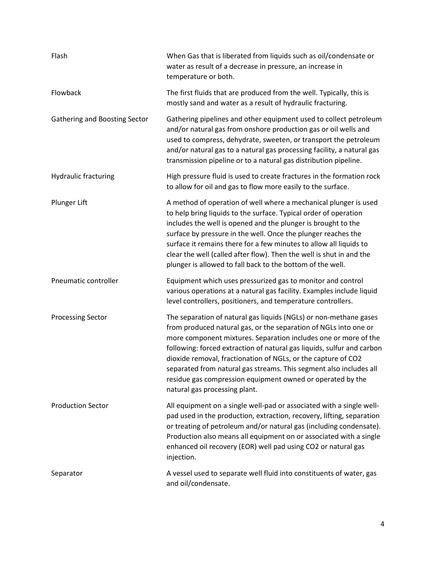| Flash                         | When Gas that is liberated from liquids such as oil/condensate or<br>water as result of a decrease in pressure, an increase in<br>temperature or both.                                                                                                                                                                                                                                                                                                                                                                   |  |
|-------------------------------|--------------------------------------------------------------------------------------------------------------------------------------------------------------------------------------------------------------------------------------------------------------------------------------------------------------------------------------------------------------------------------------------------------------------------------------------------------------------------------------------------------------------------|--|
| Flowback                      | The first fluids that are produced from the well. Typically, this is<br>mostly sand and water as a result of hydraulic fracturing.                                                                                                                                                                                                                                                                                                                                                                                       |  |
| Gathering and Boosting Sector | Gathering pipelines and other equipment used to collect petroleum<br>and/or natural gas from onshore production gas or oil wells and<br>used to compress, dehydrate, sweeten, or transport the petroleum<br>and/or natural gas to a natural gas processing facility, a natural gas<br>transmission pipeline or to a natural gas distribution pipeline.                                                                                                                                                                   |  |
| <b>Hydraulic fracturing</b>   | High pressure fluid is used to create fractures in the formation rock<br>to allow for oil and gas to flow more easily to the surface.                                                                                                                                                                                                                                                                                                                                                                                    |  |
| Plunger Lift                  | A method of operation of well where a mechanical plunger is used<br>to help bring liquids to the surface. Typical order of operation<br>includes the well is opened and the plunger is brought to the<br>surface by pressure in the well. Once the plunger reaches the<br>surface it remains there for a few minutes to allow all liquids to<br>clear the well (called after flow). Then the well is shut in and the<br>plunger is allowed to fall back to the bottom of the well.                                       |  |
| Pneumatic controller          | Equipment which uses pressurized gas to monitor and control<br>various operations at a natural gas facility. Examples include liquid<br>level controllers, positioners, and temperature controllers.                                                                                                                                                                                                                                                                                                                     |  |
| <b>Processing Sector</b>      | The separation of natural gas liquids (NGLs) or non-methane gases<br>from produced natural gas, or the separation of NGLs into one or<br>more component mixtures. Separation includes one or more of the<br>following: forced extraction of natural gas liquids, sulfur and carbon<br>dioxide removal, fractionation of NGLs, or the capture of CO2<br>separated from natural gas streams. This segment also includes all<br>residue gas compression equipment owned or operated by the<br>natural gas processing plant. |  |
| <b>Production Sector</b>      | All equipment on a single well-pad or associated with a single well-<br>pad used in the production, extraction, recovery, lifting, separation<br>or treating of petroleum and/or natural gas (including condensate).<br>Production also means all equipment on or associated with a single<br>enhanced oil recovery (EOR) well pad using CO2 or natural gas<br>injection.                                                                                                                                                |  |
| Separator                     | A vessel used to separate well fluid into constituents of water, gas<br>and oil/condensate.                                                                                                                                                                                                                                                                                                                                                                                                                              |  |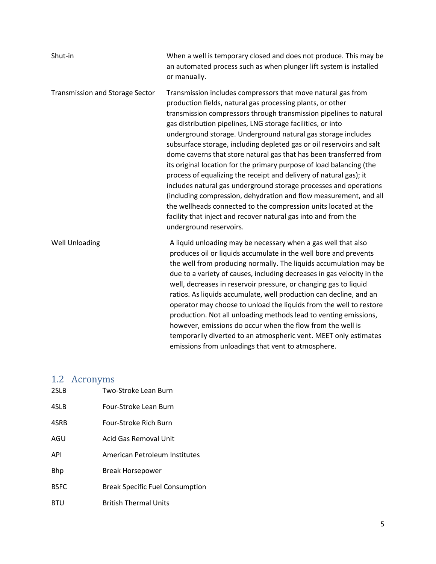| Shut-in                         | When a well is temporary closed and does not produce. This may be<br>an automated process such as when plunger lift system is installed<br>or manually.                                                                                                                                                                                                                                                                                                                                                                                                                                                                                                                                                                                                                                                                                                                                                                                 |
|---------------------------------|-----------------------------------------------------------------------------------------------------------------------------------------------------------------------------------------------------------------------------------------------------------------------------------------------------------------------------------------------------------------------------------------------------------------------------------------------------------------------------------------------------------------------------------------------------------------------------------------------------------------------------------------------------------------------------------------------------------------------------------------------------------------------------------------------------------------------------------------------------------------------------------------------------------------------------------------|
| Transmission and Storage Sector | Transmission includes compressors that move natural gas from<br>production fields, natural gas processing plants, or other<br>transmission compressors through transmission pipelines to natural<br>gas distribution pipelines, LNG storage facilities, or into<br>underground storage. Underground natural gas storage includes<br>subsurface storage, including depleted gas or oil reservoirs and salt<br>dome caverns that store natural gas that has been transferred from<br>its original location for the primary purpose of load balancing (the<br>process of equalizing the receipt and delivery of natural gas); it<br>includes natural gas underground storage processes and operations<br>(including compression, dehydration and flow measurement, and all<br>the wellheads connected to the compression units located at the<br>facility that inject and recover natural gas into and from the<br>underground reservoirs. |
| <b>Well Unloading</b>           | A liquid unloading may be necessary when a gas well that also<br>produces oil or liquids accumulate in the well bore and prevents<br>the well from producing normally. The liquids accumulation may be<br>due to a variety of causes, including decreases in gas velocity in the<br>well, decreases in reservoir pressure, or changing gas to liquid<br>ratios. As liquids accumulate, well production can decline, and an<br>operator may choose to unload the liquids from the well to restore<br>production. Not all unloading methods lead to venting emissions,<br>however, emissions do occur when the flow from the well is<br>temporarily diverted to an atmospheric vent. MEET only estimates<br>emissions from unloadings that vent to atmosphere.                                                                                                                                                                            |

## <span id="page-4-0"></span>1.2 Acronyms

| 2SLB        | Two-Stroke Lean Burn                   |
|-------------|----------------------------------------|
| 4SLB        | Four-Stroke Lean Burn                  |
| 4SRB        | Four-Stroke Rich Burn                  |
| AGU         | Acid Gas Removal Unit                  |
| <b>API</b>  | American Petroleum Institutes          |
| <b>Bhp</b>  | Break Horsepower                       |
| <b>BSEC</b> | <b>Break Specific Fuel Consumption</b> |
| <b>BTU</b>  | <b>British Thermal Units</b>           |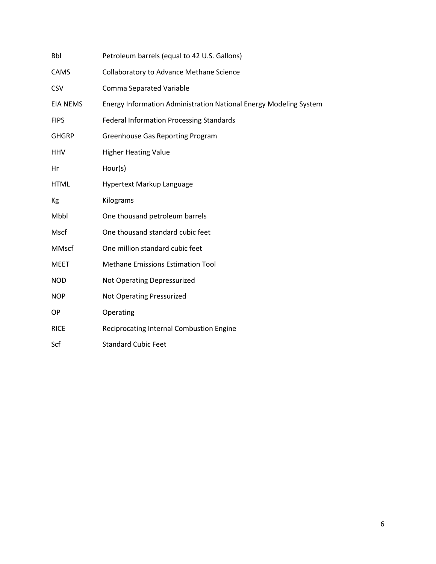| Bbl             | Petroleum barrels (equal to 42 U.S. Gallons)                      |
|-----------------|-------------------------------------------------------------------|
| CAMS            | Collaboratory to Advance Methane Science                          |
| <b>CSV</b>      | <b>Comma Separated Variable</b>                                   |
| <b>EIA NEMS</b> | Energy Information Administration National Energy Modeling System |
| <b>FIPS</b>     | <b>Federal Information Processing Standards</b>                   |
| <b>GHGRP</b>    | <b>Greenhouse Gas Reporting Program</b>                           |
| <b>HHV</b>      | <b>Higher Heating Value</b>                                       |
| Hr              | Hour(s)                                                           |
| <b>HTML</b>     | Hypertext Markup Language                                         |
| Kg              | Kilograms                                                         |
| Mbbl            | One thousand petroleum barrels                                    |
| Mscf            | One thousand standard cubic feet                                  |
| <b>MMscf</b>    | One million standard cubic feet                                   |
| <b>MEET</b>     | <b>Methane Emissions Estimation Tool</b>                          |
| <b>NOD</b>      | Not Operating Depressurized                                       |
| <b>NOP</b>      | <b>Not Operating Pressurized</b>                                  |
| OP              | Operating                                                         |
| <b>RICE</b>     | <b>Reciprocating Internal Combustion Engine</b>                   |
| Scf             | <b>Standard Cubic Feet</b>                                        |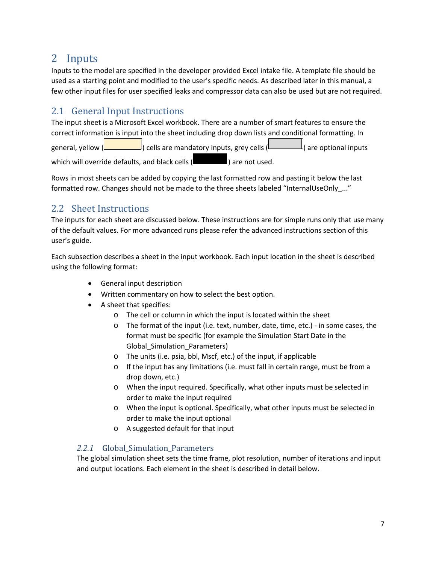## <span id="page-6-0"></span>2 Inputs

Inputs to the model are specified in the developer provided Excel intake file. A template file should be used as a starting point and modified to the user's specific needs. As described later in this manual, a few other input files for user specified leaks and compressor data can also be used but are not required.

## <span id="page-6-1"></span>2.1 General Input Instructions

The input sheet is a Microsoft Excel workbook. There are a number of smart features to ensure the correct information is input into the sheet including drop down lists and conditional formatting. In general, yellow  $\Box$ ) cells are mandatory inputs, grey cells  $\Box$ ) are optional inputs which will override defaults, and black cells (**in the same of used.**) are not used.

Rows in most sheets can be added by copying the last formatted row and pasting it below the last formatted row. Changes should not be made to the three sheets labeled "InternalUseOnly\_..."

## <span id="page-6-2"></span>2.2 Sheet Instructions

The inputs for each sheet are discussed below. These instructions are for simple runs only that use many of the default values. For more advanced runs please refer the advanced instructions section of this user's guide.

Each subsection describes a sheet in the input workbook. Each input location in the sheet is described using the following format:

- General input description
- Written commentary on how to select the best option.
- A sheet that specifies:
	- o The cell or column in which the input is located within the sheet
	- o The format of the input (i.e. text, number, date, time, etc.) in some cases, the format must be specific (for example the Simulation Start Date in the Global Simulation Parameters)
	- o The units (i.e. psia, bbl, Mscf, etc.) of the input, if applicable
	- o If the input has any limitations (i.e. must fall in certain range, must be from a drop down, etc.)
	- o When the input required. Specifically, what other inputs must be selected in order to make the input required
	- o When the input is optional. Specifically, what other inputs must be selected in order to make the input optional
	- o A suggested default for that input

## <span id="page-6-3"></span>2.2.1 Global Simulation Parameters

The global simulation sheet sets the time frame, plot resolution, number of iterations and input and output locations. Each element in the sheet is described in detail below.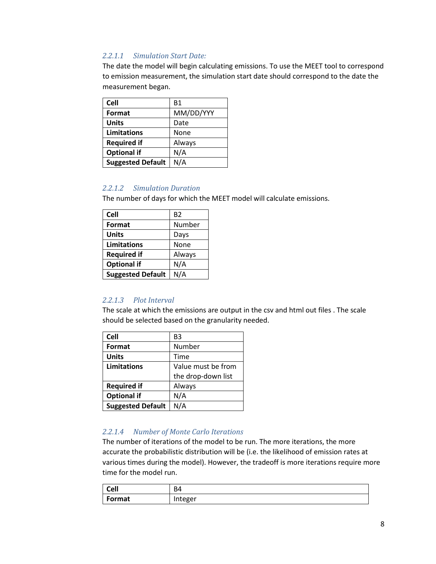## *2.2.1.1 Simulation Start Date:*

The date the model will begin calculating emissions. To use the MEET tool to correspond to emission measurement, the simulation start date should correspond to the date the measurement began.

| <b>Cell</b>              | <b>B1</b> |
|--------------------------|-----------|
| Format                   | MM/DD/YYY |
| <b>Units</b>             | Date      |
| Limitations              | None      |
| <b>Required if</b>       | Always    |
| <b>Optional if</b>       | N/A       |
| <b>Suggested Default</b> | N/A       |

## *2.2.1.2 Simulation Duration*

The number of days for which the MEET model will calculate emissions.

| <b>Cell</b>              | B <sub>2</sub> |
|--------------------------|----------------|
| Format                   | Number         |
| <b>Units</b>             | Days           |
| <b>Limitations</b>       | None           |
| <b>Required if</b>       | Always         |
| <b>Optional if</b>       | N/A            |
| <b>Suggested Default</b> | N/A            |

#### *2.2.1.3 Plot Interval*

The scale at which the emissions are output in the csv and html out files . The scale should be selected based on the granularity needed.

| Cell                     | B3                 |
|--------------------------|--------------------|
| Format                   | Number             |
| <b>Units</b>             | Time               |
| <b>Limitations</b>       | Value must be from |
|                          | the drop-down list |
| <b>Required if</b>       | Always             |
| <b>Optional if</b>       | N/A                |
| <b>Suggested Default</b> | N/A                |

#### *2.2.1.4 Number of Monte Carlo Iterations*

The number of iterations of the model to be run. The more iterations, the more accurate the probabilistic distribution will be (i.e. the likelihood of emission rates at various times during the model). However, the tradeoff is more iterations require more time for the model run.

| <b>Cell</b> | Β4      |
|-------------|---------|
| Format      | Integer |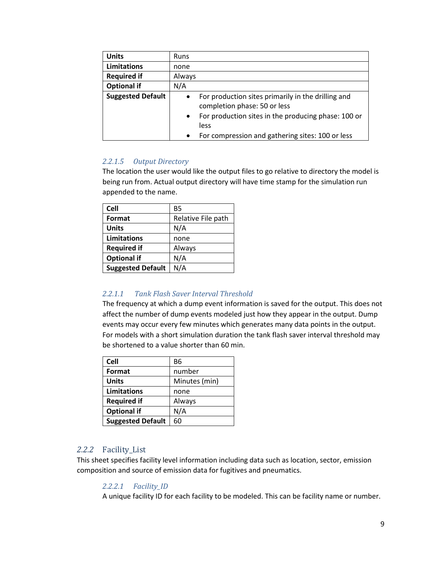| <b>Units</b>             | <b>Runs</b>                                                                                     |
|--------------------------|-------------------------------------------------------------------------------------------------|
| <b>Limitations</b>       | none                                                                                            |
| <b>Required if</b>       | Always                                                                                          |
| <b>Optional if</b>       | N/A                                                                                             |
| <b>Suggested Default</b> | For production sites primarily in the drilling and<br>$\bullet$<br>completion phase: 50 or less |
|                          | For production sites in the producing phase: 100 or<br>$\bullet$                                |
|                          | less                                                                                            |
|                          | For compression and gathering sites: 100 or less<br>$\bullet$                                   |

## *2.2.1.5 Output Directory*

The location the user would like the output files to go relative to directory the model is being run from. Actual output directory will have time stamp for the simulation run appended to the name.

| <b>Cell</b>              | <b>B5</b>          |
|--------------------------|--------------------|
| Format                   | Relative File path |
| <b>Units</b>             | N/A                |
| <b>Limitations</b>       | none               |
| <b>Required if</b>       | Always             |
| <b>Optional if</b>       | N/A                |
| <b>Suggested Default</b> | N/A                |
|                          |                    |

## *2.2.1.1 Tank Flash Saver Interval Threshold*

The frequency at which a dump event information is saved for the output. This does not affect the number of dump events modeled just how they appear in the output. Dump events may occur every few minutes which generates many data points in the output. For models with a short simulation duration the tank flash saver interval threshold may be shortened to a value shorter than 60 min.

| Cell                     | <b>B6</b>     |
|--------------------------|---------------|
| Format                   | number        |
| <b>Units</b>             | Minutes (min) |
| <b>Limitations</b>       | none          |
| <b>Required if</b>       | Always        |
| <b>Optional if</b>       | N/A           |
| <b>Suggested Default</b> | 60            |

## <span id="page-8-0"></span>*2.2.2* Facility\_List

<span id="page-8-1"></span>This sheet specifies facility level information including data such as location, sector, emission composition and source of emission data for fugitives and pneumatics.

## *2.2.2.1 Facility\_ID*

A unique facility ID for each facility to be modeled. This can be facility name or number.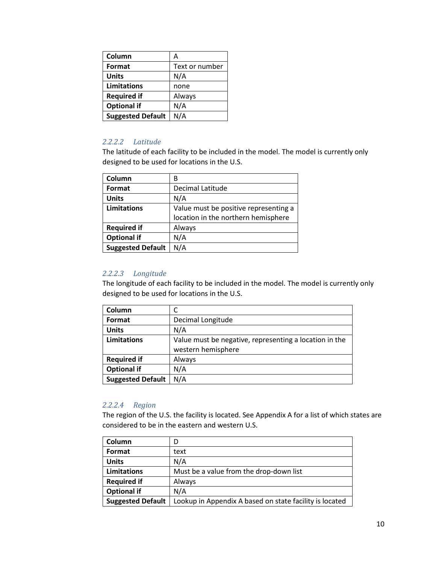| Column                   | А              |
|--------------------------|----------------|
| Format                   | Text or number |
| <b>Units</b>             | N/A            |
| <b>Limitations</b>       | none           |
| <b>Required if</b>       | Always         |
| <b>Optional if</b>       | N/A            |
| <b>Suggested Default</b> | N/A            |

#### *2.2.2.2 Latitude*

The latitude of each facility to be included in the model. The model is currently only designed to be used for locations in the U.S.

| Column                   | В                                     |
|--------------------------|---------------------------------------|
| Format                   | Decimal Latitude                      |
| <b>Units</b>             | N/A                                   |
| <b>Limitations</b>       | Value must be positive representing a |
|                          | location in the northern hemisphere   |
| <b>Required if</b>       | Always                                |
| <b>Optional if</b>       | N/A                                   |
| <b>Suggested Default</b> | N/A                                   |

#### *2.2.2.3 Longitude*

The longitude of each facility to be included in the model. The model is currently only designed to be used for locations in the U.S.

| Column                   |                                                        |
|--------------------------|--------------------------------------------------------|
| Format                   | Decimal Longitude                                      |
| <b>Units</b>             | N/A                                                    |
| <b>Limitations</b>       | Value must be negative, representing a location in the |
|                          | western hemisphere                                     |
| <b>Required if</b>       | Always                                                 |
| <b>Optional if</b>       | N/A                                                    |
| <b>Suggested Default</b> | N/A                                                    |

#### *2.2.2.4 Region*

The region of the U.S. the facility is located. See Appendix A for a list of which states are considered to be in the eastern and western U.S.

| Column                   | D                                                       |
|--------------------------|---------------------------------------------------------|
| Format                   | text                                                    |
| <b>Units</b>             | N/A                                                     |
| <b>Limitations</b>       | Must be a value from the drop-down list                 |
| <b>Required if</b>       | Always                                                  |
| <b>Optional if</b>       | N/A                                                     |
| <b>Suggested Default</b> | Lookup in Appendix A based on state facility is located |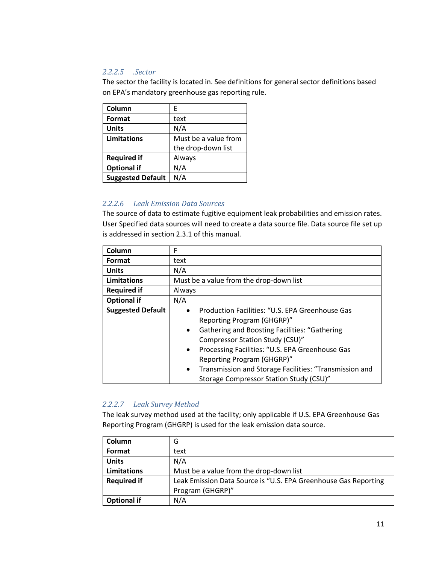## *2.2.2.5 .Sector*

The sector the facility is located in. See definitions for general sector definitions based on EPA's mandatory greenhouse gas reporting rule.

| Column                   | E                    |
|--------------------------|----------------------|
| Format                   | text                 |
| <b>Units</b>             | N/A                  |
| Limitations              | Must be a value from |
|                          | the drop-down list   |
| <b>Required if</b>       | Always               |
| <b>Optional if</b>       | N/A                  |
| <b>Suggested Default</b> | N/A                  |

## *2.2.2.6 Leak Emission Data Sources*

The source of data to estimate fugitive equipment leak probabilities and emission rates. User Specified data sources will need to create a data source file. Data source file set up is addressed in section [2.3.1](#page-52-1) of this manual.

| Column                   | F                                                                   |
|--------------------------|---------------------------------------------------------------------|
| Format                   | text                                                                |
| <b>Units</b>             | N/A                                                                 |
| Limitations              | Must be a value from the drop-down list                             |
| <b>Required if</b>       | Always                                                              |
| <b>Optional if</b>       | N/A                                                                 |
| <b>Suggested Default</b> | Production Facilities: "U.S. EPA Greenhouse Gas                     |
|                          | Reporting Program (GHGRP)"                                          |
|                          | <b>Gathering and Boosting Facilities: "Gathering</b><br>$\bullet$   |
|                          | Compressor Station Study (CSU)"                                     |
|                          | Processing Facilities: "U.S. EPA Greenhouse Gas<br>$\bullet$        |
|                          | Reporting Program (GHGRP)"                                          |
|                          | Transmission and Storage Facilities: "Transmission and<br>$\bullet$ |
|                          | Storage Compressor Station Study (CSU)"                             |

## *2.2.2.7 Leak Survey Method*

The leak survey method used at the facility; only applicable if U.S. EPA Greenhouse Gas Reporting Program (GHGRP) is used for the leak emission data source.

| Column             | G                                                               |
|--------------------|-----------------------------------------------------------------|
| Format             | text                                                            |
| <b>Units</b>       | N/A                                                             |
| Limitations        | Must be a value from the drop-down list                         |
| <b>Required if</b> | Leak Emission Data Source is "U.S. EPA Greenhouse Gas Reporting |
|                    | Program (GHGRP)"                                                |
| <b>Optional if</b> | N/A                                                             |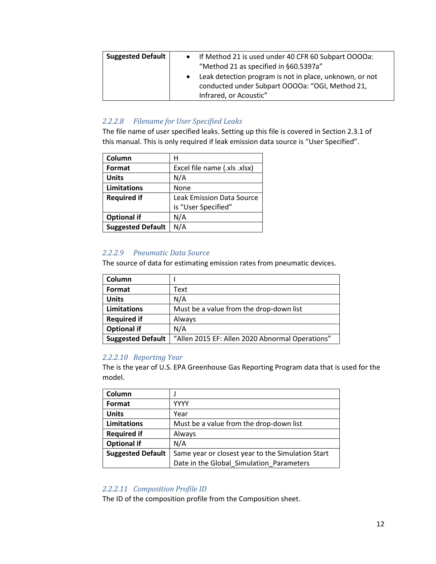| <b>Suggested Default</b> | • If Method 21 is used under 40 CFR 60 Subpart OOOOa:<br>"Method 21 as specified in §60.5397a"<br>Leak detection program is not in place, unknown, or not<br>conducted under Subpart OOOOa: "OGI, Method 21, |
|--------------------------|--------------------------------------------------------------------------------------------------------------------------------------------------------------------------------------------------------------|
|                          | Infrared, or Acoustic"                                                                                                                                                                                       |

## *2.2.2.8 Filename for User Specified Leaks*

The file name of user specified leaks. Setting up this file is covered in Section [2.3.1](#page-52-1) of this manual. This is only required if leak emission data source is "User Specified".

| Column                   | н                                |
|--------------------------|----------------------------------|
| Format                   | Excel file name (.xls .xlsx)     |
| <b>Units</b>             | N/A                              |
| <b>Limitations</b>       | None                             |
| <b>Required if</b>       | <b>Leak Emission Data Source</b> |
|                          | is "User Specified"              |
| <b>Optional if</b>       | N/A                              |
| <b>Suggested Default</b> | N/A                              |

## *2.2.2.9 Pneumatic Data Source*

The source of data for estimating emission rates from pneumatic devices.

| Column                   |                                                 |
|--------------------------|-------------------------------------------------|
| Format                   | Text                                            |
| <b>Units</b>             | N/A                                             |
| Limitations              | Must be a value from the drop-down list         |
| <b>Required if</b>       | Always                                          |
| <b>Optional if</b>       | N/A                                             |
| <b>Suggested Default</b> | "Allen 2015 EF: Allen 2020 Abnormal Operations" |

#### *2.2.2.10 Reporting Year*

The is the year of U.S. EPA Greenhouse Gas Reporting Program data that is used for the model.

| Column                   |                                                   |
|--------------------------|---------------------------------------------------|
| Format                   | YYYY                                              |
| <b>Units</b>             | Year                                              |
| <b>Limitations</b>       | Must be a value from the drop-down list           |
| <b>Required if</b>       | Always                                            |
| <b>Optional if</b>       | N/A                                               |
| <b>Suggested Default</b> | Same year or closest year to the Simulation Start |
|                          | Date in the Global Simulation Parameters          |

#### *2.2.2.11 Composition Profile ID*

The ID of the composition profile from the Composition sheet.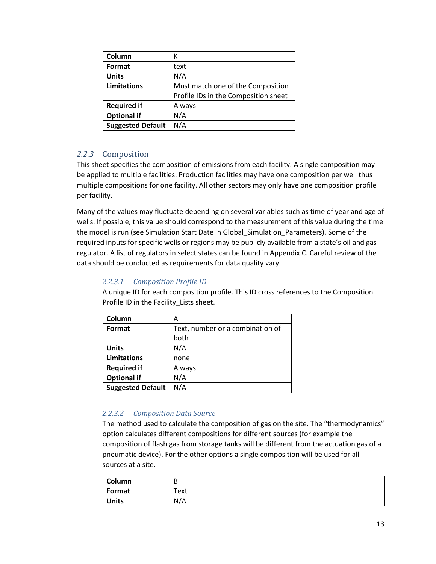| Column                   | К                                    |
|--------------------------|--------------------------------------|
| Format                   | text                                 |
| <b>Units</b>             | N/A                                  |
| <b>Limitations</b>       | Must match one of the Composition    |
|                          | Profile IDs in the Composition sheet |
| <b>Required if</b>       | Always                               |
| <b>Optional if</b>       | N/A                                  |
| <b>Suggested Default</b> | N/A                                  |

## <span id="page-12-0"></span>*2.2.3* Composition

This sheet specifies the composition of emissions from each facility. A single composition may be applied to multiple facilities. Production facilities may have one composition per well thus multiple compositions for one facility. All other sectors may only have one composition profile per facility.

Many of the values may fluctuate depending on several variables such as time of year and age of wells. If possible, this value should correspond to the measurement of this value during the time the model is run (see Simulation Start Date in Global\_Simulation\_Parameters). Some of the required inputs for specific wells or regions may be publicly available from a state's oil and gas regulator. A list of regulators in select states can be found in Appendix C. Careful review of the data should be conducted as requirements for data quality vary.

## *2.2.3.1 Composition Profile ID*

| Column                   | А                                |
|--------------------------|----------------------------------|
| Format                   | Text, number or a combination of |
|                          | both                             |
| <b>Units</b>             | N/A                              |
| <b>Limitations</b>       | none                             |
| <b>Required if</b>       | Always                           |
| <b>Optional if</b>       | N/A                              |
| <b>Suggested Default</b> | N/A                              |

A unique ID for each composition profile. This ID cross references to the Composition Profile ID in the Facility Lists sheet.

## *2.2.3.2 Composition Data Source*

The method used to calculate the composition of gas on the site. The "thermodynamics" option calculates different compositions for different sources (for example the composition of flash gas from storage tanks will be different from the actuation gas of a pneumatic device). For the other options a single composition will be used for all sources at a site.

| Column       | D    |
|--------------|------|
| Format       | Text |
| <b>Units</b> | N/A  |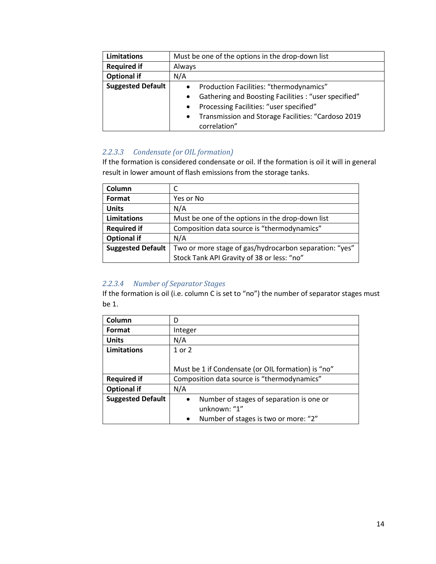| Limitations              | Must be one of the options in the drop-down list                  |
|--------------------------|-------------------------------------------------------------------|
| <b>Required if</b>       | Always                                                            |
| <b>Optional if</b>       | N/A                                                               |
| <b>Suggested Default</b> | Production Facilities: "thermodynamics"<br>$\bullet$              |
|                          | Gathering and Boosting Facilities : "user specified"<br>$\bullet$ |
|                          | Processing Facilities: "user specified"<br>$\bullet$              |
|                          | Transmission and Storage Facilities: "Cardoso 2019<br>$\bullet$   |
|                          | correlation"                                                      |

## *2.2.3.3 Condensate (or OIL formation)*

If the formation is considered condensate or oil. If the formation is oil it will in general result in lower amount of flash emissions from the storage tanks.

| Column                   |                                                        |
|--------------------------|--------------------------------------------------------|
| Format                   | Yes or No                                              |
| <b>Units</b>             | N/A                                                    |
| <b>Limitations</b>       | Must be one of the options in the drop-down list       |
| <b>Required if</b>       | Composition data source is "thermodynamics"            |
| <b>Optional if</b>       | N/A                                                    |
| <b>Suggested Default</b> | Two or more stage of gas/hydrocarbon separation: "yes" |
|                          | Stock Tank API Gravity of 38 or less: "no"             |

## *2.2.3.4 Number of Separator Stages*

If the formation is oil (i.e. column C is set to "no") the number of separator stages must be 1.

| Column                   | D                                                  |
|--------------------------|----------------------------------------------------|
| Format                   | Integer                                            |
| <b>Units</b>             | N/A                                                |
| <b>Limitations</b>       | 1 or 2                                             |
|                          |                                                    |
|                          | Must be 1 if Condensate (or OIL formation) is "no" |
| <b>Required if</b>       | Composition data source is "thermodynamics"        |
| <b>Optional if</b>       | N/A                                                |
| <b>Suggested Default</b> | Number of stages of separation is one or           |
|                          | unknown: "1"                                       |
|                          | Number of stages is two or more: "2"               |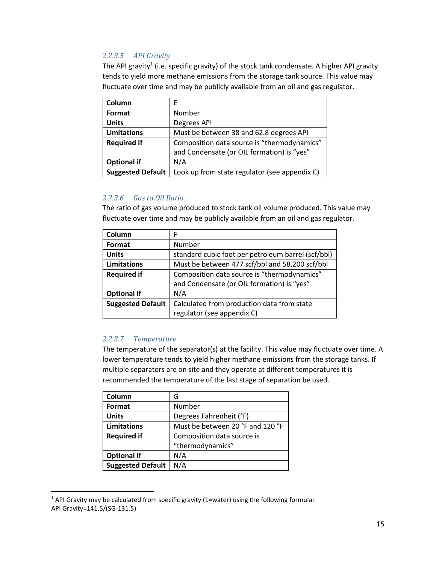## *2.2.3.5 API Gravity*

The API gravity<sup>[1](#page-14-0)</sup> (i.e. specific gravity) of the stock tank condensate. A higher API gravity tends to yield more methane emissions from the storage tank source. This value may fluctuate over time and may be publicly available from an oil and gas regulator.

| Column                   | F                                             |
|--------------------------|-----------------------------------------------|
| Format                   | Number                                        |
| <b>Units</b>             | Degrees API                                   |
| Limitations              | Must be between 38 and 62.8 degrees API       |
| <b>Required if</b>       | Composition data source is "thermodynamics"   |
|                          | and Condensate (or OIL formation) is "yes"    |
| <b>Optional if</b>       | N/A                                           |
| <b>Suggested Default</b> | Look up from state regulator (see appendix C) |

## *2.2.3.6 Gas to Oil Ratio*

The ratio of gas volume produced to stock tank oil volume produced. This value may fluctuate over time and may be publicly available from an oil and gas regulator.

| Column                   | F                                                  |
|--------------------------|----------------------------------------------------|
| Format                   | Number                                             |
| <b>Units</b>             | standard cubic foot per petroleum barrel (scf/bbl) |
| <b>Limitations</b>       | Must be between 477 scf/bbl and 58,200 scf/bbl     |
| <b>Required if</b>       | Composition data source is "thermodynamics"        |
|                          | and Condensate (or OIL formation) is "yes"         |
| <b>Optional if</b>       | N/A                                                |
| <b>Suggested Default</b> | Calculated from production data from state         |
|                          | regulator (see appendix C)                         |

## *2.2.3.7 Temperature*

The temperature of the separator(s) at the facility. This value may fluctuate over time. A lower temperature tends to yield higher methane emissions from the storage tanks. If multiple separators are on site and they operate at different temperatures it is recommended the temperature of the last stage of separation be used.

| Column                   | G                                |
|--------------------------|----------------------------------|
| Format                   | Number                           |
| <b>Units</b>             | Degrees Fahrenheit (°F)          |
| Limitations              | Must be between 20 °F and 120 °F |
| <b>Required if</b>       | Composition data source is       |
|                          | "thermodynamics"                 |
| <b>Optional if</b>       | N/A                              |
| <b>Suggested Default</b> | N/A                              |

<span id="page-14-0"></span> $1$  API Gravity may be calculated from specific gravity (1=water) using the following formula: API Gravity=141.5/(SG-131.5)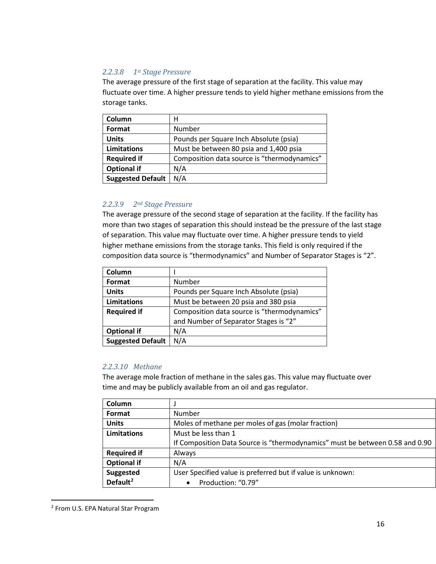## *2.2.3.8 1st Stage Pressure*

The average pressure of the first stage of separation at the facility. This value may fluctuate over time. A higher pressure tends to yield higher methane emissions from the storage tanks.

| Column                   | н                                           |
|--------------------------|---------------------------------------------|
| Format                   | Number                                      |
| <b>Units</b>             | Pounds per Square Inch Absolute (psia)      |
| Limitations              | Must be between 80 psia and 1,400 psia      |
| <b>Required if</b>       | Composition data source is "thermodynamics" |
| <b>Optional if</b>       | N/A                                         |
| <b>Suggested Default</b> | N/A                                         |

## *2.2.3.9 2nd Stage Pressure*

The average pressure of the second stage of separation at the facility. If the facility has more than two stages of separation this should instead be the pressure of the last stage of separation. This value may fluctuate over time. A higher pressure tends to yield higher methane emissions from the storage tanks. This field is only required if the composition data source is "thermodynamics" and Number of Separator Stages is "2".

| Column                   |                                             |
|--------------------------|---------------------------------------------|
| Format                   | Number                                      |
| <b>Units</b>             | Pounds per Square Inch Absolute (psia)      |
| <b>Limitations</b>       | Must be between 20 psia and 380 psia        |
| <b>Required if</b>       | Composition data source is "thermodynamics" |
|                          | and Number of Separator Stages is "2"       |
| <b>Optional if</b>       | N/A                                         |
| <b>Suggested Default</b> | N/A                                         |

#### *2.2.3.10 Methane*

The average mole fraction of methane in the sales gas. This value may fluctuate over time and may be publicly available from an oil and gas regulator.

| Column               |                                                                              |
|----------------------|------------------------------------------------------------------------------|
| Format               | Number                                                                       |
| <b>Units</b>         | Moles of methane per moles of gas (molar fraction)                           |
| Limitations          | Must be less than 1                                                          |
|                      | If Composition Data Source is "thermodynamics" must be between 0.58 and 0.90 |
| <b>Required if</b>   | Always                                                                       |
| <b>Optional if</b>   | N/A                                                                          |
| <b>Suggested</b>     | User Specified value is preferred but if value is unknown:                   |
| Default <sup>2</sup> | Production: "0.79"                                                           |

<span id="page-15-0"></span> <sup>2</sup> From U.S. EPA Natural Star Program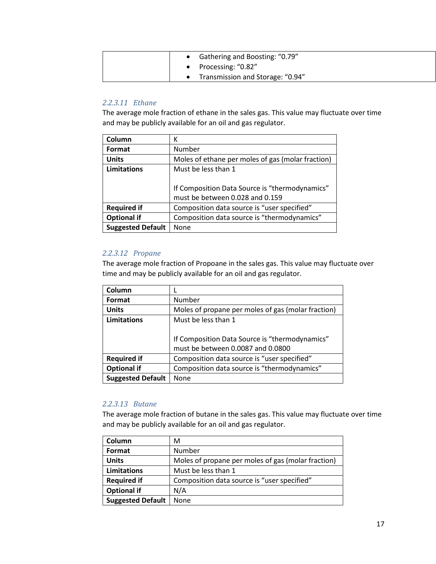|  | Gathering and Boosting: "0.79"   |
|--|----------------------------------|
|  | • Processing: "0.82"             |
|  | Transmission and Storage: "0.94" |

## *2.2.3.11 Ethane*

The average mole fraction of ethane in the sales gas. This value may fluctuate over time and may be publicly available for an oil and gas regulator.

| Column                   | К                                                                                 |
|--------------------------|-----------------------------------------------------------------------------------|
| Format                   | Number                                                                            |
| <b>Units</b>             | Moles of ethane per moles of gas (molar fraction)                                 |
| Limitations              | Must be less than 1                                                               |
|                          | If Composition Data Source is "thermodynamics"<br>must be between 0.028 and 0.159 |
| <b>Required if</b>       | Composition data source is "user specified"                                       |
| <b>Optional if</b>       | Composition data source is "thermodynamics"                                       |
| <b>Suggested Default</b> | None                                                                              |

#### *2.2.3.12 Propane*

The average mole fraction of Propoane in the sales gas. This value may fluctuate over time and may be publicly available for an oil and gas regulator.

| Column                   |                                                    |
|--------------------------|----------------------------------------------------|
| Format                   | Number                                             |
| <b>Units</b>             | Moles of propane per moles of gas (molar fraction) |
| <b>Limitations</b>       | Must be less than 1                                |
|                          |                                                    |
|                          | If Composition Data Source is "thermodynamics"     |
|                          | must be between 0.0087 and 0.0800                  |
| <b>Required if</b>       | Composition data source is "user specified"        |
| <b>Optional if</b>       | Composition data source is "thermodynamics"        |
| <b>Suggested Default</b> | None                                               |

#### *2.2.3.13 Butane*

The average mole fraction of butane in the sales gas. This value may fluctuate over time and may be publicly available for an oil and gas regulator.

| Column                   | М                                                  |
|--------------------------|----------------------------------------------------|
| Format                   | Number                                             |
| <b>Units</b>             | Moles of propane per moles of gas (molar fraction) |
| Limitations              | Must be less than 1                                |
| <b>Required if</b>       | Composition data source is "user specified"        |
| <b>Optional if</b>       | N/A                                                |
| <b>Suggested Default</b> | None                                               |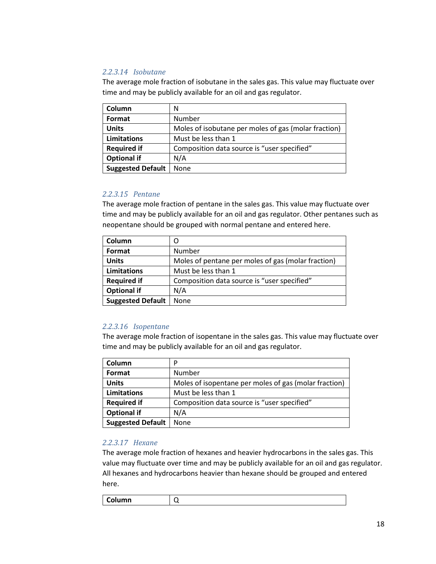## *2.2.3.14 Isobutane*

The average mole fraction of isobutane in the sales gas. This value may fluctuate over time and may be publicly available for an oil and gas regulator.

| Column                   | N                                                    |
|--------------------------|------------------------------------------------------|
| Format                   | Number                                               |
| <b>Units</b>             | Moles of isobutane per moles of gas (molar fraction) |
| Limitations              | Must be less than 1                                  |
| <b>Required if</b>       | Composition data source is "user specified"          |
| <b>Optional if</b>       | N/A                                                  |
| <b>Suggested Default</b> | None                                                 |

## *2.2.3.15 Pentane*

The average mole fraction of pentane in the sales gas. This value may fluctuate over time and may be publicly available for an oil and gas regulator. Other pentanes such as neopentane should be grouped with normal pentane and entered here.

| Column                   | O                                                  |
|--------------------------|----------------------------------------------------|
| Format                   | Number                                             |
| <b>Units</b>             | Moles of pentane per moles of gas (molar fraction) |
| Limitations              | Must be less than 1                                |
| <b>Required if</b>       | Composition data source is "user specified"        |
| <b>Optional if</b>       | N/A                                                |
| <b>Suggested Default</b> | None                                               |

## *2.2.3.16 Isopentane*

The average mole fraction of isopentane in the sales gas. This value may fluctuate over time and may be publicly available for an oil and gas regulator.

| Column                   | D                                                     |
|--------------------------|-------------------------------------------------------|
| Format                   | Number                                                |
| <b>Units</b>             | Moles of isopentane per moles of gas (molar fraction) |
| Limitations              | Must be less than 1                                   |
| <b>Required if</b>       | Composition data source is "user specified"           |
| <b>Optional if</b>       | N/A                                                   |
| <b>Suggested Default</b> | None                                                  |

## *2.2.3.17 Hexane*

The average mole fraction of hexanes and heavier hydrocarbons in the sales gas. This value may fluctuate over time and may be publicly available for an oil and gas regulator. All hexanes and hydrocarbons heavier than hexane should be grouped and entered here.

| Column |  |
|--------|--|
|--------|--|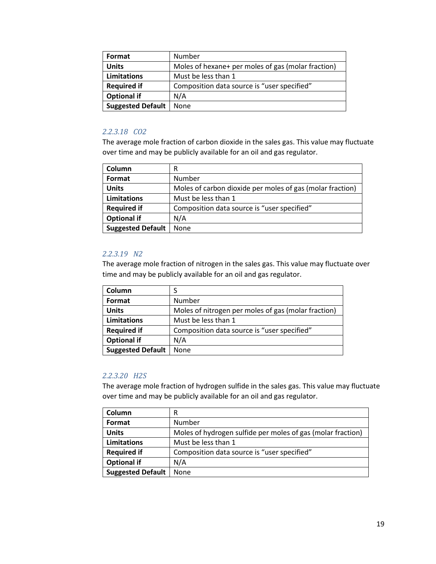| Format                   | Number                                             |
|--------------------------|----------------------------------------------------|
| <b>Units</b>             | Moles of hexane+ per moles of gas (molar fraction) |
| <b>Limitations</b>       | Must be less than 1                                |
| <b>Required if</b>       | Composition data source is "user specified"        |
| <b>Optional if</b>       | N/A                                                |
| <b>Suggested Default</b> | <b>None</b>                                        |

#### *2.2.3.18 CO2*

The average mole fraction of carbon dioxide in the sales gas. This value may fluctuate over time and may be publicly available for an oil and gas regulator.

| Column                   | R                                                         |
|--------------------------|-----------------------------------------------------------|
| Format                   | Number                                                    |
| <b>Units</b>             | Moles of carbon dioxide per moles of gas (molar fraction) |
| <b>Limitations</b>       | Must be less than 1                                       |
| <b>Required if</b>       | Composition data source is "user specified"               |
| <b>Optional if</b>       | N/A                                                       |
| <b>Suggested Default</b> | None                                                      |

#### *2.2.3.19 N2*

The average mole fraction of nitrogen in the sales gas. This value may fluctuate over time and may be publicly available for an oil and gas regulator.

| Column                   |                                                     |
|--------------------------|-----------------------------------------------------|
| Format                   | Number                                              |
| <b>Units</b>             | Moles of nitrogen per moles of gas (molar fraction) |
| <b>Limitations</b>       | Must be less than 1                                 |
| <b>Required if</b>       | Composition data source is "user specified"         |
| <b>Optional if</b>       | N/A                                                 |
| <b>Suggested Default</b> | None                                                |

#### *2.2.3.20 H2S*

The average mole fraction of hydrogen sulfide in the sales gas. This value may fluctuate over time and may be publicly available for an oil and gas regulator.

| Column                   | R                                                           |
|--------------------------|-------------------------------------------------------------|
| Format                   | Number                                                      |
| <b>Units</b>             | Moles of hydrogen sulfide per moles of gas (molar fraction) |
| Limitations              | Must be less than 1                                         |
| <b>Required if</b>       | Composition data source is "user specified"                 |
| <b>Optional if</b>       | N/A                                                         |
| <b>Suggested Default</b> | None                                                        |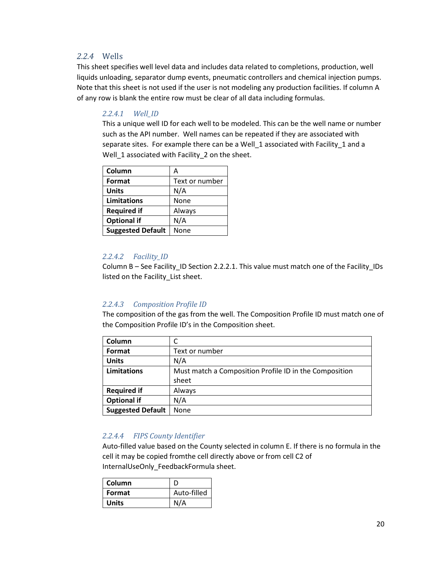## <span id="page-19-0"></span>*2.2.4* Wells

This sheet specifies well level data and includes data related to completions, production, well liquids unloading, separator dump events, pneumatic controllers and chemical injection pumps. Note that this sheet is not used if the user is not modeling any production facilities. If column A of any row is blank the entire row must be clear of all data including formulas.

## <span id="page-19-1"></span>*2.2.4.1 Well\_ID*

This a unique well ID for each well to be modeled. This can be the well name or number such as the API number. Well names can be repeated if they are associated with separate sites. For example there can be a Well\_1 associated with Facility\_1 and a Well 1 associated with Facility 2 on the sheet.

| Column                   | Α              |
|--------------------------|----------------|
| Format                   | Text or number |
| <b>Units</b>             | N/A            |
| Limitations              | None           |
| <b>Required if</b>       | Always         |
| <b>Optional if</b>       | N/A            |
| <b>Suggested Default</b> | None           |

## *2.2.4.2 Facility\_ID*

Column B – See Facility\_ID Section [2.2.2.1.](#page-8-1) This value must match one of the Facility\_IDs listed on the Facility\_List sheet.

## *2.2.4.3 Composition Profile ID*

The composition of the gas from the well. The Composition Profile ID must match one of the Composition Profile ID's in the Composition sheet.

| Column                   | C                                                      |
|--------------------------|--------------------------------------------------------|
| Format                   | Text or number                                         |
| <b>Units</b>             | N/A                                                    |
| <b>Limitations</b>       | Must match a Composition Profile ID in the Composition |
|                          | sheet                                                  |
| <b>Required if</b>       | Always                                                 |
| <b>Optional if</b>       | N/A                                                    |
| <b>Suggested Default</b> | None                                                   |

## *2.2.4.4 FIPS County Identifier*

Auto-filled value based on the County selected in column E. If there is no formula in the cell it may be copied fromthe cell directly above or from cell C2 of InternalUseOnly\_FeedbackFormula sheet.

| Column       |             |
|--------------|-------------|
| Format       | Auto-filled |
| <b>Units</b> | N/A         |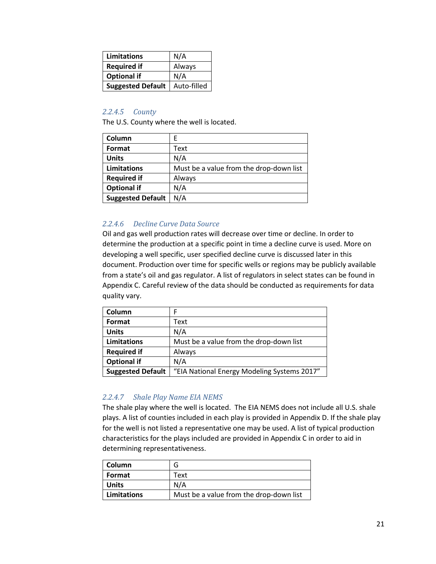| Limitations              | N/A         |
|--------------------------|-------------|
| <b>Required if</b>       | Always      |
| <b>Optional if</b>       | N/A         |
| <b>Suggested Default</b> | Auto-filled |

## *2.2.4.5 County*

The U.S. County where the well is located.

| Column                   | F                                       |
|--------------------------|-----------------------------------------|
| Format                   | Text                                    |
| <b>Units</b>             | N/A                                     |
| Limitations              | Must be a value from the drop-down list |
| <b>Required if</b>       | Always                                  |
| <b>Optional if</b>       | N/A                                     |
| <b>Suggested Default</b> | N/A                                     |

## *2.2.4.6 Decline Curve Data Source*

Oil and gas well production rates will decrease over time or decline. In order to determine the production at a specific point in time a decline curve is used. More on developing a well specific, user specified decline curve is discussed later in this document. Production over time for specific wells or regions may be publicly available from a state's oil and gas regulator. A list of regulators in select states can be found in Appendix C. Careful review of the data should be conducted as requirements for data quality vary.

| Column                   |                                             |
|--------------------------|---------------------------------------------|
| Format                   | Text                                        |
| <b>Units</b>             | N/A                                         |
| <b>Limitations</b>       | Must be a value from the drop-down list     |
| <b>Required if</b>       | Always                                      |
| <b>Optional if</b>       | N/A                                         |
| <b>Suggested Default</b> | "EIA National Energy Modeling Systems 2017" |

## *2.2.4.7 Shale Play Name EIA NEMS*

The shale play where the well is located. The EIA NEMS does not include all U.S. shale plays. A list of counties included in each play is provided in Appendix D. If the shale play for the well is not listed a representative one may be used. A list of typical production characteristics for the plays included are provided in Appendix C in order to aid in determining representativeness.

| <b>Column</b> |                                         |
|---------------|-----------------------------------------|
| Format        | Text                                    |
| <b>Units</b>  | N/A                                     |
| Limitations   | Must be a value from the drop-down list |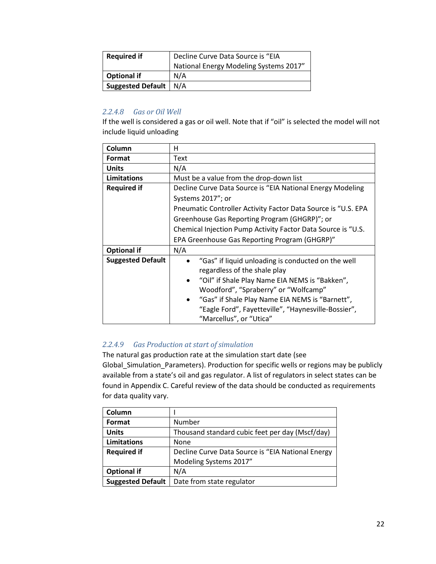| <b>Required if</b>      | Decline Curve Data Source is "EIA      |  |
|-------------------------|----------------------------------------|--|
|                         | National Energy Modeling Systems 2017" |  |
| <b>Optional if</b>      | N/A                                    |  |
| Suggested Default   N/A |                                        |  |

## *2.2.4.8 Gas or Oil Well*

If the well is considered a gas or oil well. Note that if "oil" is selected the model will not include liquid unloading

| Column                   | н                                                             |  |
|--------------------------|---------------------------------------------------------------|--|
| Format                   | Text                                                          |  |
| <b>Units</b>             | N/A                                                           |  |
| Limitations              | Must be a value from the drop-down list                       |  |
| <b>Required if</b>       | Decline Curve Data Source is "EIA National Energy Modeling    |  |
|                          | Systems 2017"; or                                             |  |
|                          | Pneumatic Controller Activity Factor Data Source is "U.S. EPA |  |
|                          | Greenhouse Gas Reporting Program (GHGRP)"; or                 |  |
|                          | Chemical Injection Pump Activity Factor Data Source is "U.S.  |  |
|                          | EPA Greenhouse Gas Reporting Program (GHGRP)"                 |  |
| <b>Optional if</b>       | N/A                                                           |  |
| <b>Suggested Default</b> | "Gas" if liquid unloading is conducted on the well            |  |
|                          | regardless of the shale play                                  |  |
|                          | "Oil" if Shale Play Name EIA NEMS is "Bakken",                |  |
|                          | Woodford", "Spraberry" or "Wolfcamp"                          |  |
|                          | "Gas" if Shale Play Name EIA NEMS is "Barnett",               |  |
|                          | "Eagle Ford", Fayetteville", "Haynesville-Bossier",           |  |
|                          | "Marcellus", or "Utica"                                       |  |

## *2.2.4.9 Gas Production at start of simulation*

The natural gas production rate at the simulation start date (see Global\_Simulation\_Parameters). Production for specific wells or regions may be publicly available from a state's oil and gas regulator. A list of regulators in select states can be found in Appendix C. Careful review of the data should be conducted as requirements for data quality vary.

| Column                   |                                                   |
|--------------------------|---------------------------------------------------|
| Format                   | Number                                            |
| <b>Units</b>             | Thousand standard cubic feet per day (Mscf/day)   |
| <b>Limitations</b>       | None                                              |
| <b>Required if</b>       | Decline Curve Data Source is "EIA National Energy |
|                          | Modeling Systems 2017"                            |
| <b>Optional if</b>       | N/A                                               |
| <b>Suggested Default</b> | Date from state regulator                         |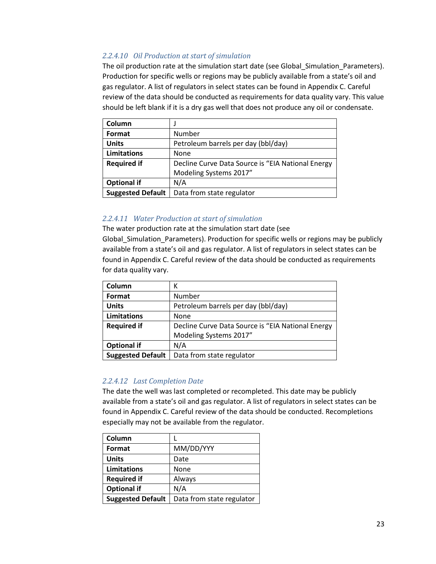## *2.2.4.10 Oil Production at start of simulation*

The oil production rate at the simulation start date (see Global\_Simulation\_Parameters). Production for specific wells or regions may be publicly available from a state's oil and gas regulator. A list of regulators in select states can be found in Appendix C. Careful review of the data should be conducted as requirements for data quality vary. This value should be left blank if it is a dry gas well that does not produce any oil or condensate.

| Column                   |                                                   |
|--------------------------|---------------------------------------------------|
| Format                   | Number                                            |
| <b>Units</b>             | Petroleum barrels per day (bbl/day)               |
| <b>Limitations</b>       | None                                              |
| <b>Required if</b>       | Decline Curve Data Source is "EIA National Energy |
|                          | Modeling Systems 2017"                            |
| <b>Optional if</b>       | N/A                                               |
| <b>Suggested Default</b> | Data from state regulator                         |

## *2.2.4.11 Water Production at start of simulation*

The water production rate at the simulation start date (see Global\_Simulation\_Parameters). Production for specific wells or regions may be publicly available from a state's oil and gas regulator. A list of regulators in select states can be found in Appendix C. Careful review of the data should be conducted as requirements for data quality vary.

| Column                   | К                                                 |
|--------------------------|---------------------------------------------------|
| Format                   | Number                                            |
| <b>Units</b>             | Petroleum barrels per day (bbl/day)               |
| <b>Limitations</b>       | None                                              |
| <b>Required if</b>       | Decline Curve Data Source is "EIA National Energy |
|                          | Modeling Systems 2017"                            |
| <b>Optional if</b>       | N/A                                               |
| <b>Suggested Default</b> | Data from state regulator                         |

## *2.2.4.12 Last Completion Date*

The date the well was last completed or recompleted. This date may be publicly available from a state's oil and gas regulator. A list of regulators in select states can be found in Appendix C. Careful review of the data should be conducted. Recompletions especially may not be available from the regulator.

| Column                   |                           |
|--------------------------|---------------------------|
| Format                   | MM/DD/YYY                 |
| <b>Units</b>             | Date                      |
| <b>Limitations</b>       | None                      |
| <b>Required if</b>       | Always                    |
| <b>Optional if</b>       | N/A                       |
| <b>Suggested Default</b> | Data from state regulator |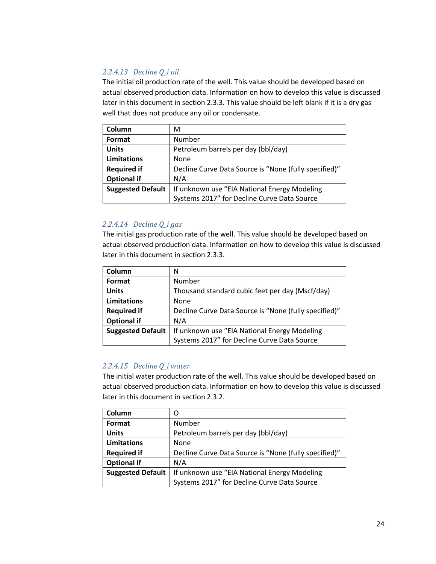## *2.2.4.13 Decline Q\_i oil*

The initial oil production rate of the well. This value should be developed based on actual observed production data. Information on how to develop this value is discussed later in this document in sectio[n 2.3.3.](#page-58-0) This value should be left blank if it is a dry gas well that does not produce any oil or condensate.

| Column                   | М                                                     |
|--------------------------|-------------------------------------------------------|
| Format                   | Number                                                |
| <b>Units</b>             | Petroleum barrels per day (bbl/day)                   |
| <b>Limitations</b>       | None                                                  |
| <b>Required if</b>       | Decline Curve Data Source is "None (fully specified)" |
| <b>Optional if</b>       | N/A                                                   |
| <b>Suggested Default</b> | If unknown use "EIA National Energy Modeling          |
|                          | Systems 2017" for Decline Curve Data Source           |

#### *2.2.4.14 Decline Q\_i gas*

The initial gas production rate of the well. This value should be developed based on actual observed production data. Information on how to develop this value is discussed later in this document in sectio[n 2.3.3.](#page-58-0)

| Column                   | Ν                                                     |
|--------------------------|-------------------------------------------------------|
| Format                   | Number                                                |
| <b>Units</b>             | Thousand standard cubic feet per day (Mscf/day)       |
| <b>Limitations</b>       | None                                                  |
| <b>Required if</b>       | Decline Curve Data Source is "None (fully specified)" |
| <b>Optional if</b>       | N/A                                                   |
| <b>Suggested Default</b> | If unknown use "EIA National Energy Modeling          |
|                          | Systems 2017" for Decline Curve Data Source           |

## *2.2.4.15 Decline Q\_i water*

The initial water production rate of the well. This value should be developed based on actual observed production data. Information on how to develop this value is discussed later in this document in section 2.3.2.

| Column                   | Ω                                                     |
|--------------------------|-------------------------------------------------------|
| Format                   | Number                                                |
| <b>Units</b>             | Petroleum barrels per day (bbl/day)                   |
| <b>Limitations</b>       | None                                                  |
| <b>Required if</b>       | Decline Curve Data Source is "None (fully specified)" |
| <b>Optional if</b>       | N/A                                                   |
| <b>Suggested Default</b> | If unknown use "EIA National Energy Modeling          |
|                          | Systems 2017" for Decline Curve Data Source           |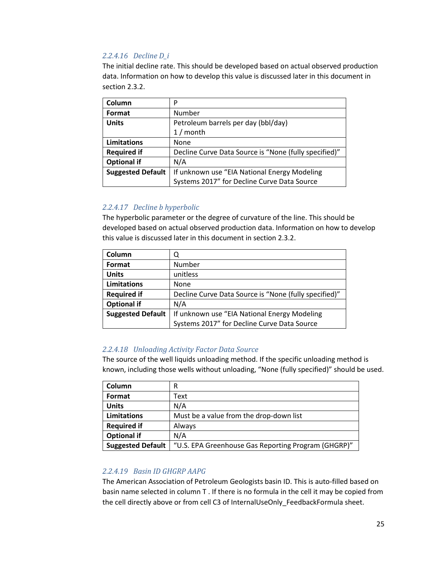## *2.2.4.16 Decline D\_i*

The initial decline rate. This should be developed based on actual observed production data. Information on how to develop this value is discussed later in this document in section 2.3.2.

| Column                   | P                                                     |
|--------------------------|-------------------------------------------------------|
| Format                   | Number                                                |
| <b>Units</b>             | Petroleum barrels per day (bbl/day)                   |
|                          | $1/m$ onth                                            |
| Limitations              | None                                                  |
| <b>Required if</b>       | Decline Curve Data Source is "None (fully specified)" |
| <b>Optional if</b>       | N/A                                                   |
| <b>Suggested Default</b> | If unknown use "EIA National Energy Modeling          |
|                          | Systems 2017" for Decline Curve Data Source           |

## *2.2.4.17 Decline b hyperbolic*

The hyperbolic parameter or the degree of curvature of the line. This should be developed based on actual observed production data. Information on how to develop this value is discussed later in this document in section 2.3.2.

| Column                   |                                                       |
|--------------------------|-------------------------------------------------------|
| Format                   | Number                                                |
| <b>Units</b>             | unitless                                              |
| <b>Limitations</b>       | None                                                  |
| <b>Required if</b>       | Decline Curve Data Source is "None (fully specified)" |
| <b>Optional if</b>       | N/A                                                   |
| <b>Suggested Default</b> | If unknown use "EIA National Energy Modeling          |
|                          | Systems 2017" for Decline Curve Data Source           |

## *2.2.4.18 Unloading Activity Factor Data Source*

The source of the well liquids unloading method. If the specific unloading method is known, including those wells without unloading, "None (fully specified)" should be used.

| Column                   | R                                                   |
|--------------------------|-----------------------------------------------------|
| Format                   | Text                                                |
| <b>Units</b>             | N/A                                                 |
| <b>Limitations</b>       | Must be a value from the drop-down list             |
| <b>Required if</b>       | Always                                              |
| <b>Optional if</b>       | N/A                                                 |
| <b>Suggested Default</b> | "U.S. EPA Greenhouse Gas Reporting Program (GHGRP)" |

## *2.2.4.19 Basin ID GHGRP AAPG*

The American Association of Petroleum Geologists basin ID. This is auto-filled based on basin name selected in column T . If there is no formula in the cell it may be copied from the cell directly above or from cell C3 of InternalUseOnly\_FeedbackFormula sheet.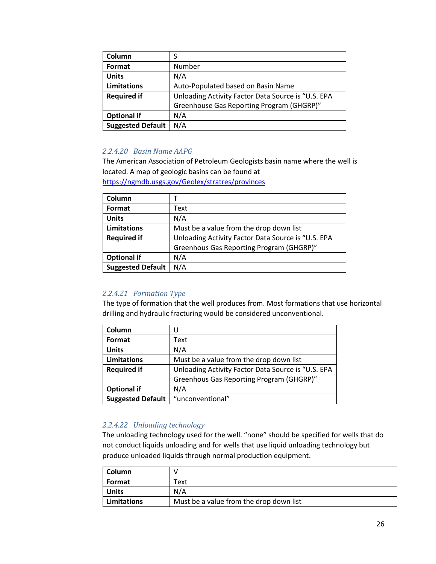| Column                   | S                                                  |
|--------------------------|----------------------------------------------------|
| Format                   | Number                                             |
| <b>Units</b>             | N/A                                                |
| <b>Limitations</b>       | Auto-Populated based on Basin Name                 |
| <b>Required if</b>       | Unloading Activity Factor Data Source is "U.S. EPA |
|                          | Greenhouse Gas Reporting Program (GHGRP)"          |
| <b>Optional if</b>       | N/A                                                |
| <b>Suggested Default</b> | N/A                                                |

## *2.2.4.20 Basin Name AAPG*

The American Association of Petroleum Geologists basin name where the well is located. A map of geologic basins can be found at

<https://ngmdb.usgs.gov/Geolex/stratres/provinces>

| Column                   |                                                    |
|--------------------------|----------------------------------------------------|
| Format                   | Text                                               |
| <b>Units</b>             | N/A                                                |
| Limitations              | Must be a value from the drop down list            |
| <b>Required if</b>       | Unloading Activity Factor Data Source is "U.S. EPA |
|                          | Greenhous Gas Reporting Program (GHGRP)"           |
| <b>Optional if</b>       | N/A                                                |
| <b>Suggested Default</b> | N/A                                                |

## *2.2.4.21 Formation Type*

The type of formation that the well produces from. Most formations that use horizontal drilling and hydraulic fracturing would be considered unconventional.

| Column                   | U                                                  |
|--------------------------|----------------------------------------------------|
| Format                   | Text                                               |
| <b>Units</b>             | N/A                                                |
| <b>Limitations</b>       | Must be a value from the drop down list            |
| <b>Required if</b>       | Unloading Activity Factor Data Source is "U.S. EPA |
|                          | Greenhous Gas Reporting Program (GHGRP)"           |
| <b>Optional if</b>       | N/A                                                |
| <b>Suggested Default</b> | "unconventional"                                   |

#### *2.2.4.22 Unloading technology*

The unloading technology used for the well. "none" should be specified for wells that do not conduct liquids unloading and for wells that use liquid unloading technology but produce unloaded liquids through normal production equipment.

| l Column      |                                         |
|---------------|-----------------------------------------|
| Format        | Text                                    |
| <b>Units</b>  | N/A                                     |
| l Limitations | Must be a value from the drop down list |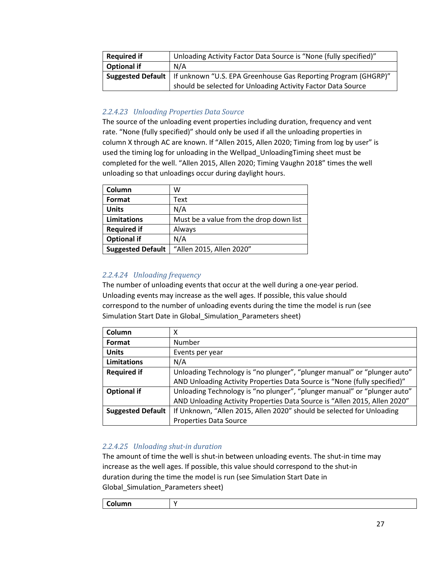| <b>Required if</b> | Unloading Activity Factor Data Source is "None (fully specified)"                  |
|--------------------|------------------------------------------------------------------------------------|
| Optional if        | N/A                                                                                |
|                    | Suggested Default   If unknown "U.S. EPA Greenhouse Gas Reporting Program (GHGRP)" |
|                    | should be selected for Unloading Activity Factor Data Source                       |

## *2.2.4.23 Unloading Properties Data Source*

The source of the unloading event properties including duration, frequency and vent rate. "None (fully specified)" should only be used if all the unloading properties in column X through AC are known. If "Allen 2015, Allen 2020; Timing from log by user" is used the timing log for unloading in the Wellpad\_UnloadingTiming sheet must be completed for the well. "Allen 2015, Allen 2020; Timing Vaughn 2018" times the well unloading so that unloadings occur during daylight hours.

| Column                   | w                                       |
|--------------------------|-----------------------------------------|
| Format                   | Text                                    |
| <b>Units</b>             | N/A                                     |
| <b>Limitations</b>       | Must be a value from the drop down list |
| <b>Required if</b>       | Always                                  |
| <b>Optional if</b>       | N/A                                     |
| <b>Suggested Default</b> | "Allen 2015, Allen 2020"                |

## *2.2.4.24 Unloading frequency*

The number of unloading events that occur at the well during a one-year period. Unloading events may increase as the well ages. If possible, this value should correspond to the number of unloading events during the time the model is run (see Simulation Start Date in Global\_Simulation\_Parameters sheet)

| Column                   | χ                                                                         |
|--------------------------|---------------------------------------------------------------------------|
| Format                   | <b>Number</b>                                                             |
| <b>Units</b>             | Events per year                                                           |
| <b>Limitations</b>       | N/A                                                                       |
| <b>Required if</b>       | Unloading Technology is "no plunger", "plunger manual" or "plunger auto"  |
|                          | AND Unloading Activity Properties Data Source is "None (fully specified)" |
| <b>Optional if</b>       | Unloading Technology is "no plunger", "plunger manual" or "plunger auto"  |
|                          | AND Unloading Activity Properties Data Source is "Allen 2015, Allen 2020" |
| <b>Suggested Default</b> | If Unknown, "Allen 2015, Allen 2020" should be selected for Unloading     |
|                          | <b>Properties Data Source</b>                                             |

## *2.2.4.25 Unloading shut-in duration*

The amount of time the well is shut-in between unloading events. The shut-in time may increase as the well ages. If possible, this value should correspond to the shut-in duration during the time the model is run (see Simulation Start Date in Global Simulation Parameters sheet)

| ,,,,,, |  |
|--------|--|
|        |  |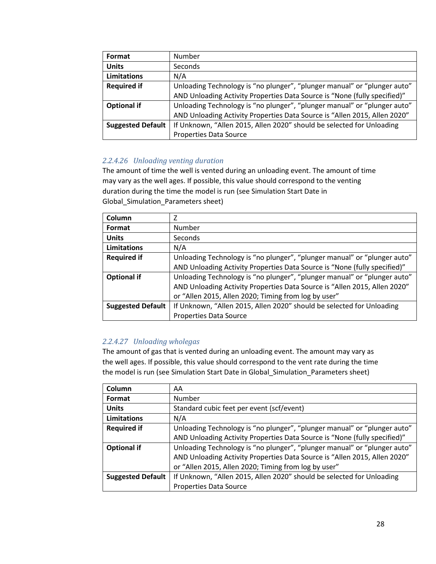| Format                   | <b>Number</b>                                                             |
|--------------------------|---------------------------------------------------------------------------|
| <b>Units</b>             | Seconds                                                                   |
| <b>Limitations</b>       | N/A                                                                       |
| <b>Required if</b>       | Unloading Technology is "no plunger", "plunger manual" or "plunger auto"  |
|                          | AND Unloading Activity Properties Data Source is "None (fully specified)" |
| <b>Optional if</b>       | Unloading Technology is "no plunger", "plunger manual" or "plunger auto"  |
|                          | AND Unloading Activity Properties Data Source is "Allen 2015, Allen 2020" |
| <b>Suggested Default</b> | If Unknown, "Allen 2015, Allen 2020" should be selected for Unloading     |
|                          | <b>Properties Data Source</b>                                             |

## *2.2.4.26 Unloading venting duration*

The amount of time the well is vented during an unloading event. The amount of time may vary as the well ages. If possible, this value should correspond to the venting duration during the time the model is run (see Simulation Start Date in Global\_Simulation\_Parameters sheet)

| Column                   | 7                                                                         |
|--------------------------|---------------------------------------------------------------------------|
| Format                   | Number                                                                    |
| <b>Units</b>             | Seconds                                                                   |
| Limitations              | N/A                                                                       |
| <b>Required if</b>       | Unloading Technology is "no plunger", "plunger manual" or "plunger auto"  |
|                          | AND Unloading Activity Properties Data Source is "None (fully specified)" |
| <b>Optional if</b>       | Unloading Technology is "no plunger", "plunger manual" or "plunger auto"  |
|                          | AND Unloading Activity Properties Data Source is "Allen 2015, Allen 2020" |
|                          | or "Allen 2015, Allen 2020; Timing from log by user"                      |
| <b>Suggested Default</b> | If Unknown, "Allen 2015, Allen 2020" should be selected for Unloading     |
|                          | <b>Properties Data Source</b>                                             |

## *2.2.4.27 Unloading wholegas*

The amount of gas that is vented during an unloading event. The amount may vary as the well ages. If possible, this value should correspond to the vent rate during the time the model is run (see Simulation Start Date in Global\_Simulation\_Parameters sheet)

| Column                   | AA                                                                        |
|--------------------------|---------------------------------------------------------------------------|
| Format                   | Number                                                                    |
| <b>Units</b>             | Standard cubic feet per event (scf/event)                                 |
| <b>Limitations</b>       | N/A                                                                       |
| <b>Required if</b>       | Unloading Technology is "no plunger", "plunger manual" or "plunger auto"  |
|                          | AND Unloading Activity Properties Data Source is "None (fully specified)" |
| <b>Optional if</b>       | Unloading Technology is "no plunger", "plunger manual" or "plunger auto"  |
|                          | AND Unloading Activity Properties Data Source is "Allen 2015, Allen 2020" |
|                          | or "Allen 2015, Allen 2020; Timing from log by user"                      |
| <b>Suggested Default</b> | If Unknown, "Allen 2015, Allen 2020" should be selected for Unloading     |
|                          | <b>Properties Data Source</b>                                             |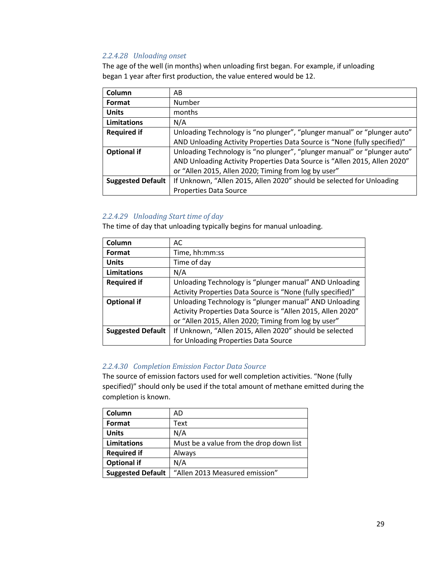## *2.2.4.28 Unloading onset*

The age of the well (in months) when unloading first began. For example, if unloading began 1 year after first production, the value entered would be 12.

| Column                   | AB                                                                        |
|--------------------------|---------------------------------------------------------------------------|
| Format                   | Number                                                                    |
| <b>Units</b>             | months                                                                    |
| Limitations              | N/A                                                                       |
| <b>Required if</b>       | Unloading Technology is "no plunger", "plunger manual" or "plunger auto"  |
|                          | AND Unloading Activity Properties Data Source is "None (fully specified)" |
| <b>Optional if</b>       | Unloading Technology is "no plunger", "plunger manual" or "plunger auto"  |
|                          | AND Unloading Activity Properties Data Source is "Allen 2015, Allen 2020" |
|                          | or "Allen 2015, Allen 2020; Timing from log by user"                      |
| <b>Suggested Default</b> | If Unknown, "Allen 2015, Allen 2020" should be selected for Unloading     |
|                          | <b>Properties Data Source</b>                                             |

#### *2.2.4.29 Unloading Start time of day*

The time of day that unloading typically begins for manual unloading.

| Column                   | AC                                                          |
|--------------------------|-------------------------------------------------------------|
| Format                   | Time, hh:mm:ss                                              |
| <b>Units</b>             | Time of day                                                 |
| <b>Limitations</b>       | N/A                                                         |
| <b>Required if</b>       | Unloading Technology is "plunger manual" AND Unloading      |
|                          | Activity Properties Data Source is "None (fully specified)" |
| <b>Optional if</b>       | Unloading Technology is "plunger manual" AND Unloading      |
|                          | Activity Properties Data Source is "Allen 2015, Allen 2020" |
|                          | or "Allen 2015, Allen 2020; Timing from log by user"        |
| <b>Suggested Default</b> | If Unknown, "Allen 2015, Allen 2020" should be selected     |
|                          | for Unloading Properties Data Source                        |

## *2.2.4.30 Completion Emission Factor Data Source*

The source of emission factors used for well completion activities. "None (fully specified)" should only be used if the total amount of methane emitted during the completion is known.

| Column                   | AD                                      |
|--------------------------|-----------------------------------------|
| Format                   | Text                                    |
| <b>Units</b>             | N/A                                     |
| <b>Limitations</b>       | Must be a value from the drop down list |
| <b>Required if</b>       | Always                                  |
| <b>Optional if</b>       | N/A                                     |
| <b>Suggested Default</b> | "Allen 2013 Measured emission"          |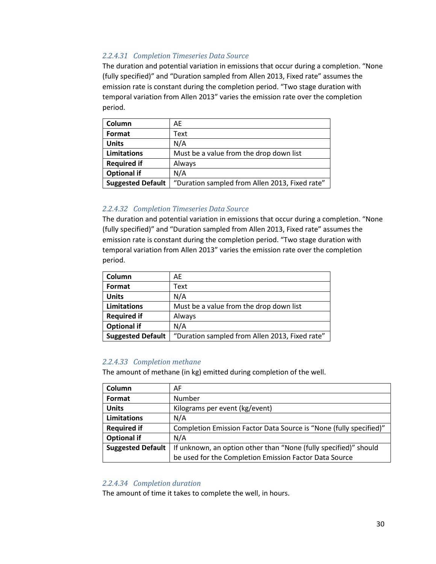## *2.2.4.31 Completion Timeseries Data Source*

The duration and potential variation in emissions that occur during a completion. "None (fully specified)" and "Duration sampled from Allen 2013, Fixed rate" assumes the emission rate is constant during the completion period. "Two stage duration with temporal variation from Allen 2013" varies the emission rate over the completion period.

| Column                   | AE                                             |
|--------------------------|------------------------------------------------|
| Format                   | Text                                           |
| <b>Units</b>             | N/A                                            |
| <b>Limitations</b>       | Must be a value from the drop down list        |
| <b>Required if</b>       | Always                                         |
| <b>Optional if</b>       | N/A                                            |
| <b>Suggested Default</b> | "Duration sampled from Allen 2013, Fixed rate" |

#### *2.2.4.32 Completion Timeseries Data Source*

The duration and potential variation in emissions that occur during a completion. "None (fully specified)" and "Duration sampled from Allen 2013, Fixed rate" assumes the emission rate is constant during the completion period. "Two stage duration with temporal variation from Allen 2013" varies the emission rate over the completion period.

| Column                   | AE                                             |
|--------------------------|------------------------------------------------|
| Format                   | Text                                           |
| <b>Units</b>             | N/A                                            |
| <b>Limitations</b>       | Must be a value from the drop down list        |
| <b>Required if</b>       | Always                                         |
| <b>Optional if</b>       | N/A                                            |
| <b>Suggested Default</b> | "Duration sampled from Allen 2013, Fixed rate" |

## *2.2.4.33 Completion methane*

The amount of methane (in kg) emitted during completion of the well.

| Column                   | AF                                                                 |
|--------------------------|--------------------------------------------------------------------|
| Format                   | Number                                                             |
| <b>Units</b>             | Kilograms per event (kg/event)                                     |
| <b>Limitations</b>       | N/A                                                                |
| <b>Required if</b>       | Completion Emission Factor Data Source is "None (fully specified)" |
| <b>Optional if</b>       | N/A                                                                |
| <b>Suggested Default</b> | If unknown, an option other than "None (fully specified)" should   |
|                          | be used for the Completion Emission Factor Data Source             |

#### *2.2.4.34 Completion duration*

The amount of time it takes to complete the well, in hours.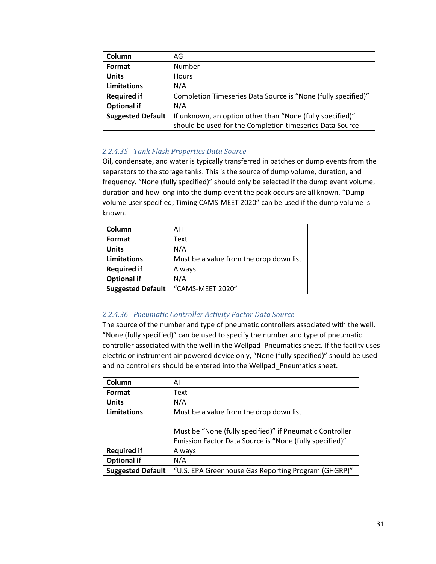| Column                   | AG                                                            |  |
|--------------------------|---------------------------------------------------------------|--|
| Format                   | Number                                                        |  |
| <b>Units</b>             | Hours                                                         |  |
| <b>Limitations</b>       | N/A                                                           |  |
| <b>Required if</b>       | Completion Timeseries Data Source is "None (fully specified)" |  |
| <b>Optional if</b>       | N/A                                                           |  |
| <b>Suggested Default</b> | If unknown, an option other than "None (fully specified)"     |  |
|                          | should be used for the Completion timeseries Data Source      |  |

## *2.2.4.35 Tank Flash Properties Data Source*

Oil, condensate, and water is typically transferred in batches or dump events from the separators to the storage tanks. This is the source of dump volume, duration, and frequency. "None (fully specified)" should only be selected if the dump event volume, duration and how long into the dump event the peak occurs are all known. "Dump volume user specified; Timing CAMS-MEET 2020" can be used if the dump volume is known.

| Column                   | AН                                      |  |
|--------------------------|-----------------------------------------|--|
| Format                   | Text                                    |  |
| <b>Units</b>             | N/A                                     |  |
| <b>Limitations</b>       | Must be a value from the drop down list |  |
| <b>Required if</b>       | Always                                  |  |
| <b>Optional if</b>       | N/A                                     |  |
| <b>Suggested Default</b> | "CAMS-MEET 2020"                        |  |

## *2.2.4.36 Pneumatic Controller Activity Factor Data Source*

The source of the number and type of pneumatic controllers associated with the well. "None (fully specified)" can be used to specify the number and type of pneumatic controller associated with the well in the Wellpad\_Pneumatics sheet. If the facility uses electric or instrument air powered device only, "None (fully specified)" should be used and no controllers should be entered into the Wellpad\_Pneumatics sheet.

| Column                   | AI                                                       |  |
|--------------------------|----------------------------------------------------------|--|
| Format                   | Text                                                     |  |
| <b>Units</b>             | N/A                                                      |  |
| Limitations              | Must be a value from the drop down list                  |  |
|                          |                                                          |  |
|                          | Must be "None (fully specified)" if Pneumatic Controller |  |
|                          | Emission Factor Data Source is "None (fully specified)"  |  |
| <b>Required if</b>       | Always                                                   |  |
| <b>Optional if</b>       | N/A                                                      |  |
| <b>Suggested Default</b> | "U.S. EPA Greenhouse Gas Reporting Program (GHGRP)"      |  |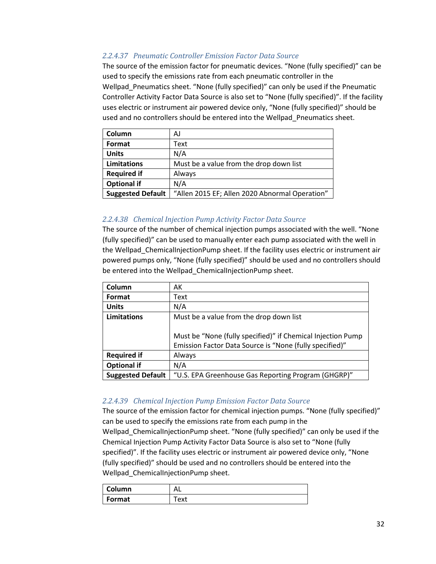## *2.2.4.37 Pneumatic Controller Emission Factor Data Source*

The source of the emission factor for pneumatic devices. "None (fully specified)" can be used to specify the emissions rate from each pneumatic controller in the Wellpad\_Pneumatics sheet. "None (fully specified)" can only be used if the Pneumatic Controller Activity Factor Data Source is also set to "None (fully specified)". If the facility uses electric or instrument air powered device only, "None (fully specified)" should be used and no controllers should be entered into the Wellpad\_Pneumatics sheet.

| Column                   | AJ                                             |  |
|--------------------------|------------------------------------------------|--|
| Format                   | Text                                           |  |
| <b>Units</b>             | N/A                                            |  |
| Limitations              | Must be a value from the drop down list        |  |
| <b>Required if</b>       | Always                                         |  |
| <b>Optional if</b>       | N/A                                            |  |
| <b>Suggested Default</b> | "Allen 2015 EF; Allen 2020 Abnormal Operation" |  |

## *2.2.4.38 Chemical Injection Pump Activity Factor Data Source*

The source of the number of chemical injection pumps associated with the well. "None (fully specified)" can be used to manually enter each pump associated with the well in the Wellpad\_ChemicalInjectionPump sheet. If the facility uses electric or instrument air powered pumps only, "None (fully specified)" should be used and no controllers should be entered into the Wellpad ChemicalInjectionPump sheet.

| Column                   | AK                                                          |  |
|--------------------------|-------------------------------------------------------------|--|
| Format                   | Text                                                        |  |
| <b>Units</b>             | N/A                                                         |  |
| Limitations              | Must be a value from the drop down list                     |  |
|                          |                                                             |  |
|                          | Must be "None (fully specified)" if Chemical Injection Pump |  |
|                          | Emission Factor Data Source is "None (fully specified)"     |  |
| <b>Required if</b>       | Always                                                      |  |
| <b>Optional if</b>       | N/A                                                         |  |
| <b>Suggested Default</b> | "U.S. EPA Greenhouse Gas Reporting Program (GHGRP)"         |  |

## *2.2.4.39 Chemical Injection Pump Emission Factor Data Source*

The source of the emission factor for chemical injection pumps. "None (fully specified)" can be used to specify the emissions rate from each pump in the Wellpad ChemicalInjectionPump sheet. "None (fully specified)" can only be used if the Chemical Injection Pump Activity Factor Data Source is also set to "None (fully specified)". If the facility uses electric or instrument air powered device only, "None (fully specified)" should be used and no controllers should be entered into the Wellpad\_ChemicalInjectionPump sheet.

| <b>Column</b> | ᇺ    |
|---------------|------|
| Format        | 'ext |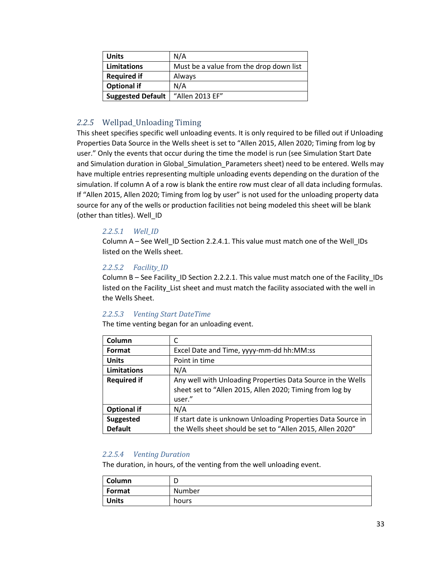| <b>Units</b>             | N/A                                     |  |
|--------------------------|-----------------------------------------|--|
| Limitations              | Must be a value from the drop down list |  |
| <b>Required if</b>       | Always                                  |  |
| <b>Optional if</b>       | N/A                                     |  |
| <b>Suggested Default</b> | "Allen 2013 EF"                         |  |

## <span id="page-32-0"></span>*2.2.5* Wellpad\_Unloading Timing

This sheet specifies specific well unloading events. It is only required to be filled out if Unloading Properties Data Source in the Wells sheet is set to "Allen 2015, Allen 2020; Timing from log by user." Only the events that occur during the time the model is run (see Simulation Start Date and Simulation duration in Global\_Simulation\_Parameters sheet) need to be entered. Wells may have multiple entries representing multiple unloading events depending on the duration of the simulation. If column A of a row is blank the entire row must clear of all data including formulas. If "Allen 2015, Allen 2020; Timing from log by user" is not used for the unloading property data source for any of the wells or production facilities not being modeled this sheet will be blank (other than titles). Well\_ID

## *2.2.5.1 Well\_ID*

Column A – See Well\_ID Sectio[n 2.2.4.1.](#page-19-1) This value must match one of the Well\_IDs listed on the Wells sheet.

## *2.2.5.2 Facility\_ID*

Column B - See Facility ID Section [2.2.2.1.](#page-8-1) This value must match one of the Facility IDs listed on the Facility\_List sheet and must match the facility associated with the well in the Wells Sheet.

## *2.2.5.3 Venting Start DateTime*

The time venting began for an unloading event.

| Column             |                                                              |  |
|--------------------|--------------------------------------------------------------|--|
| Format             | Excel Date and Time, yyyy-mm-dd hh:MM:ss                     |  |
| <b>Units</b>       | Point in time                                                |  |
| Limitations        | N/A                                                          |  |
| <b>Required if</b> | Any well with Unloading Properties Data Source in the Wells  |  |
|                    | sheet set to "Allen 2015, Allen 2020; Timing from log by     |  |
|                    | user."                                                       |  |
| <b>Optional if</b> | N/A                                                          |  |
| Suggested          | If start date is unknown Unloading Properties Data Source in |  |
| <b>Default</b>     | the Wells sheet should be set to "Allen 2015, Allen 2020"    |  |

## *2.2.5.4 Venting Duration*

The duration, in hours, of the venting from the well unloading event.

| Column       | -<br>◡ |
|--------------|--------|
| Format       | Number |
| <b>Units</b> | hours  |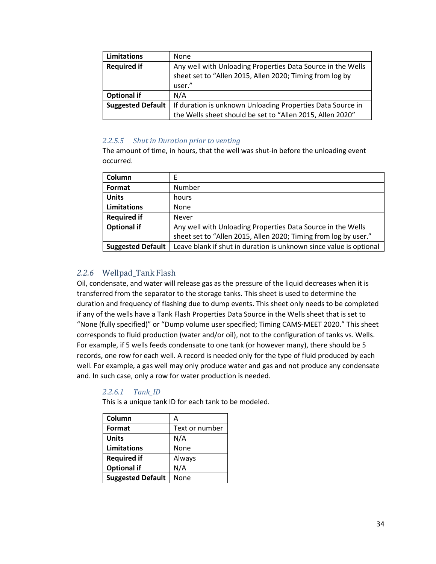| <b>Limitations</b>       | None                                                                                                                              |  |
|--------------------------|-----------------------------------------------------------------------------------------------------------------------------------|--|
| <b>Required if</b>       | Any well with Unloading Properties Data Source in the Wells<br>sheet set to "Allen 2015, Allen 2020; Timing from log by<br>user." |  |
| <b>Optional if</b>       | N/A                                                                                                                               |  |
| <b>Suggested Default</b> | If duration is unknown Unloading Properties Data Source in                                                                        |  |
|                          | the Wells sheet should be set to "Allen 2015, Allen 2020"                                                                         |  |

#### *2.2.5.5 Shut in Duration prior to venting*

The amount of time, in hours, that the well was shut-in before the unloading event occurred.

| Column                   |                                                                    |
|--------------------------|--------------------------------------------------------------------|
| Format                   | Number                                                             |
| <b>Units</b>             | hours                                                              |
| <b>Limitations</b>       | <b>None</b>                                                        |
| <b>Required if</b>       | <b>Never</b>                                                       |
| <b>Optional if</b>       | Any well with Unloading Properties Data Source in the Wells        |
|                          | sheet set to "Allen 2015, Allen 2020; Timing from log by user."    |
| <b>Suggested Default</b> | Leave blank if shut in duration is unknown since value is optional |

## <span id="page-33-0"></span>*2.2.6* Wellpad\_Tank Flash

Oil, condensate, and water will release gas as the pressure of the liquid decreases when it is transferred from the separator to the storage tanks. This sheet is used to determine the duration and frequency of flashing due to dump events. This sheet only needs to be completed if any of the wells have a Tank Flash Properties Data Source in the Wells sheet that is set to "None (fully specified)" or "Dump volume user specified; Timing CAMS-MEET 2020." This sheet corresponds to fluid production (water and/or oil), not to the configuration of tanks vs. Wells. For example, if 5 wells feeds condensate to one tank (or however many), there should be 5 records, one row for each well. A record is needed only for the type of fluid produced by each well. For example, a gas well may only produce water and gas and not produce any condensate and. In such case, only a row for water production is needed.

## *2.2.6.1 Tank\_ID*

This is a unique tank ID for each tank to be modeled.

| Column                   | А              |
|--------------------------|----------------|
| Format                   | Text or number |
| <b>Units</b>             | N/A            |
| <b>Limitations</b>       | None           |
| <b>Required if</b>       | Always         |
| <b>Optional if</b>       | N/A            |
| <b>Suggested Default</b> | None           |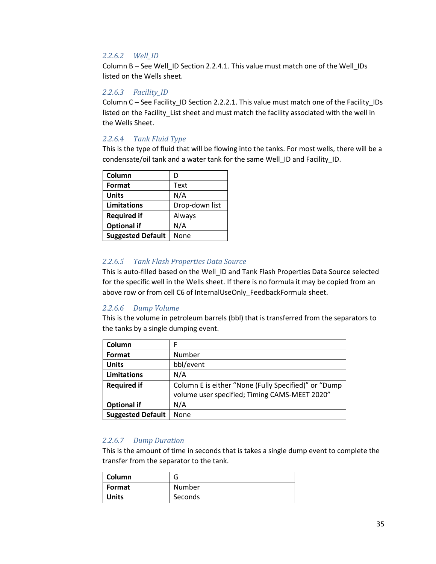#### *2.2.6.2 Well\_ID*

Column B – See Well\_ID Section [2.2.4.1.](#page-19-1) This value must match one of the Well\_IDs listed on the Wells sheet.

#### *2.2.6.3 Facility\_ID*

Column C – See Facility\_ID Section [2.2.2.1.](#page-8-1) This value must match one of the Facility\_IDs listed on the Facility\_List sheet and must match the facility associated with the well in the Wells Sheet.

#### *2.2.6.4 Tank Fluid Type*

This is the type of fluid that will be flowing into the tanks. For most wells, there will be a condensate/oil tank and a water tank for the same Well\_ID and Facility\_ID.

| Column                   | D              |
|--------------------------|----------------|
| Format                   | Text           |
| <b>Units</b>             | N/A            |
| Limitations              | Drop-down list |
| <b>Required if</b>       | Always         |
| <b>Optional if</b>       | N/A            |
| <b>Suggested Default</b> | None           |

#### *2.2.6.5 Tank Flash Properties Data Source*

This is auto-filled based on the Well\_ID and Tank Flash Properties Data Source selected for the specific well in the Wells sheet. If there is no formula it may be copied from an above row or from cell C6 of InternalUseOnly\_FeedbackFormula sheet.

#### *2.2.6.6 Dump Volume*

This is the volume in petroleum barrels (bbl) that is transferred from the separators to the tanks by a single dumping event.

| Column                   | F                                                    |
|--------------------------|------------------------------------------------------|
| Format                   | Number                                               |
| <b>Units</b>             | bbl/event                                            |
| <b>Limitations</b>       | N/A                                                  |
| <b>Required if</b>       | Column E is either "None (Fully Specified)" or "Dump |
|                          | volume user specified; Timing CAMS-MEET 2020"        |
| <b>Optional if</b>       | N/A                                                  |
| <b>Suggested Default</b> | None                                                 |

## *2.2.6.7 Dump Duration*

This is the amount of time in seconds that is takes a single dump event to complete the transfer from the separator to the tank.

| Column       | l٦      |
|--------------|---------|
| Format       | Number  |
| <b>Units</b> | Seconds |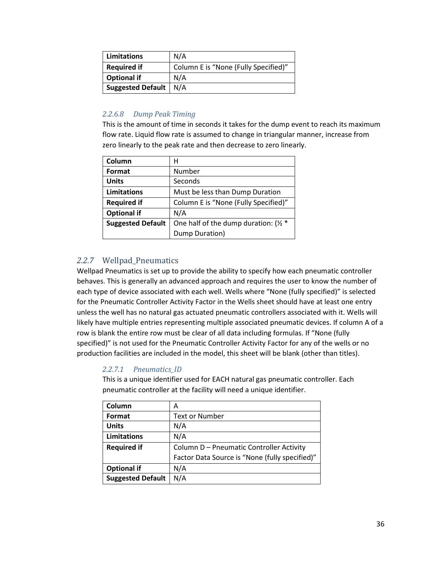| <b>Limitations</b>      | N/A                                  |
|-------------------------|--------------------------------------|
| <b>Required if</b>      | Column E is "None (Fully Specified)" |
| <b>Optional if</b>      | N/A                                  |
| Suggested Default   N/A |                                      |

## *2.2.6.8 Dump Peak Timing*

This is the amount of time in seconds it takes for the dump event to reach its maximum flow rate. Liquid flow rate is assumed to change in triangular manner, increase from zero linearly to the peak rate and then decrease to zero linearly.

| Column                   | н                                      |
|--------------------------|----------------------------------------|
| Format                   | Number                                 |
| <b>Units</b>             | Seconds                                |
| Limitations              | Must be less than Dump Duration        |
| <b>Required if</b>       | Column E is "None (Fully Specified)"   |
| <b>Optional if</b>       | N/A                                    |
| <b>Suggested Default</b> | One half of the dump duration: $1/2$ * |
|                          | Dump Duration)                         |

## <span id="page-35-0"></span>*2.2.7* Wellpad\_Pneumatics

Wellpad Pneumatics is set up to provide the ability to specify how each pneumatic controller behaves. This is generally an advanced approach and requires the user to know the number of each type of device associated with each well. Wells where "None (fully specified)" is selected for the Pneumatic Controller Activity Factor in the Wells sheet should have at least one entry unless the well has no natural gas actuated pneumatic controllers associated with it. Wells will likely have multiple entries representing multiple associated pneumatic devices. If column A of a row is blank the entire row must be clear of all data including formulas. If "None (fully specified)" is not used for the Pneumatic Controller Activity Factor for any of the wells or no production facilities are included in the model, this sheet will be blank (other than titles).

## *2.2.7.1 Pneumatics\_ID*

This is a unique identifier used for EACH natural gas pneumatic controller. Each pneumatic controller at the facility will need a unique identifier.

| Column                   | Α                                              |
|--------------------------|------------------------------------------------|
| Format                   | <b>Text or Number</b>                          |
| <b>Units</b>             | N/A                                            |
| Limitations              | N/A                                            |
| <b>Required if</b>       | Column D - Pneumatic Controller Activity       |
|                          | Factor Data Source is "None (fully specified)" |
| <b>Optional if</b>       | N/A                                            |
| <b>Suggested Default</b> | N/A                                            |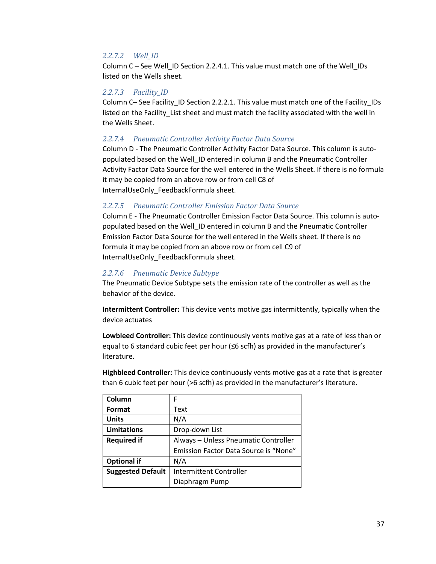## *2.2.7.2 Well\_ID*

Column C – See Well\_ID Section [2.2.4.1.](#page-19-0) This value must match one of the Well\_IDs listed on the Wells sheet.

## *2.2.7.3 Facility\_ID*

Column C– See Facility\_ID Sectio[n 2.2.2.1.](#page-8-0) This value must match one of the Facility\_IDs listed on the Facility\_List sheet and must match the facility associated with the well in the Wells Sheet.

## *2.2.7.4 Pneumatic Controller Activity Factor Data Source*

Column D - The Pneumatic Controller Activity Factor Data Source. This column is autopopulated based on the Well\_ID entered in column B and the Pneumatic Controller Activity Factor Data Source for the well entered in the Wells Sheet. If there is no formula it may be copied from an above row or from cell C8 of InternalUseOnly\_FeedbackFormula sheet.

## *2.2.7.5 Pneumatic Controller Emission Factor Data Source*

Column E - The Pneumatic Controller Emission Factor Data Source. This column is autopopulated based on the Well\_ID entered in column B and the Pneumatic Controller Emission Factor Data Source for the well entered in the Wells sheet. If there is no formula it may be copied from an above row or from cell C9 of InternalUseOnly\_FeedbackFormula sheet.

## *2.2.7.6 Pneumatic Device Subtype*

The Pneumatic Device Subtype sets the emission rate of the controller as well as the behavior of the device.

**Intermittent Controller:** This device vents motive gas intermittently, typically when the device actuates

**Lowbleed Controller:** This device continuously vents motive gas at a rate of less than or equal to 6 standard cubic feet per hour (≤6 scfh) as provided in the manufacturer's literature.

**Highbleed Controller:** This device continuously vents motive gas at a rate that is greater than 6 cubic feet per hour (>6 scfh) as provided in the manufacturer's literature.

| Column                   | F                                     |  |
|--------------------------|---------------------------------------|--|
| Format                   | Text                                  |  |
| <b>Units</b>             | N/A                                   |  |
| Limitations              | Drop-down List                        |  |
| <b>Required if</b>       | Always - Unless Pneumatic Controller  |  |
|                          | Emission Factor Data Source is "None" |  |
| <b>Optional if</b>       | N/A                                   |  |
| <b>Suggested Default</b> | <b>Intermittent Controller</b>        |  |
|                          | Diaphragm Pump                        |  |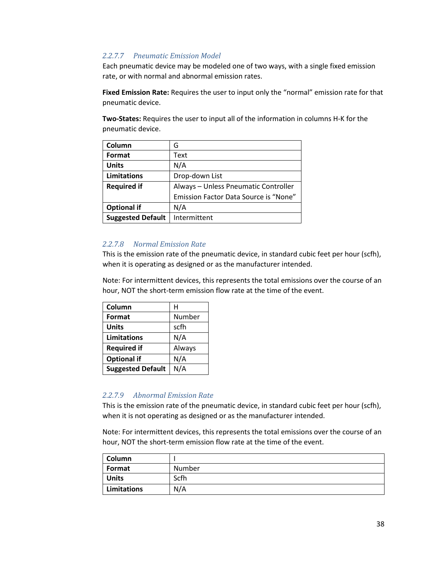## *2.2.7.7 Pneumatic Emission Model*

Each pneumatic device may be modeled one of two ways, with a single fixed emission rate, or with normal and abnormal emission rates.

**Fixed Emission Rate:** Requires the user to input only the "normal" emission rate for that pneumatic device.

**Two-States:** Requires the user to input all of the information in columns H-K for the pneumatic device.

| Column                   | G                                     |
|--------------------------|---------------------------------------|
| Format                   | Text                                  |
| <b>Units</b>             | N/A                                   |
| Limitations              | Drop-down List                        |
| <b>Required if</b>       | Always - Unless Pneumatic Controller  |
|                          | Emission Factor Data Source is "None" |
| <b>Optional if</b>       | N/A                                   |
| <b>Suggested Default</b> | Intermittent                          |

## *2.2.7.8 Normal Emission Rate*

This is the emission rate of the pneumatic device, in standard cubic feet per hour (scfh), when it is operating as designed or as the manufacturer intended.

Note: For intermittent devices, this represents the total emissions over the course of an hour, NOT the short-term emission flow rate at the time of the event.

| Column                   | н      |
|--------------------------|--------|
| Format                   | Number |
| <b>Units</b>             | scfh   |
| <b>Limitations</b>       | N/A    |
| <b>Required if</b>       | Always |
| <b>Optional if</b>       | N/A    |
| <b>Suggested Default</b> | N/A    |

## *2.2.7.9 Abnormal Emission Rate*

This is the emission rate of the pneumatic device, in standard cubic feet per hour (scfh), when it is not operating as designed or as the manufacturer intended.

Note: For intermittent devices, this represents the total emissions over the course of an hour, NOT the short-term emission flow rate at the time of the event.

| Column       |        |
|--------------|--------|
| Format       | Number |
| <b>Units</b> | Scfh   |
| Limitations  | N/A    |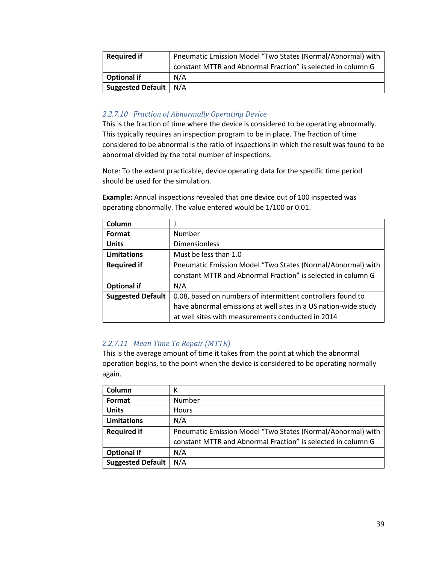| <b>Required if</b>       | Pneumatic Emission Model "Two States (Normal/Abnormal) with  |  |
|--------------------------|--------------------------------------------------------------|--|
|                          | constant MTTR and Abnormal Fraction" is selected in column G |  |
| <b>Optional if</b>       | N/A                                                          |  |
| <b>Suggested Default</b> | N/A                                                          |  |

## *2.2.7.10 Fraction of Abnormally Operating Device*

This is the fraction of time where the device is considered to be operating abnormally. This typically requires an inspection program to be in place. The fraction of time considered to be abnormal is the ratio of inspections in which the result was found to be abnormal divided by the total number of inspections.

Note: To the extent practicable, device operating data for the specific time period should be used for the simulation.

**Example:** Annual inspections revealed that one device out of 100 inspected was operating abnormally. The value entered would be 1/100 or 0.01.

| Column                   |                                                                 |
|--------------------------|-----------------------------------------------------------------|
| Format                   | Number                                                          |
| <b>Units</b>             | <b>Dimensionless</b>                                            |
| Limitations              | Must be less than 1.0                                           |
| <b>Required if</b>       | Pneumatic Emission Model "Two States (Normal/Abnormal) with     |
|                          | constant MTTR and Abnormal Fraction" is selected in column G    |
| <b>Optional if</b>       | N/A                                                             |
| <b>Suggested Default</b> | 0.08, based on numbers of intermittent controllers found to     |
|                          | have abnormal emissions at well sites in a US nation-wide study |
|                          | at well sites with measurements conducted in 2014               |

## *2.2.7.11 Mean Time To Repair (MTTR)*

This is the average amount of time it takes from the point at which the abnormal operation begins, to the point when the device is considered to be operating normally again.

| Column                   | ĸ                                                            |
|--------------------------|--------------------------------------------------------------|
| Format                   | Number                                                       |
| <b>Units</b>             | <b>Hours</b>                                                 |
| <b>Limitations</b>       | N/A                                                          |
| <b>Required if</b>       | Pneumatic Emission Model "Two States (Normal/Abnormal) with  |
|                          | constant MTTR and Abnormal Fraction" is selected in column G |
| <b>Optional if</b>       | N/A                                                          |
| <b>Suggested Default</b> | N/A                                                          |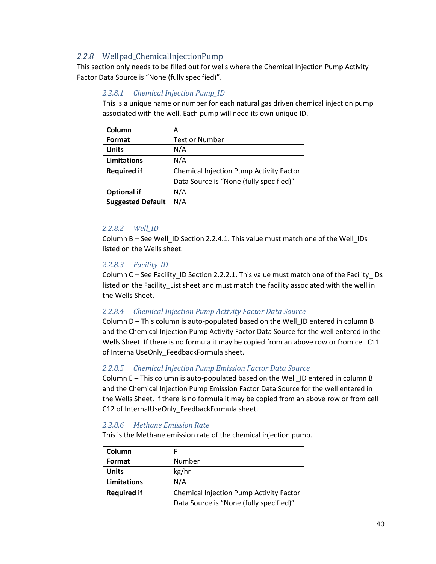## *2.2.8* Wellpad\_ChemicalInjectionPump

This section only needs to be filled out for wells where the Chemical Injection Pump Activity Factor Data Source is "None (fully specified)".

## *2.2.8.1 Chemical Injection Pump\_ID*

This is a unique name or number for each natural gas driven chemical injection pump associated with the well. Each pump will need its own unique ID.

| Column                   | А                                              |  |
|--------------------------|------------------------------------------------|--|
| Format                   | <b>Text or Number</b>                          |  |
| <b>Units</b>             | N/A                                            |  |
| Limitations              | N/A                                            |  |
| <b>Required if</b>       | <b>Chemical Injection Pump Activity Factor</b> |  |
|                          | Data Source is "None (fully specified)"        |  |
| <b>Optional if</b>       | N/A                                            |  |
| <b>Suggested Default</b> | N/A                                            |  |

## *2.2.8.2 Well\_ID*

Column B - See Well ID Section [2.2.4.1.](#page-19-0) This value must match one of the Well IDs listed on the Wells sheet.

## *2.2.8.3 Facility\_ID*

Column C – See Facility\_ID Section [2.2.2.1.](#page-8-0) This value must match one of the Facility\_IDs listed on the Facility\_List sheet and must match the facility associated with the well in the Wells Sheet.

## *2.2.8.4 Chemical Injection Pump Activity Factor Data Source*

Column D – This column is auto-populated based on the Well ID entered in column B and the Chemical Injection Pump Activity Factor Data Source for the well entered in the Wells Sheet. If there is no formula it may be copied from an above row or from cell C11 of InternalUseOnly\_FeedbackFormula sheet.

## *2.2.8.5 Chemical Injection Pump Emission Factor Data Source*

Column E – This column is auto-populated based on the Well\_ID entered in column B and the Chemical Injection Pump Emission Factor Data Source for the well entered in the Wells Sheet. If there is no formula it may be copied from an above row or from cell C12 of InternalUseOnly FeedbackFormula sheet.

## *2.2.8.6 Methane Emission Rate*

This is the Methane emission rate of the chemical injection pump.

| Column             | F                                       |
|--------------------|-----------------------------------------|
| Format             | Number                                  |
| <b>Units</b>       | kg/hr                                   |
| Limitations        | N/A                                     |
| <b>Required if</b> | Chemical Injection Pump Activity Factor |
|                    | Data Source is "None (fully specified)" |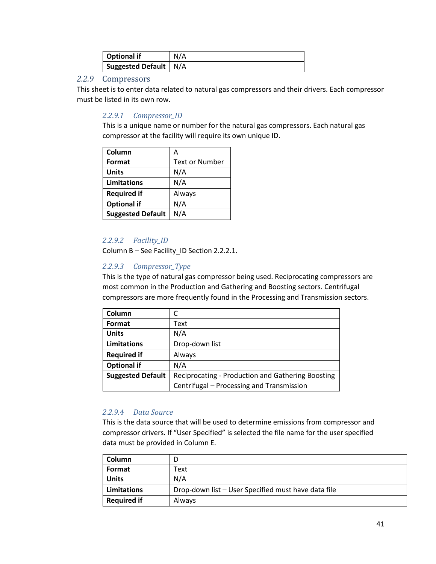| Optional if             | N/A |
|-------------------------|-----|
| Suggested Default   N/A |     |

## *2.2.9* Compressors

This sheet is to enter data related to natural gas compressors and their drivers. Each compressor must be listed in its own row.

## *2.2.9.1 Compressor\_ID*

This is a unique name or number for the natural gas compressors. Each natural gas compressor at the facility will require its own unique ID.

| Column                   | А                     |
|--------------------------|-----------------------|
| Format                   | <b>Text or Number</b> |
| <b>Units</b>             | N/A                   |
| Limitations              | N/A                   |
| <b>Required if</b>       | Always                |
| <b>Optional if</b>       | N/A                   |
| <b>Suggested Default</b> | N/A                   |

## *2.2.9.2 Facility\_ID*

Column B – See Facility\_ID Section [2.2.2.1.](#page-8-0)

## *2.2.9.3 Compressor\_Type*

This is the type of natural gas compressor being used. Reciprocating compressors are most common in the Production and Gathering and Boosting sectors. Centrifugal compressors are more frequently found in the Processing and Transmission sectors.

| Column                   |                                                   |
|--------------------------|---------------------------------------------------|
| Format                   | Text                                              |
| <b>Units</b>             | N/A                                               |
| <b>Limitations</b>       | Drop-down list                                    |
| <b>Required if</b>       | Always                                            |
| <b>Optional if</b>       | N/A                                               |
| <b>Suggested Default</b> | Reciprocating - Production and Gathering Boosting |
|                          | Centrifugal - Processing and Transmission         |

## *2.2.9.4 Data Source*

This is the data source that will be used to determine emissions from compressor and compressor drivers. If "User Specified" is selected the file name for the user specified data must be provided in Column E.

| Column             |                                                     |
|--------------------|-----------------------------------------------------|
| Format             | Text                                                |
| <b>Units</b>       | N/A                                                 |
| Limitations        | Drop-down list - User Specified must have data file |
| <b>Required if</b> | <b>Always</b>                                       |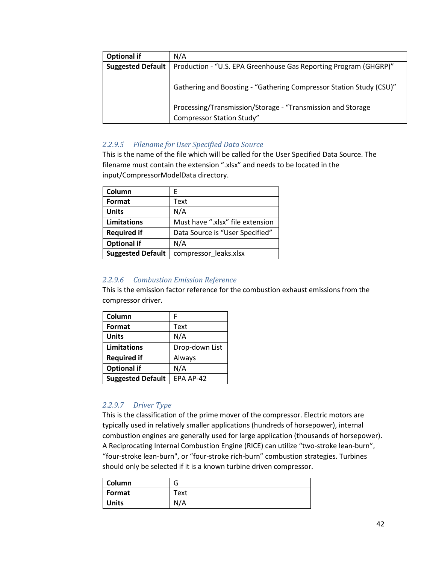| <b>Optional if</b>       | N/A                                                                 |
|--------------------------|---------------------------------------------------------------------|
| <b>Suggested Default</b> | Production - "U.S. EPA Greenhouse Gas Reporting Program (GHGRP)"    |
|                          |                                                                     |
|                          | Gathering and Boosting - "Gathering Compressor Station Study (CSU)" |
|                          |                                                                     |
|                          |                                                                     |
|                          | Processing/Transmission/Storage - "Transmission and Storage         |
|                          | <b>Compressor Station Study"</b>                                    |

## <span id="page-41-0"></span>*2.2.9.5 Filename for User Specified Data Source*

This is the name of the file which will be called for the User Specified Data Source. The filename must contain the extension ".xlsx" and needs to be located in the input/CompressorModelData directory.

| Column                   | F.                               |
|--------------------------|----------------------------------|
| Format                   | Text                             |
| <b>Units</b>             | N/A                              |
| <b>Limitations</b>       | Must have ".xlsx" file extension |
| <b>Required if</b>       | Data Source is "User Specified"  |
| <b>Optional if</b>       | N/A                              |
| <b>Suggested Default</b> | compressor_leaks.xlsx            |

## *2.2.9.6 Combustion Emission Reference*

This is the emission factor reference for the combustion exhaust emissions from the compressor driver.

| Column                   | F              |
|--------------------------|----------------|
| Format                   | Text           |
| <b>Units</b>             | N/A            |
| <b>Limitations</b>       | Drop-down List |
| <b>Required if</b>       | Always         |
| <b>Optional if</b>       | N/A            |
| <b>Suggested Default</b> | EPA AP-42      |

## *2.2.9.7 Driver Type*

This is the classification of the prime mover of the compressor. Electric motors are typically used in relatively smaller applications (hundreds of horsepower), internal combustion engines are generally used for large application (thousands of horsepower). A Reciprocating Internal Combustion Engine (RICE) can utilize "two-stroke lean-burn", "four-stroke lean-burn", or "four-stroke rich-burn" combustion strategies. Turbines should only be selected if it is a known turbine driven compressor.

| Column       | u    |
|--------------|------|
| Format       | Text |
| <b>Units</b> | N/A  |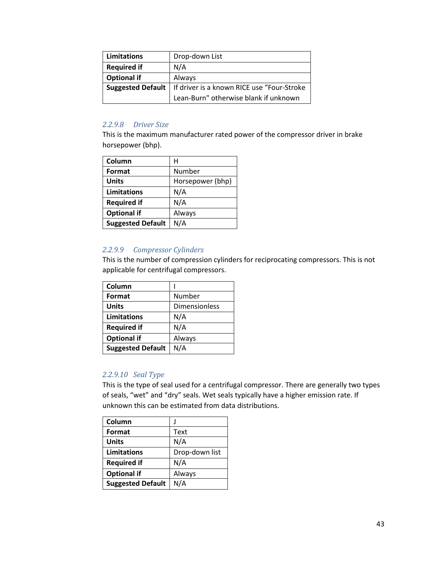| Limitations        | Drop-down List                                                 |
|--------------------|----------------------------------------------------------------|
| <b>Required if</b> | N/A                                                            |
| <b>Optional if</b> | Always                                                         |
|                    | Suggested Default   If driver is a known RICE use "Four-Stroke |
|                    | Lean-Burn" otherwise blank if unknown                          |

## *2.2.9.8 Driver Size*

This is the maximum manufacturer rated power of the compressor driver in brake horsepower (bhp).

| Column                   | н                |
|--------------------------|------------------|
| Format                   | Number           |
| <b>Units</b>             | Horsepower (bhp) |
| Limitations              | N/A              |
| <b>Required if</b>       | N/A              |
| <b>Optional if</b>       | Always           |
| <b>Suggested Default</b> | N/A              |

## *2.2.9.9 Compressor Cylinders*

This is the number of compression cylinders for reciprocating compressors. This is not applicable for centrifugal compressors.

| Column                   |                      |
|--------------------------|----------------------|
| Format                   | Number               |
| <b>Units</b>             | <b>Dimensionless</b> |
| <b>Limitations</b>       | N/A                  |
| <b>Required if</b>       | N/A                  |
| <b>Optional if</b>       | Always               |
| <b>Suggested Default</b> | N/A                  |

## *2.2.9.10 Seal Type*

This is the type of seal used for a centrifugal compressor. There are generally two types of seals, "wet" and "dry" seals. Wet seals typically have a higher emission rate. If unknown this can be estimated from data distributions.

| Column                   |                |
|--------------------------|----------------|
| Format                   | Text           |
| <b>Units</b>             | N/A            |
| Limitations              | Drop-down list |
| <b>Required if</b>       | N/A            |
| <b>Optional if</b>       | Always         |
| <b>Suggested Default</b> | N/A            |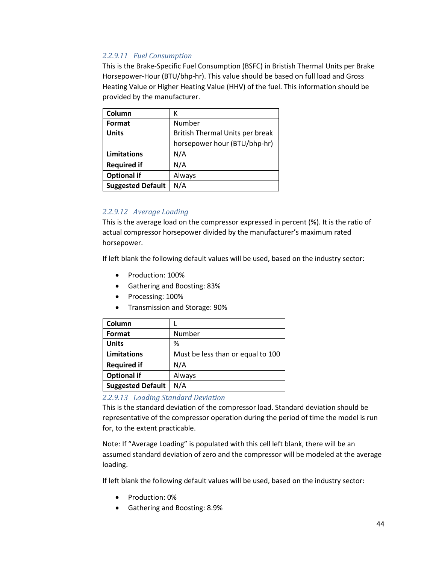## *2.2.9.11 Fuel Consumption*

This is the Brake-Specific Fuel Consumption (BSFC) in Bristish Thermal Units per Brake Horsepower-Hour (BTU/bhp-hr). This value should be based on full load and Gross Heating Value or Higher Heating Value (HHV) of the fuel. This information should be provided by the manufacturer.

| Column                   | к                               |
|--------------------------|---------------------------------|
| Format                   | Number                          |
| <b>Units</b>             | British Thermal Units per break |
|                          | horsepower hour (BTU/bhp-hr)    |
| Limitations              | N/A                             |
| <b>Required if</b>       | N/A                             |
| <b>Optional if</b>       | Always                          |
| <b>Suggested Default</b> | N/A                             |

## *2.2.9.12 Average Loading*

This is the average load on the compressor expressed in percent (%). It is the ratio of actual compressor horsepower divided by the manufacturer's maximum rated horsepower.

If left blank the following default values will be used, based on the industry sector:

- Production: 100%
- Gathering and Boosting: 83%
- Processing: 100%
- Transmission and Storage: 90%

| Column                   |                                   |
|--------------------------|-----------------------------------|
| Format                   | Number                            |
| <b>Units</b>             | %                                 |
| Limitations              | Must be less than or equal to 100 |
| <b>Required if</b>       | N/A                               |
| <b>Optional if</b>       | Always                            |
| <b>Suggested Default</b> | N/A                               |

## *2.2.9.13 Loading Standard Deviation*

This is the standard deviation of the compressor load. Standard deviation should be representative of the compressor operation during the period of time the model is run for, to the extent practicable.

Note: If "Average Loading" is populated with this cell left blank, there will be an assumed standard deviation of zero and the compressor will be modeled at the average loading.

If left blank the following default values will be used, based on the industry sector:

- Production: 0%
- Gathering and Boosting: 8.9%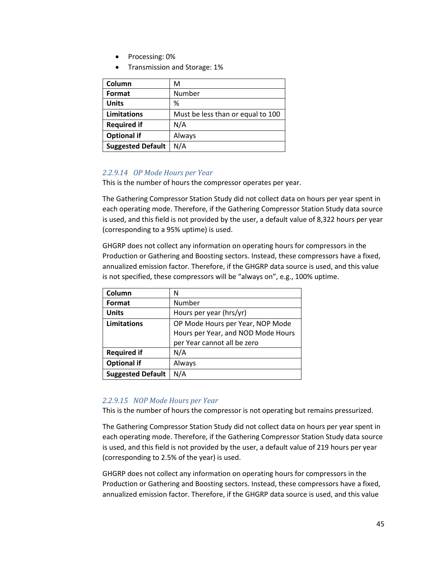- Processing: 0%
- Transmission and Storage: 1%

| Column                   | м                                 |
|--------------------------|-----------------------------------|
| Format                   | Number                            |
| <b>Units</b>             | %                                 |
| Limitations              | Must be less than or equal to 100 |
| <b>Required if</b>       | N/A                               |
| <b>Optional if</b>       | Always                            |
| <b>Suggested Default</b> | N/A                               |

## *2.2.9.14 OP Mode Hours per Year*

This is the number of hours the compressor operates per year.

The Gathering Compressor Station Study did not collect data on hours per year spent in each operating mode. Therefore, if the Gathering Compressor Station Study data source is used, and this field is not provided by the user, a default value of 8,322 hours per year (corresponding to a 95% uptime) is used.

GHGRP does not collect any information on operating hours for compressors in the Production or Gathering and Boosting sectors. Instead, these compressors have a fixed, annualized emission factor. Therefore, if the GHGRP data source is used, and this value is not specified, these compressors will be "always on", e.g., 100% uptime.

| Column                   | Ν                                  |
|--------------------------|------------------------------------|
| Format                   | Number                             |
| <b>Units</b>             | Hours per year (hrs/yr)            |
| Limitations              | OP Mode Hours per Year, NOP Mode   |
|                          | Hours per Year, and NOD Mode Hours |
|                          | per Year cannot all be zero        |
| <b>Required if</b>       | N/A                                |
| <b>Optional if</b>       | Always                             |
| <b>Suggested Default</b> | N/A                                |

## *2.2.9.15 NOP Mode Hours per Year*

This is the number of hours the compressor is not operating but remains pressurized.

The Gathering Compressor Station Study did not collect data on hours per year spent in each operating mode. Therefore, if the Gathering Compressor Station Study data source is used, and this field is not provided by the user, a default value of 219 hours per year (corresponding to 2.5% of the year) is used.

GHGRP does not collect any information on operating hours for compressors in the Production or Gathering and Boosting sectors. Instead, these compressors have a fixed, annualized emission factor. Therefore, if the GHGRP data source is used, and this value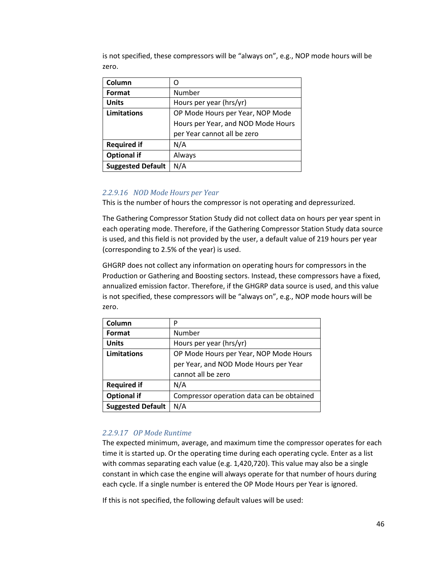is not specified, these compressors will be "always on", e.g., NOP mode hours will be zero.

| Column                   | Ω                                  |  |
|--------------------------|------------------------------------|--|
| Format                   | Number                             |  |
| <b>Units</b>             | Hours per year (hrs/yr)            |  |
| Limitations              | OP Mode Hours per Year, NOP Mode   |  |
|                          | Hours per Year, and NOD Mode Hours |  |
|                          | per Year cannot all be zero        |  |
| <b>Required if</b>       | N/A                                |  |
| <b>Optional if</b>       | Always                             |  |
| <b>Suggested Default</b> | N/A                                |  |

## *2.2.9.16 NOD Mode Hours per Year*

This is the number of hours the compressor is not operating and depressurized.

The Gathering Compressor Station Study did not collect data on hours per year spent in each operating mode. Therefore, if the Gathering Compressor Station Study data source is used, and this field is not provided by the user, a default value of 219 hours per year (corresponding to 2.5% of the year) is used.

GHGRP does not collect any information on operating hours for compressors in the Production or Gathering and Boosting sectors. Instead, these compressors have a fixed, annualized emission factor. Therefore, if the GHGRP data source is used, and this value is not specified, these compressors will be "always on", e.g., NOP mode hours will be zero.

| Column                   | P                                         |  |
|--------------------------|-------------------------------------------|--|
| Format                   | Number                                    |  |
| <b>Units</b>             | Hours per year (hrs/yr)                   |  |
| Limitations              | OP Mode Hours per Year, NOP Mode Hours    |  |
|                          | per Year, and NOD Mode Hours per Year     |  |
|                          | cannot all be zero                        |  |
| <b>Required if</b>       | N/A                                       |  |
| <b>Optional if</b>       | Compressor operation data can be obtained |  |
| <b>Suggested Default</b> | N/A                                       |  |

## *2.2.9.17 OP Mode Runtime*

The expected minimum, average, and maximum time the compressor operates for each time it is started up. Or the operating time during each operating cycle. Enter as a list with commas separating each value (e.g. 1,420,720). This value may also be a single constant in which case the engine will always operate for that number of hours during each cycle. If a single number is entered the OP Mode Hours per Year is ignored.

If this is not specified, the following default values will be used: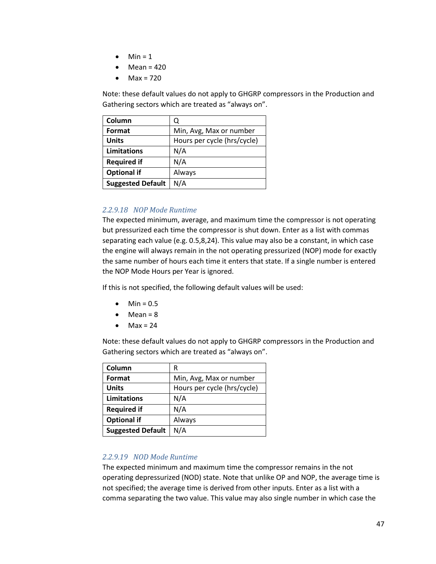- $\bullet$  Min = 1
- $\bullet$  Mean = 420
- $•$  Max = 720

Note: these default values do not apply to GHGRP compressors in the Production and Gathering sectors which are treated as "always on".

| Column                   | Q                           |
|--------------------------|-----------------------------|
| Format                   | Min, Avg, Max or number     |
| <b>Units</b>             | Hours per cycle (hrs/cycle) |
| Limitations              | N/A                         |
| <b>Required if</b>       | N/A                         |
| <b>Optional if</b>       | Always                      |
| <b>Suggested Default</b> | N/A                         |

## *2.2.9.18 NOP Mode Runtime*

The expected minimum, average, and maximum time the compressor is not operating but pressurized each time the compressor is shut down. Enter as a list with commas separating each value (e.g. 0.5,8,24). This value may also be a constant, in which case the engine will always remain in the not operating pressurized (NOP) mode for exactly the same number of hours each time it enters that state. If a single number is entered the NOP Mode Hours per Year is ignored.

If this is not specified, the following default values will be used:

- $\bullet$  Min = 0.5
- $•$  Mean =  $8$
- $•$  Max = 24

Note: these default values do not apply to GHGRP compressors in the Production and Gathering sectors which are treated as "always on".

| Column                   | R                           |
|--------------------------|-----------------------------|
| Format                   | Min, Avg, Max or number     |
| <b>Units</b>             | Hours per cycle (hrs/cycle) |
| <b>Limitations</b>       | N/A                         |
| <b>Required if</b>       | N/A                         |
| <b>Optional if</b>       | Always                      |
| <b>Suggested Default</b> | N/A                         |

## *2.2.9.19 NOD Mode Runtime*

The expected minimum and maximum time the compressor remains in the not operating depressurized (NOD) state. Note that unlike OP and NOP, the average time is not specified; the average time is derived from other inputs. Enter as a list with a comma separating the two value. This value may also single number in which case the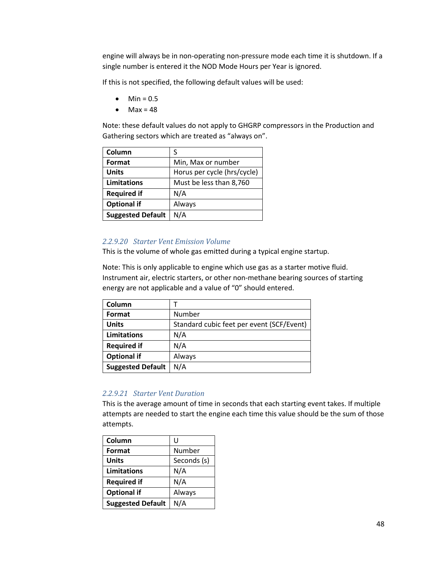engine will always be in non-operating non-pressure mode each time it is shutdown. If a single number is entered it the NOD Mode Hours per Year is ignored.

If this is not specified, the following default values will be used:

- $\bullet$  Min = 0.5
- $•$  Max = 48

Note: these default values do not apply to GHGRP compressors in the Production and Gathering sectors which are treated as "always on".

| Column                   | S                           |
|--------------------------|-----------------------------|
| Format                   | Min, Max or number          |
| <b>Units</b>             | Horus per cycle (hrs/cycle) |
| Limitations              | Must be less than 8,760     |
| <b>Required if</b>       | N/A                         |
| <b>Optional if</b>       | Always                      |
| <b>Suggested Default</b> | N/A                         |

#### *2.2.9.20 Starter Vent Emission Volume*

This is the volume of whole gas emitted during a typical engine startup.

Note: This is only applicable to engine which use gas as a starter motive fluid. Instrument air, electric starters, or other non-methane bearing sources of starting energy are not applicable and a value of "0" should entered.

| Column                   |                                           |
|--------------------------|-------------------------------------------|
| Format                   | Number                                    |
| <b>Units</b>             | Standard cubic feet per event (SCF/Event) |
| Limitations              | N/A                                       |
| <b>Required if</b>       | N/A                                       |
| <b>Optional if</b>       | Always                                    |
| <b>Suggested Default</b> | N/A                                       |

## *2.2.9.21 Starter Vent Duration*

This is the average amount of time in seconds that each starting event takes. If multiple attempts are needed to start the engine each time this value should be the sum of those attempts.

| Column                   | U           |
|--------------------------|-------------|
| Format                   | Number      |
| <b>Units</b>             | Seconds (s) |
| <b>Limitations</b>       | N/A         |
| <b>Required if</b>       | N/A         |
| <b>Optional if</b>       | Always      |
| <b>Suggested Default</b> | N/A         |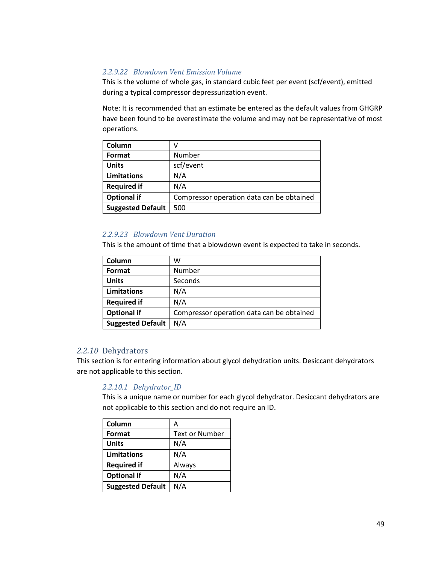## *2.2.9.22 Blowdown Vent Emission Volume*

This is the volume of whole gas, in standard cubic feet per event (scf/event), emitted during a typical compressor depressurization event.

Note: It is recommended that an estimate be entered as the default values from GHGRP have been found to be overestimate the volume and may not be representative of most operations.

| Column                   |                                           |
|--------------------------|-------------------------------------------|
| Format                   | Number                                    |
| <b>Units</b>             | scf/event                                 |
| Limitations              | N/A                                       |
| <b>Required if</b>       | N/A                                       |
| <b>Optional if</b>       | Compressor operation data can be obtained |
| <b>Suggested Default</b> | 500                                       |

## *2.2.9.23 Blowdown Vent Duration*

This is the amount of time that a blowdown event is expected to take in seconds.

| Column                   | w                                         |
|--------------------------|-------------------------------------------|
| Format                   | Number                                    |
| <b>Units</b>             | Seconds                                   |
| Limitations              | N/A                                       |
| <b>Required if</b>       | N/A                                       |
| <b>Optional if</b>       | Compressor operation data can be obtained |
| <b>Suggested Default</b> | N/A                                       |

## *2.2.10* Dehydrators

This section is for entering information about glycol dehydration units. Desiccant dehydrators are not applicable to this section.

## *2.2.10.1 Dehydrator\_ID*

This is a unique name or number for each glycol dehydrator. Desiccant dehydrators are not applicable to this section and do not require an ID.

| Column                   | Α                     |
|--------------------------|-----------------------|
| Format                   | <b>Text or Number</b> |
| <b>Units</b>             | N/A                   |
| Limitations              | N/A                   |
| <b>Required if</b>       | Always                |
| <b>Optional if</b>       | N/A                   |
| <b>Suggested Default</b> | N/A                   |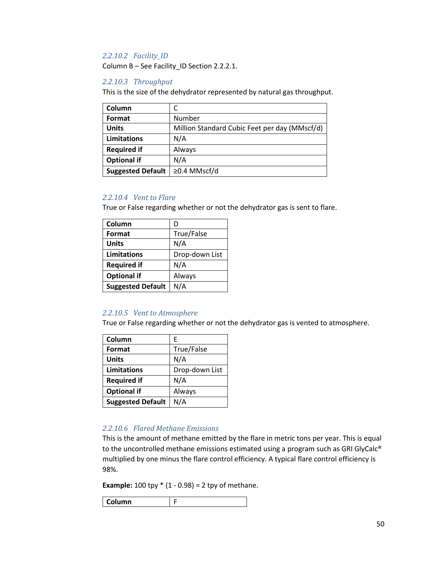## *2.2.10.2 Facility\_ID*

Column B – See Facility\_ID Section [2.2.2.1.](#page-8-0)

## *2.2.10.3 Throughput*

This is the size of the dehydrator represented by natural gas throughput.

| Column                   |                                               |
|--------------------------|-----------------------------------------------|
| Format                   | Number                                        |
| <b>Units</b>             | Million Standard Cubic Feet per day (MMscf/d) |
| Limitations              | N/A                                           |
| <b>Required if</b>       | Always                                        |
| <b>Optional if</b>       | N/A                                           |
| <b>Suggested Default</b> | ≥0.4 MMscf/d                                  |

#### *2.2.10.4 Vent to Flare*

True or False regarding whether or not the dehydrator gas is sent to flare.

| Column                   | D              |  |  |
|--------------------------|----------------|--|--|
| Format                   | True/False     |  |  |
| <b>Units</b>             | N/A            |  |  |
| Limitations              | Drop-down List |  |  |
| <b>Required if</b>       | N/A            |  |  |
| <b>Optional if</b>       | Always         |  |  |
| <b>Suggested Default</b> | N/A            |  |  |

## *2.2.10.5 Vent to Atmosphere*

True or False regarding whether or not the dehydrator gas is vented to atmosphere.

| Column                   | F              |
|--------------------------|----------------|
| Format                   | True/False     |
| <b>Units</b>             | N/A            |
| Limitations              | Drop-down List |
| <b>Required if</b>       | N/A            |
| <b>Optional if</b>       | Always         |
| <b>Suggested Default</b> | N/A            |

## *2.2.10.6 Flared Methane Emissions*

This is the amount of methane emitted by the flare in metric tons per year. This is equal to the uncontrolled methane emissions estimated using a program such as GRI GlyCalc® multiplied by one minus the flare control efficiency. A typical flare control efficiency is 98%.

**Example:**  $100$  tpy  $*(1 - 0.98) = 2$  tpy of methane.

| lumn<br>œ |
|-----------|
|-----------|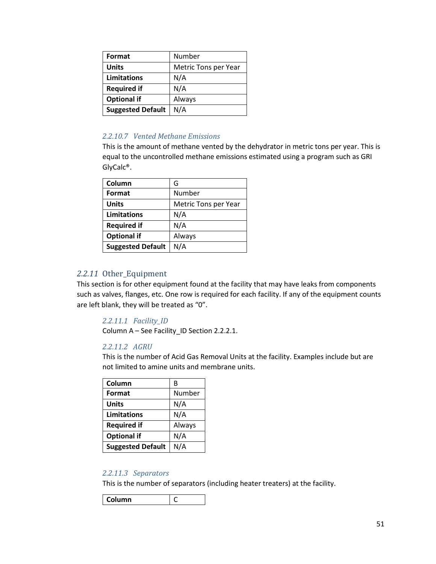| Format                   | Number               |  |
|--------------------------|----------------------|--|
| <b>Units</b>             | Metric Tons per Year |  |
| <b>Limitations</b>       | N/A                  |  |
| <b>Required if</b>       | N/A                  |  |
| <b>Optional if</b>       | Always               |  |
| <b>Suggested Default</b> | N/A                  |  |

## *2.2.10.7 Vented Methane Emissions*

This is the amount of methane vented by the dehydrator in metric tons per year. This is equal to the uncontrolled methane emissions estimated using a program such as GRI GlyCalc®.

| Column                   | G                    |  |
|--------------------------|----------------------|--|
| Format                   | Number               |  |
| <b>Units</b>             | Metric Tons per Year |  |
| Limitations              | N/A                  |  |
| <b>Required if</b>       | N/A                  |  |
| <b>Optional if</b>       | Always               |  |
| <b>Suggested Default</b> | N/A                  |  |

## *2.2.11* Other\_Equipment

This section is for other equipment found at the facility that may have leaks from components such as valves, flanges, etc. One row is required for each facility. If any of the equipment counts are left blank, they will be treated as "0".

*2.2.11.1 Facility\_ID* Column A – See Facility\_ID Sectio[n 2.2.2.1.](#page-8-0)

#### *2.2.11.2 AGRU*

This is the number of Acid Gas Removal Units at the facility. Examples include but are not limited to amine units and membrane units.

| Column                   | В      |  |
|--------------------------|--------|--|
| Format                   | Number |  |
| <b>Units</b>             | N/A    |  |
| Limitations              | N/A    |  |
| <b>Required if</b>       | Always |  |
| <b>Optional if</b>       | N/A    |  |
| <b>Suggested Default</b> | N/A    |  |

#### *2.2.11.3 Separators*

This is the number of separators (including heater treaters) at the facility.

**Column** C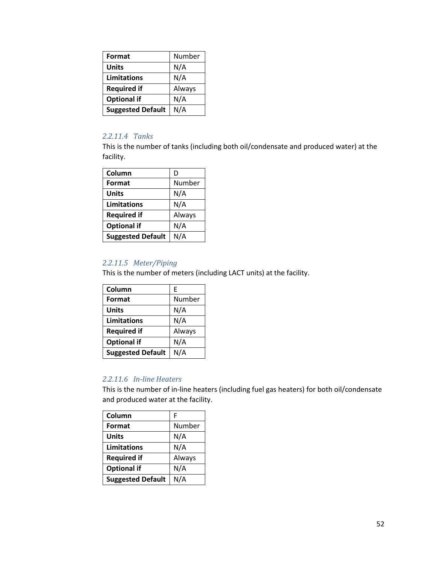| Format                   | Number |  |
|--------------------------|--------|--|
| <b>Units</b>             | N/A    |  |
| <b>Limitations</b>       | N/A    |  |
| <b>Required if</b>       | Always |  |
| <b>Optional if</b>       | N/A    |  |
| <b>Suggested Default</b> | N/A    |  |

## *2.2.11.4 Tanks*

This is the number of tanks (including both oil/condensate and produced water) at the facility.

| Column                   | D      |  |  |
|--------------------------|--------|--|--|
| Format                   | Number |  |  |
| <b>Units</b>             | N/A    |  |  |
| <b>Limitations</b>       | N/A    |  |  |
| <b>Required if</b>       | Always |  |  |
| <b>Optional if</b>       | N/A    |  |  |
| <b>Suggested Default</b> | N/A    |  |  |

## *2.2.11.5 Meter/Piping*

This is the number of meters (including LACT units) at the facility.

| Column                   | F      |  |
|--------------------------|--------|--|
| Format                   | Number |  |
| <b>Units</b>             | N/A    |  |
| <b>Limitations</b>       | N/A    |  |
| <b>Required if</b>       | Always |  |
| <b>Optional if</b>       | N/A    |  |
| <b>Suggested Default</b> | N/A    |  |

## *2.2.11.6 In-line Heaters*

This is the number of in-line heaters (including fuel gas heaters) for both oil/condensate and produced water at the facility.

| Column                   | F      |
|--------------------------|--------|
| Format                   | Number |
| <b>Units</b>             | N/A    |
| <b>Limitations</b>       | N/A    |
| <b>Required if</b>       | Always |
| <b>Optional if</b>       | N/A    |
| <b>Suggested Default</b> | N/A    |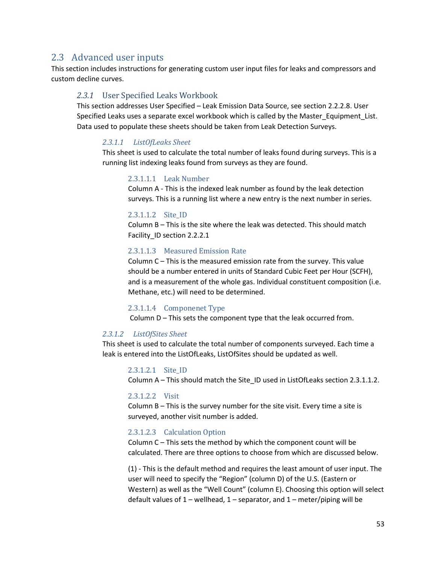## 2.3 Advanced user inputs

This section includes instructions for generating custom user input files for leaks and compressors and custom decline curves.

## *2.3.1* User Specified Leaks Workbook

This section addresses User Specified – Leak Emission Data Source, see section [2.2.2.8.](#page-11-0) User Specified Leaks uses a separate excel workbook which is called by the Master\_Equipment\_List. Data used to populate these sheets should be taken from Leak Detection Surveys.

#### *2.3.1.1 ListOfLeaks Sheet*

This sheet is used to calculate the total number of leaks found during surveys. This is a running list indexing leaks found from surveys as they are found.

#### 2.3.1.1.1 Leak Number

Column A - This is the indexed leak number as found by the leak detection surveys. This is a running list where a new entry is the next number in series.

#### <span id="page-52-0"></span>2.3.1.1.2 Site\_ID

Column B – This is the site where the leak was detected. This should match Facility\_ID section [2.2.2.1](#page-8-0)

#### 2.3.1.1.3 Measured Emission Rate

Column C – This is the measured emission rate from the survey. This value should be a number entered in units of Standard Cubic Feet per Hour (SCFH), and is a measurement of the whole gas. Individual constituent composition (i.e. Methane, etc.) will need to be determined.

#### 2.3.1.1.4 Componenet Type

Column D – This sets the component type that the leak occurred from.

#### *2.3.1.2 ListOfSites Sheet*

This sheet is used to calculate the total number of components surveyed. Each time a leak is entered into the ListOfLeaks, ListOfSites should be updated as well.

#### 2.3.1.2.1 Site\_ID

Column A – This should match the Site ID used in ListOfLeaks section [2.3.1.1.2.](#page-52-0)

#### 2.3.1.2.2 Visit

Column B – This is the survey number for the site visit. Every time a site is surveyed, another visit number is added.

#### 2.3.1.2.3 Calculation Option

Column C – This sets the method by which the component count will be calculated. There are three options to choose from which are discussed below.

(1) - This is the default method and requires the least amount of user input. The user will need to specify the "Region" (column D) of the U.S. (Eastern or Western) as well as the "Well Count" (column E). Choosing this option will select default values of  $1$  – wellhead,  $1$  – separator, and  $1$  – meter/piping will be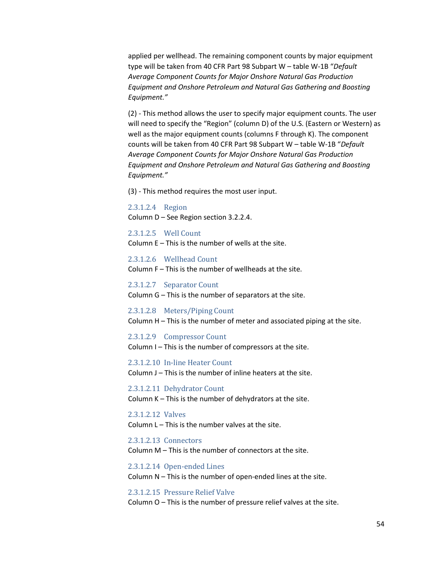applied per wellhead. The remaining component counts by major equipment type will be taken from 40 CFR Part 98 Subpart W – table W-1B "*Default Average Component Counts for Major Onshore Natural Gas Production Equipment and Onshore Petroleum and Natural Gas Gathering and Boosting Equipment."*

(2) - This method allows the user to specify major equipment counts. The user will need to specify the "Region" (column D) of the U.S. (Eastern or Western) as well as the major equipment counts (columns F through K). The component counts will be taken from 40 CFR Part 98 Subpart W – table W-1B "*Default Average Component Counts for Major Onshore Natural Gas Production Equipment and Onshore Petroleum and Natural Gas Gathering and Boosting Equipment."*

(3) - This method requires the most user input.

#### 2.3.1.2.4 Region

Column D – See Region section 3.2.2.4.

2.3.1.2.5 Well Count Column E – This is the number of wells at the site.

2.3.1.2.6 Wellhead Count Column F – This is the number of wellheads at the site.

2.3.1.2.7 Separator Count Column G – This is the number of separators at the site.

2.3.1.2.8 Meters/Piping Count Column H – This is the number of meter and associated piping at the site.

2.3.1.2.9 Compressor Count Column I – This is the number of compressors at the site.

2.3.1.2.10 In-line Heater Count Column J – This is the number of inline heaters at the site.

2.3.1.2.11 Dehydrator Count Column K – This is the number of dehydrators at the site.

2.3.1.2.12 Valves Column L – This is the number valves at the site.

2.3.1.2.13 Connectors

Column M – This is the number of connectors at the site.

2.3.1.2.14 Open-ended Lines Column N – This is the number of open-ended lines at the site.

2.3.1.2.15 Pressure Relief Valve Column O – This is the number of pressure relief valves at the site.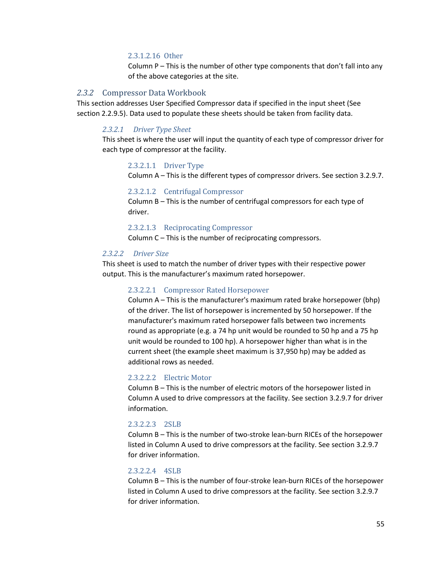#### 2.3.1.2.16 Other

Column P – This is the number of other type components that don't fall into any of the above categories at the site.

#### *2.3.2* Compressor Data Workbook

This section addresses User Specified Compressor data if specified in the input sheet (See section [2.2.9.5\)](#page-41-0). Data used to populate these sheets should be taken from facility data.

#### *2.3.2.1 Driver Type Sheet*

This sheet is where the user will input the quantity of each type of compressor driver for each type of compressor at the facility.

#### 2.3.2.1.1 Driver Type

Column A – This is the different types of compressor drivers. See section 3.2.9.7.

#### 2.3.2.1.2 Centrifugal Compressor

Column B – This is the number of centrifugal compressors for each type of driver.

2.3.2.1.3 Reciprocating Compressor

Column C – This is the number of reciprocating compressors.

#### *2.3.2.2 Driver Size*

This sheet is used to match the number of driver types with their respective power output. This is the manufacturer's maximum rated horsepower.

#### 2.3.2.2.1 Compressor Rated Horsepower

Column A – This is the manufacturer's maximum rated brake horsepower (bhp) of the driver. The list of horsepower is incremented by 50 horsepower. If the manufacturer's maximum rated horsepower falls between two increments round as appropriate (e.g. a 74 hp unit would be rounded to 50 hp and a 75 hp unit would be rounded to 100 hp). A horsepower higher than what is in the current sheet (the example sheet maximum is 37,950 hp) may be added as additional rows as needed.

#### 2.3.2.2.2 Electric Motor

Column B – This is the number of electric motors of the horsepower listed in Column A used to drive compressors at the facility. See section 3.2.9.7 for driver information.

#### 2.3.2.2.3 2SLB

Column B – This is the number of two-stroke lean-burn RICEs of the horsepower listed in Column A used to drive compressors at the facility. See section 3.2.9.7 for driver information.

#### 2.3.2.2.4 4SLB

Column B – This is the number of four-stroke lean-burn RICEs of the horsepower listed in Column A used to drive compressors at the facility. See section 3.2.9.7 for driver information.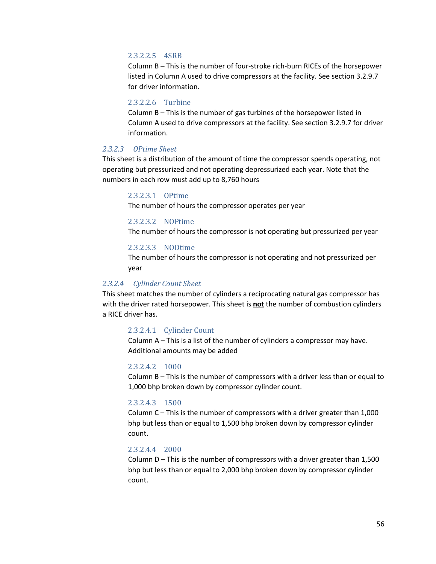#### 2.3.2.2.5 4SRB

Column B – This is the number of four-stroke rich-burn RICEs of the horsepower listed in Column A used to drive compressors at the facility. See section 3.2.9.7 for driver information.

## 2.3.2.2.6 Turbine

Column B – This is the number of gas turbines of the horsepower listed in Column A used to drive compressors at the facility. See section 3.2.9.7 for driver information.

#### *2.3.2.3 OPtime Sheet*

This sheet is a distribution of the amount of time the compressor spends operating, not operating but pressurized and not operating depressurized each year. Note that the numbers in each row must add up to 8,760 hours

## 2.3.2.3.1 OPtime

The number of hours the compressor operates per year

#### 2.3.2.3.2 NOPtime

The number of hours the compressor is not operating but pressurized per year

#### 2.3.2.3.3 NODtime

The number of hours the compressor is not operating and not pressurized per year

#### *2.3.2.4 Cylinder Count Sheet*

This sheet matches the number of cylinders a reciprocating natural gas compressor has with the driver rated horsepower. This sheet is **not** the number of combustion cylinders a RICE driver has.

#### 2.3.2.4.1 Cylinder Count

Column A – This is a list of the number of cylinders a compressor may have. Additional amounts may be added

#### 2.3.2.4.2 1000

Column B – This is the number of compressors with a driver less than or equal to 1,000 bhp broken down by compressor cylinder count.

#### 2.3.2.4.3 1500

Column C – This is the number of compressors with a driver greater than 1,000 bhp but less than or equal to 1,500 bhp broken down by compressor cylinder count.

#### 2.3.2.4.4 2000

Column D – This is the number of compressors with a driver greater than 1,500 bhp but less than or equal to 2,000 bhp broken down by compressor cylinder count.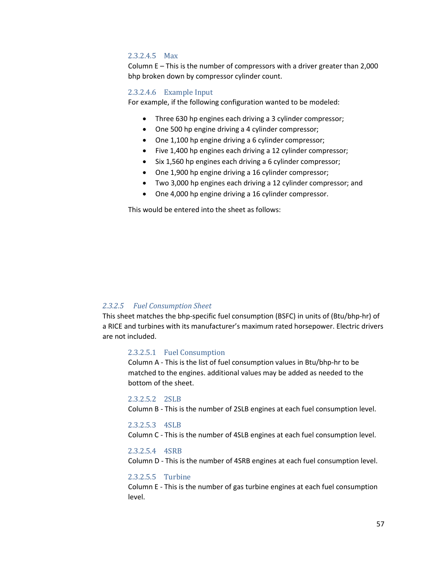#### 2.3.2.4.5 Max

Column E – This is the number of compressors with a driver greater than 2,000 bhp broken down by compressor cylinder count.

#### 2.3.2.4.6 Example Input

For example, if the following configuration wanted to be modeled:

- Three 630 hp engines each driving a 3 cylinder compressor;
- One 500 hp engine driving a 4 cylinder compressor;
- One 1,100 hp engine driving a 6 cylinder compressor;
- Five 1,400 hp engines each driving a 12 cylinder compressor;
- Six 1,560 hp engines each driving a 6 cylinder compressor;
- One 1,900 hp engine driving a 16 cylinder compressor;
- Two 3,000 hp engines each driving a 12 cylinder compressor; and
- One 4,000 hp engine driving a 16 cylinder compressor.

This would be entered into the sheet as follows:

#### *2.3.2.5 Fuel Consumption Sheet*

This sheet matches the bhp-specific fuel consumption (BSFC) in units of (Btu/bhp-hr) of a RICE and turbines with its manufacturer's maximum rated horsepower. Electric drivers are not included.

#### 2.3.2.5.1 Fuel Consumption

Column A - This is the list of fuel consumption values in Btu/bhp-hr to be matched to the engines. additional values may be added as needed to the bottom of the sheet.

#### 2.3.2.5.2 2SLB

Column B - This is the number of 2SLB engines at each fuel consumption level.

#### 2.3.2.5.3 4SLB

Column C - This is the number of 4SLB engines at each fuel consumption level.

#### 2.3.2.5.4 4SRB

Column D - This is the number of 4SRB engines at each fuel consumption level.

#### 2.3.2.5.5 Turbine

Column E - This is the number of gas turbine engines at each fuel consumption level.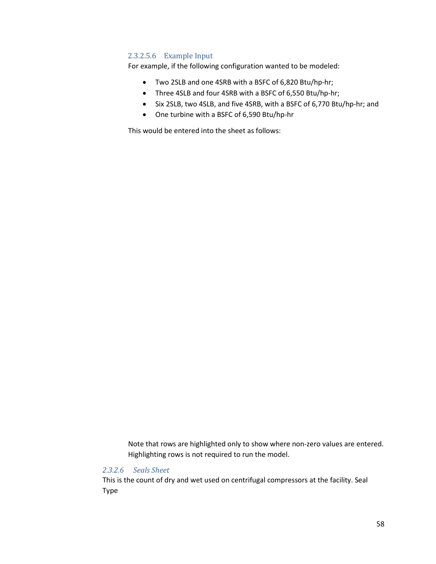## 2.3.2.5.6 Example Input

For example, if the following configuration wanted to be modeled:

- Two 2SLB and one 4SRB with a BSFC of 6,820 Btu/hp-hr;
- Three 4SLB and four 4SRB with a BSFC of 6,550 Btu/hp-hr;
- Six 2SLB, two 4SLB, and five 4SRB, with a BSFC of 6,770 Btu/hp-hr; and
- One turbine with a BSFC of 6,590 Btu/hp-hr

This would be entered into the sheet as follows:

Note that rows are highlighted only to show where non-zero values are entered. Highlighting rows is not required to run the model.

## *2.3.2.6 Seals Sheet*

This is the count of dry and wet used on centrifugal compressors at the facility. Seal Type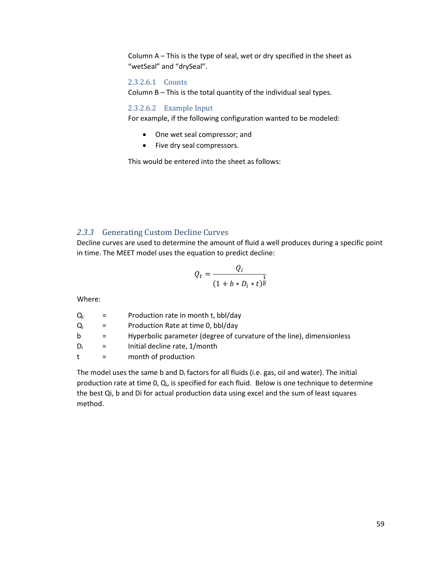Column A – This is the type of seal, wet or dry specified in the sheet as "wetSeal" and "drySeal".

## 2.3.2.6.1 Counts

Column B – This is the total quantity of the individual seal types.

#### 2.3.2.6.2 Example Input

For example, if the following configuration wanted to be modeled:

- One wet seal compressor; and
- Five dry seal compressors.

This would be entered into the sheet as follows:

## *2.3.3* Generating Custom Decline Curves

Decline curves are used to determine the amount of fluid a well produces during a specific point in time. The MEET model uses the equation to predict decline:

$$
Q_t = \frac{Q_i}{(1 + b * D_i * t)^{\frac{1}{b}}}
$$

Where:

| $Q_t$        | $=$      | Production rate in month t, bbl/day                                   |
|--------------|----------|-----------------------------------------------------------------------|
| Qi           | $=$      | Production Rate at time 0, bbl/day                                    |
| b            | $=$      | Hyperbolic parameter (degree of curvature of the line), dimensionless |
| Di           | $=$      | Initial decline rate, 1/month                                         |
| $^{\dagger}$ | $\equiv$ | month of production                                                   |
|              |          |                                                                       |

The model uses the same b and  $D_i$  factors for all fluids (i.e. gas, oil and water). The initial production rate at time 0, Q<sub>i</sub>, is specified for each fluid. Below is one technique to determine the best Qi, b and Di for actual production data using excel and the sum of least squares method.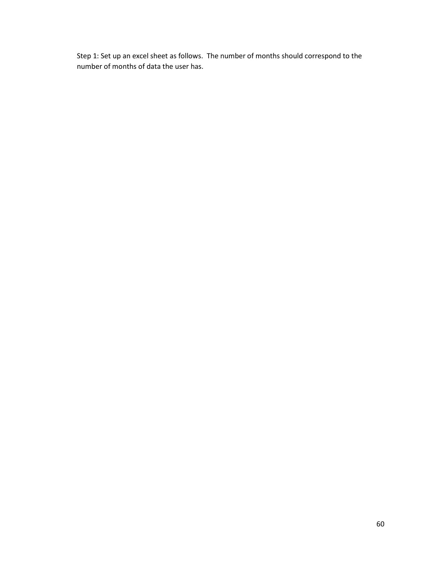Step 1: Set up an excel sheet as follows. The number of months should correspond to the number of months of data the user has.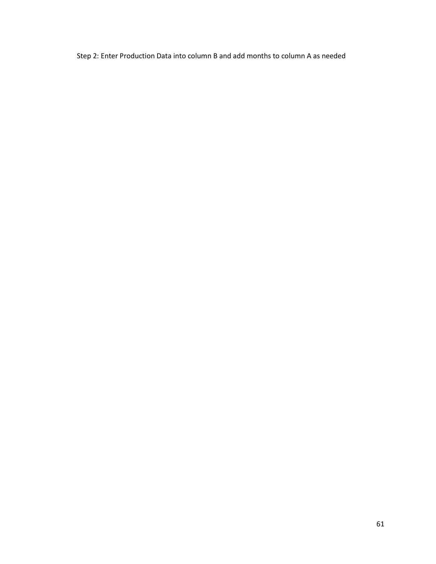Step 2: Enter Production Data into column B and add months to column A as needed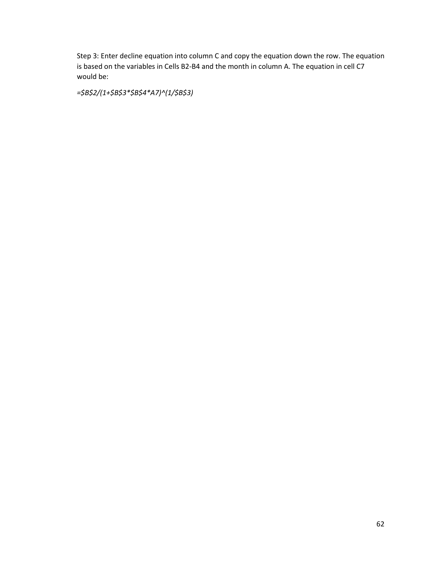Step 3: Enter decline equation into column C and copy the equation down the row. The equation is based on the variables in Cells B2-B4 and the month in column A. The equation in cell C7 would be:

*=\$B\$2/(1+\$B\$3\*\$B\$4\*A7)^(1/\$B\$3)*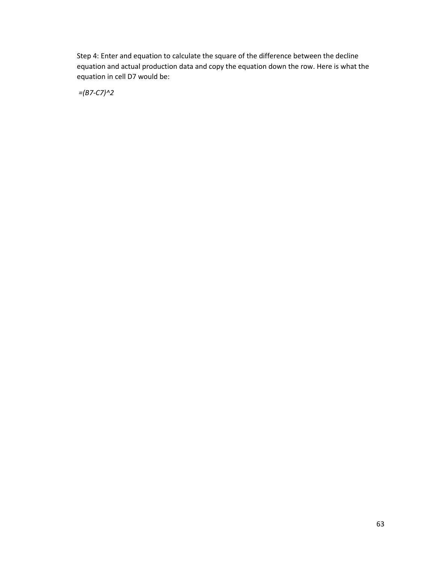Step 4: Enter and equation to calculate the square of the difference between the decline equation and actual production data and copy the equation down the row. Here is what the equation in cell D7 would be:

*=(B7-C7)^2*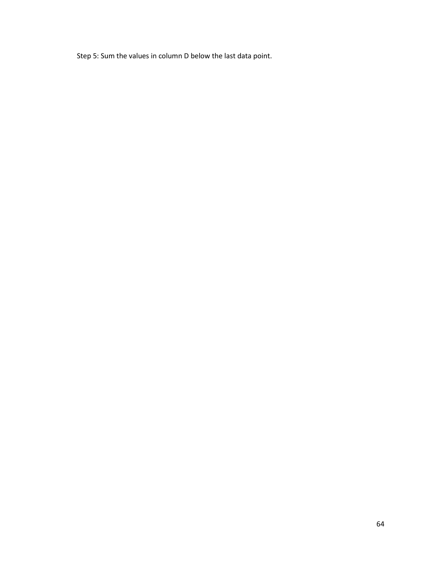Step 5: Sum the values in column D below the last data point.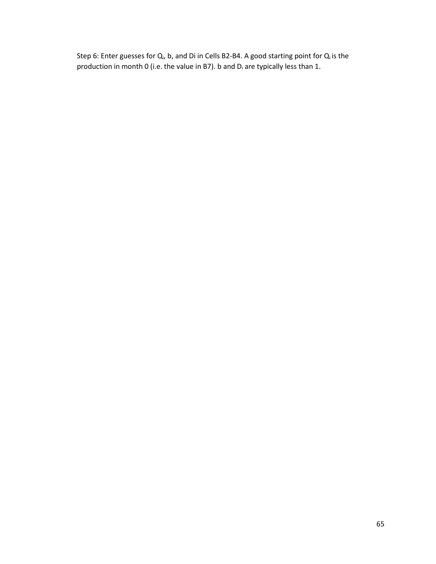Step 6: Enter guesses for Q<sub>i</sub>, b, and Di in Cells B2-B4. A good starting point for Q<sub>i</sub> is the production in month 0 (i.e. the value in B7). b and  $D_i$  are typically less than 1.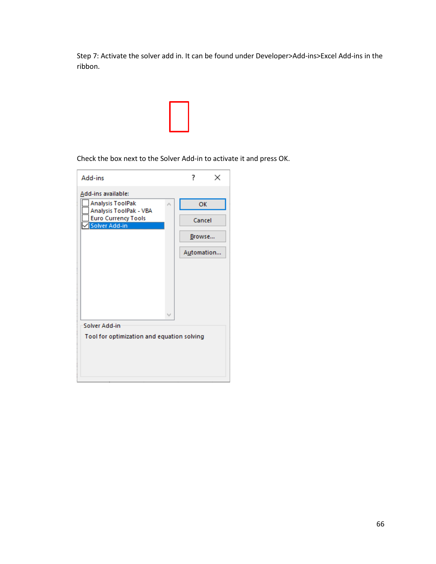Step 7: Activate the solver add in. It can be found under Developer>Add-ins>Excel Add-ins in the ribbon.



Check the box next to the Solver Add-in to activate it and press OK.

| Add-ins                                           |   | 7          | × |  |
|---------------------------------------------------|---|------------|---|--|
| Add-ins available:                                |   |            |   |  |
| <b>Analysis ToolPak</b><br>Analysis ToolPak - VBA |   | <b>OK</b>  |   |  |
| <b>Euro Currency Tools</b><br>Solver Add-in       |   | Cancel     |   |  |
|                                                   |   | Browse     |   |  |
|                                                   |   | Automation |   |  |
|                                                   |   |            |   |  |
|                                                   |   |            |   |  |
|                                                   |   |            |   |  |
|                                                   | v |            |   |  |
| Solver Add-in                                     |   |            |   |  |
| Tool for optimization and equation solving        |   |            |   |  |
|                                                   |   |            |   |  |
|                                                   |   |            |   |  |
|                                                   |   |            |   |  |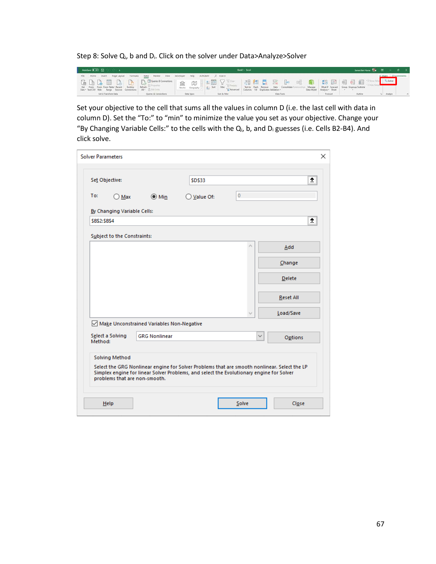Step 8: Solve Q<sub>i</sub>, b and D<sub>i</sub>. Click on the solver under Data>Analyze>Solver

| AutoSave (0 O9) [C]                                                                                           | Book? - Excel                                                                                                                                                                                                                                                                                                                                          | James Van Home (20 20 - 0 X                                                                    |
|---------------------------------------------------------------------------------------------------------------|--------------------------------------------------------------------------------------------------------------------------------------------------------------------------------------------------------------------------------------------------------------------------------------------------------------------------------------------------------|------------------------------------------------------------------------------------------------|
| File Home insert Page-Layout Formulas Data Review View Developer Help ACROBAT O Search                        |                                                                                                                                                                                                                                                                                                                                                        | Share Comments                                                                                 |
| Get From From From Table/ Recent - Existing<br>Refresh<br>Data - Text/CSV Web Range Sources Connections All - | GBBBBCBBCBCommiscommuni me mor public version of the more defensive more more more public defensive public de la particular de la particular de la particular de la particular de la particular de la particular de la particu<br>Stocks Geography v F1 Sort Filter<br>Text to Flesh Remove Data Consolidate<br>Columns Fill Duplicates Validation . / | $2, 5$ olver<br>Manage. What-if Forecast Group Ungroup Subtotal<br>Data Model Analysis . Sheet |
| Get & Transform Data<br>Cueries & Connections                                                                 | Sort & Fitter<br>Data Types<br><b>Data Tools</b>                                                                                                                                                                                                                                                                                                       | Analyze<br>Forecast<br>Outline                                                                 |

Set your objective to the cell that sums all the values in column D (i.e. the last cell with data in column D). Set the "To:" to "min" to minimize the value you set as your objective. Change your "By Changing Variable Cells:" to the cells with the  $Q_i$ , b, and  $D_i$  guesses (i.e. Cells B2-B4). And click solve.

| <b>Solver Parameters</b>      |                                           |                                                                                                                                                                                          |                | ×                |
|-------------------------------|-------------------------------------------|------------------------------------------------------------------------------------------------------------------------------------------------------------------------------------------|----------------|------------------|
| Set Objective:                |                                           | <b>SD\$33</b>                                                                                                                                                                            |                | 杢                |
| To:<br>$\bigcirc$ Max         | $\odot$ Min                               | ◯ Value Of:                                                                                                                                                                              | $\overline{0}$ |                  |
| By Changing Variable Cells:   |                                           |                                                                                                                                                                                          |                |                  |
| <b>SBS2:SBS4</b>              |                                           |                                                                                                                                                                                          |                | Ť.               |
| Subject to the Constraints:   |                                           |                                                                                                                                                                                          |                |                  |
|                               |                                           |                                                                                                                                                                                          |                | Add              |
|                               |                                           |                                                                                                                                                                                          |                | Change           |
|                               |                                           |                                                                                                                                                                                          |                | <b>Delete</b>    |
|                               |                                           |                                                                                                                                                                                          |                | <b>Reset All</b> |
|                               |                                           |                                                                                                                                                                                          |                | Load/Save        |
|                               | Make Unconstrained Variables Non-Negative |                                                                                                                                                                                          |                |                  |
| Select a Solving<br>Method:   | <b>GRG Nonlinear</b>                      |                                                                                                                                                                                          | $\checkmark$   | Options          |
| <b>Solving Method</b>         |                                           | Select the GRG Nonlinear engine for Solver Problems that are smooth nonlinear. Select the LP<br>Simplex engine for linear Solver Problems, and select the Evolutionary engine for Solver |                |                  |
| problems that are non-smooth. |                                           |                                                                                                                                                                                          |                |                  |
| Help                          |                                           |                                                                                                                                                                                          | Solve          | Close            |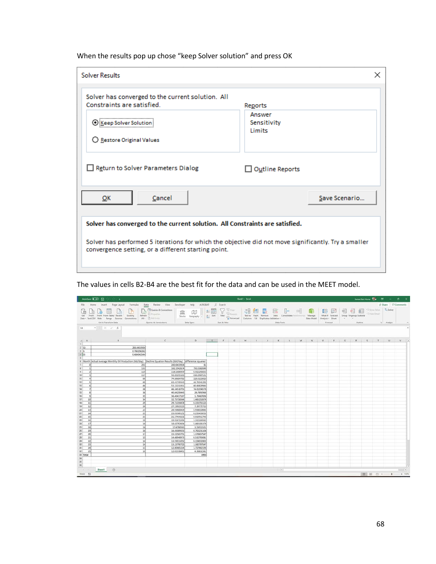When the results pop up chose "keep Solver solution" and press OK

| <b>Solver Results</b>                                                                                                                                      |                                            | ×             |  |  |  |
|------------------------------------------------------------------------------------------------------------------------------------------------------------|--------------------------------------------|---------------|--|--|--|
| Solver has converged to the current solution. All<br>Constraints are satisfied.<br>0<br>Keep Solver Sol<br>○ Restore Original Values                       | Reports<br>Answer<br>Sensitivity<br>Limits |               |  |  |  |
| Return to Solver Parameters Dialog                                                                                                                         | $\Box$ Outline Reports                     |               |  |  |  |
| Cancel<br>OK                                                                                                                                               |                                            | Save Scenario |  |  |  |
| Solver has converged to the current solution. All Constraints are satisfied.                                                                               |                                            |               |  |  |  |
| Solver has performed 5 iterations for which the objective did not move significantly. Try a smaller<br>convergence setting, or a different starting point. |                                            |               |  |  |  |

 $\rho$  - Searc Help  $\begin{tabular}{|c|c|c|} \hline \quad \quad & \quad \quad & \quad \quad & \quad \quad \\ \hline \quad \quad & \quad \quad & \quad \quad & \quad \quad \\ \hline \quad \quad & \quad \quad & \quad \quad & \quad \quad \\ \hline \quad \quad & \quad \quad & \quad \quad & \quad \quad \\ \hline \quad \quad & \quad \quad & \quad \quad & \quad \quad \\ \hline \quad \quad & \quad \quad & \quad \quad & \quad \quad \\ \hline \quad \quad & \quad \quad & \quad \quad & \quad \quad \\ \hline \quad \quad & \quad \quad & \quad \quad & \quad \quad \\ \hline \quad \quad & \quad \quad & \quad \quad & \quad \quad$ 2. Solver 唱 Data Types Get & Transform Data Sart & Fite Data Tools Fores Queries & 64  $\boldsymbol{f}_t$ j  $\begin{array}{c|c}\n1 \\
2 & 0 \\
3 & 5 \\
4 & 0\n\end{array}$ 243.0433934<br>0.780298262<br>0.484042544 ٦ 6 Mont erence squared 793.03820<br>0.9222458<br>630.69871<br>219.61109<br>46.793412 22 23 24 25 26 27 28 29 30  $\begin{array}{r} 1.727462196 \\ 4.36831561 \\ \textbf{1953} \end{array}$  $\begin{array}{r} 32 \ \hline 33 \ \hline \text{Total} \\ 34 \\ 35 \\ 36 \\ \hline \end{array}$  $\begin{tabular}{|c|c|c|} \hline \textbf{Sheet1} & $\circledcirc$ \\\hline \end{tabular}$  $\vert \cdot \vert$ ä 图 0 0 -

The values in cells B2-B4 are the best fit for the data and can be used in the MEET model.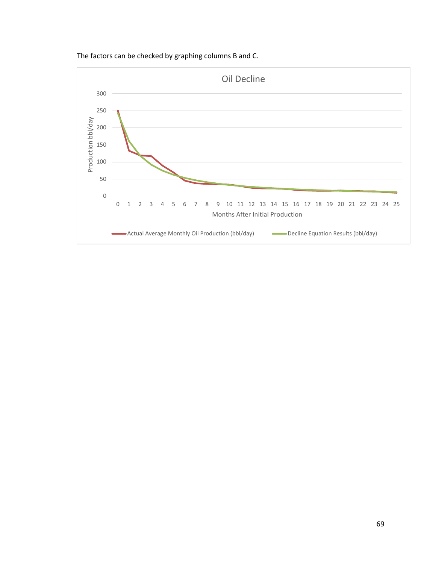

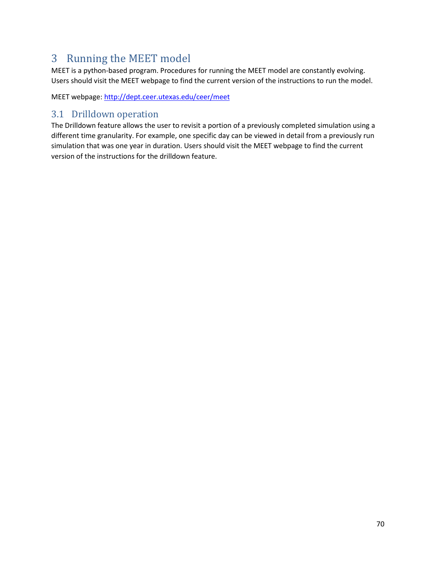# 3 Running the MEET model

MEET is a python-based program. Procedures for running the MEET model are constantly evolving. Users should visit the MEET webpage to find the current version of the instructions to run the model.

MEET webpage:<http://dept.ceer.utexas.edu/ceer/meet>

## 3.1 Drilldown operation

The Drilldown feature allows the user to revisit a portion of a previously completed simulation using a different time granularity. For example, one specific day can be viewed in detail from a previously run simulation that was one year in duration. Users should visit the MEET webpage to find the current version of the instructions for the drilldown feature.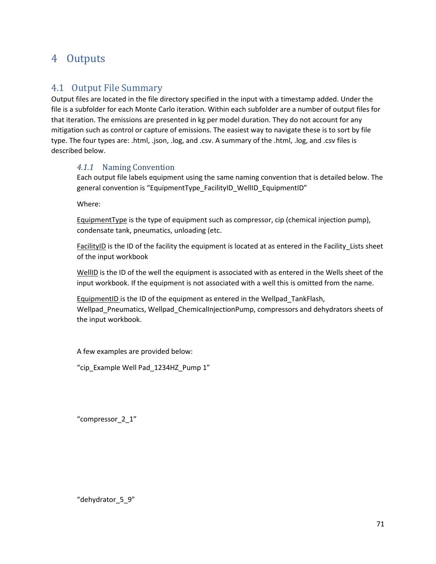# 4 Outputs

## 4.1 Output File Summary

Output files are located in the file directory specified in the input with a timestamp added. Under the file is a subfolder for each Monte Carlo iteration. Within each subfolder are a number of output files for that iteration. The emissions are presented in kg per model duration. They do not account for any mitigation such as control or capture of emissions. The easiest way to navigate these is to sort by file type. The four types are: .html, .json, .log, and .csv. A summary of the .html, .log, and .csv files is described below.

## *4.1.1* Naming Convention

Each output file labels equipment using the same naming convention that is detailed below. The general convention is "EquipmentType\_FacilityID\_WellID\_EquipmentID"

Where:

EquipmentType is the type of equipment such as compressor, cip (chemical injection pump), condensate tank, pneumatics, unloading (etc.

FacilityID is the ID of the facility the equipment is located at as entered in the Facility\_Lists sheet of the input workbook

WellID is the ID of the well the equipment is associated with as entered in the Wells sheet of the input workbook. If the equipment is not associated with a well this is omitted from the name.

EquipmentID is the ID of the equipment as entered in the Wellpad\_TankFlash, Wellpad\_Pneumatics, Wellpad\_ChemicalInjectionPump, compressors and dehydrators sheets of the input workbook.

A few examples are provided below:

"cip\_Example Well Pad\_1234HZ\_Pump 1"

"compressor\_2\_1"

"dehydrator\_5\_9"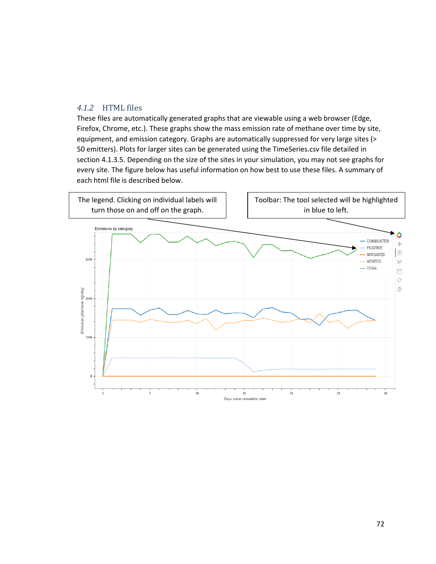## *4.1.2* HTML files

These files are automatically generated graphs that are viewable using a web browser (Edge, Firefox, Chrome, etc.). These graphs show the mass emission rate of methane over time by site, equipment, and emission category. Graphs are automatically suppressed for very large sites (> 50 emitters). Plots for larger sites can be generated using the TimeSeries.csv file detailed in sectio[n 4.1.3.5.](#page-74-0) Depending on the size of the sites in your simulation, you may not see graphs for every site. The figure below has useful information on how best to use these files. A summary of each html file is described below.

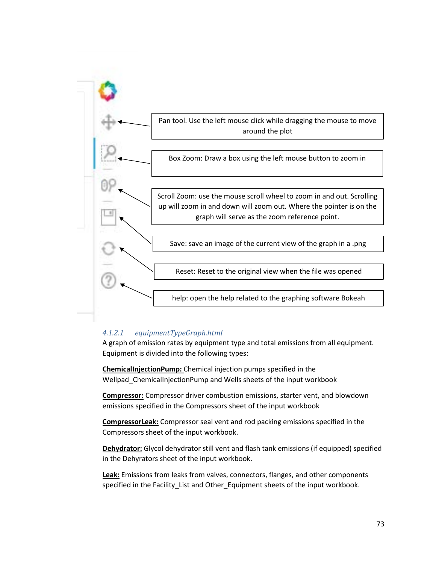

#### *4.1.2.1 equipmentTypeGraph.html*

A graph of emission rates by equipment type and total emissions from all equipment. Equipment is divided into the following types:

**ChemicalInjectionPump:** Chemical injection pumps specified in the Wellpad\_ChemicalInjectionPump and Wells sheets of the input workbook

**Compressor:** Compressor driver combustion emissions, starter vent, and blowdown emissions specified in the Compressors sheet of the input workbook

**CompressorLeak:** Compressor seal vent and rod packing emissions specified in the Compressors sheet of the input workbook.

**Dehydrator:** Glycol dehydrator still vent and flash tank emissions (if equipped) specified in the Dehyrators sheet of the input workbook.

**Leak:** Emissions from leaks from valves, connectors, flanges, and other components specified in the Facility\_List and Other\_Equipment sheets of the input workbook.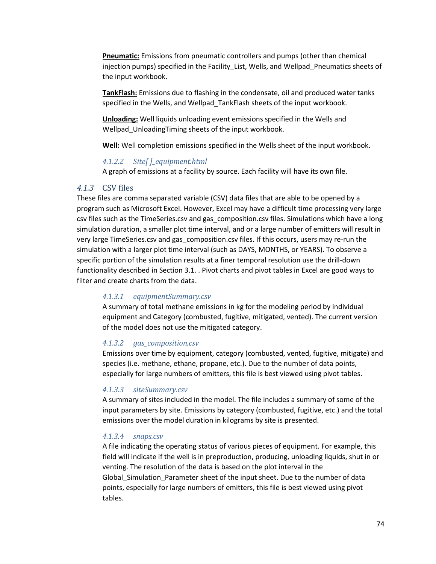**Pneumatic:** Emissions from pneumatic controllers and pumps (other than chemical injection pumps) specified in the Facility\_List, Wells, and Wellpad\_Pneumatics sheets of the input workbook.

**TankFlash:** Emissions due to flashing in the condensate, oil and produced water tanks specified in the Wells, and Wellpad\_TankFlash sheets of the input workbook.

**Unloading:** Well liquids unloading event emissions specified in the Wells and Wellpad\_UnloadingTiming sheets of the input workbook.

**Well:** Well completion emissions specified in the Wells sheet of the input workbook.

#### *4.1.2.2 Site[ ]\_equipment.html*

A graph of emissions at a facility by source. Each facility will have its own file.

#### *4.1.3* CSV files

These files are comma separated variable (CSV) data files that are able to be opened by a program such as Microsoft Excel. However, Excel may have a difficult time processing very large csv files such as the TimeSeries.csv and gas composition.csv files. Simulations which have a long simulation duration, a smaller plot time interval, and or a large number of emitters will result in very large TimeSeries.csv and gas\_composition.csv files. If this occurs, users may re-run the simulation with a larger plot time interval (such as DAYS, MONTHS, or YEARS). To observe a specific portion of the simulation results at a finer temporal resolution use the drill-down functionality described in Section [3.1.](#page-69-0) . Pivot charts and pivot tables in Excel are good ways to filter and create charts from the data.

#### *4.1.3.1 equipmentSummary.csv*

A summary of total methane emissions in kg for the modeling period by individual equipment and Category (combusted, fugitive, mitigated, vented). The current version of the model does not use the mitigated category.

#### *4.1.3.2 gas\_composition.csv*

Emissions over time by equipment, category (combusted, vented, fugitive, mitigate) and species (i.e. methane, ethane, propane, etc.). Due to the number of data points, especially for large numbers of emitters, this file is best viewed using pivot tables.

#### *4.1.3.3 siteSummary.csv*

A summary of sites included in the model. The file includes a summary of some of the input parameters by site. Emissions by category (combusted, fugitive, etc.) and the total emissions over the model duration in kilograms by site is presented.

#### *4.1.3.4 snaps.csv*

A file indicating the operating status of various pieces of equipment. For example, this field will indicate if the well is in preproduction, producing, unloading liquids, shut in or venting. The resolution of the data is based on the plot interval in the Global Simulation Parameter sheet of the input sheet. Due to the number of data points, especially for large numbers of emitters, this file is best viewed using pivot tables.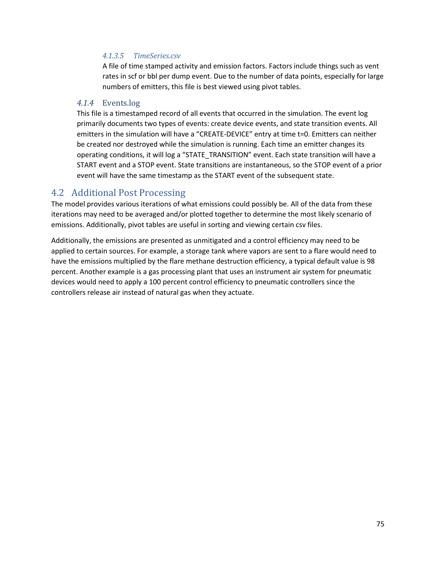#### *4.1.3.5 TimeSeries.csv*

A file of time stamped activity and emission factors. Factors include things such as vent rates in scf or bbl per dump event. Due to the number of data points, especially for large numbers of emitters, this file is best viewed using pivot tables.

#### *4.1.4* Events.log

This file is a timestamped record of all events that occurred in the simulation. The event log primarily documents two types of events: create device events, and state transition events. All emitters in the simulation will have a "CREATE-DEVICE" entry at time t=0. Emitters can neither be created nor destroyed while the simulation is running. Each time an emitter changes its operating conditions, it will log a "STATE\_TRANSITION" event. Each state transition will have a START event and a STOP event. State transitions are instantaneous, so the STOP event of a prior event will have the same timestamp as the START event of the subsequent state.

### 4.2 Additional Post Processing

The model provides various iterations of what emissions could possibly be. All of the data from these iterations may need to be averaged and/or plotted together to determine the most likely scenario of emissions. Additionally, pivot tables are useful in sorting and viewing certain csv files.

Additionally, the emissions are presented as unmitigated and a control efficiency may need to be applied to certain sources. For example, a storage tank where vapors are sent to a flare would need to have the emissions multiplied by the flare methane destruction efficiency, a typical default value is 98 percent. Another example is a gas processing plant that uses an instrument air system for pneumatic devices would need to apply a 100 percent control efficiency to pneumatic controllers since the controllers release air instead of natural gas when they actuate.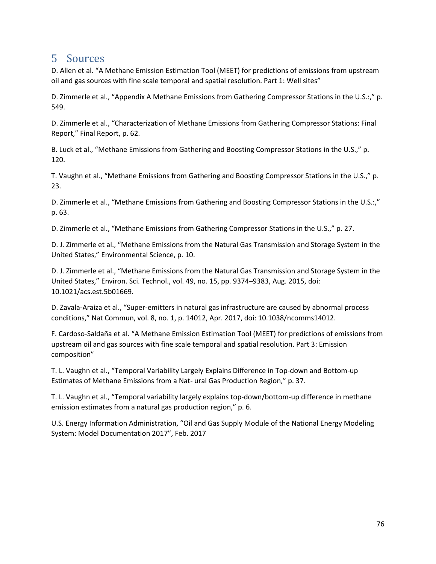## 5 Sources

D. Allen et al. "A Methane Emission Estimation Tool (MEET) for predictions of emissions from upstream oil and gas sources with fine scale temporal and spatial resolution. Part 1: Well sites"

D. Zimmerle et al., "Appendix A Methane Emissions from Gathering Compressor Stations in the U.S.:," p. 549.

D. Zimmerle et al., "Characterization of Methane Emissions from Gathering Compressor Stations: Final Report," Final Report, p. 62.

B. Luck et al., "Methane Emissions from Gathering and Boosting Compressor Stations in the U.S.," p. 120.

T. Vaughn et al., "Methane Emissions from Gathering and Boosting Compressor Stations in the U.S.," p. 23.

D. Zimmerle et al., "Methane Emissions from Gathering and Boosting Compressor Stations in the U.S.:," p. 63.

D. Zimmerle et al., "Methane Emissions from Gathering Compressor Stations in the U.S.," p. 27.

D. J. Zimmerle et al., "Methane Emissions from the Natural Gas Transmission and Storage System in the United States," Environmental Science, p. 10.

D. J. Zimmerle et al., "Methane Emissions from the Natural Gas Transmission and Storage System in the United States," Environ. Sci. Technol., vol. 49, no. 15, pp. 9374–9383, Aug. 2015, doi: 10.1021/acs.est.5b01669.

D. Zavala-Araiza et al., "Super-emitters in natural gas infrastructure are caused by abnormal process conditions," Nat Commun, vol. 8, no. 1, p. 14012, Apr. 2017, doi: 10.1038/ncomms14012.

F. Cardoso-Saldaña et al. "A Methane Emission Estimation Tool (MEET) for predictions of emissions from upstream oil and gas sources with fine scale temporal and spatial resolution. Part 3: Emission composition"

T. L. Vaughn et al., "Temporal Variability Largely Explains Difference in Top-down and Bottom-up Estimates of Methane Emissions from a Nat- ural Gas Production Region," p. 37.

T. L. Vaughn et al., "Temporal variability largely explains top-down/bottom-up difference in methane emission estimates from a natural gas production region," p. 6.

U.S. Energy Information Administration, "Oil and Gas Supply Module of the National Energy Modeling System: Model Documentation 2017", Feb. 2017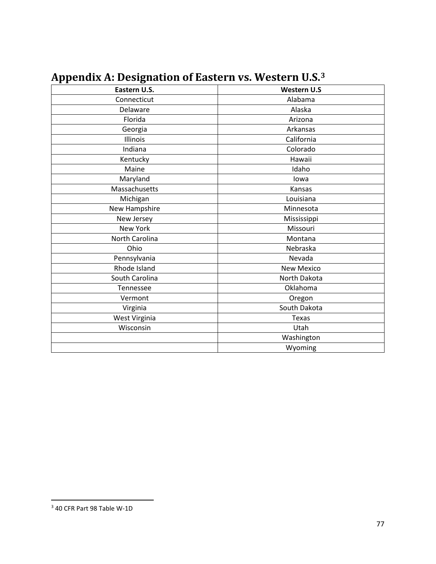<span id="page-76-0"></span>

| Eastern U.S.   | <b>Western U.S</b> |  |  |  |  |
|----------------|--------------------|--|--|--|--|
| Connecticut    | Alabama            |  |  |  |  |
| Delaware       | Alaska             |  |  |  |  |
| Florida        | Arizona            |  |  |  |  |
| Georgia        | Arkansas           |  |  |  |  |
| Illinois       | California         |  |  |  |  |
| Indiana        | Colorado           |  |  |  |  |
| Kentucky       | Hawaii             |  |  |  |  |
| Maine          | Idaho              |  |  |  |  |
| Maryland       | lowa               |  |  |  |  |
| Massachusetts  | Kansas             |  |  |  |  |
| Michigan       | Louisiana          |  |  |  |  |
| New Hampshire  | Minnesota          |  |  |  |  |
| New Jersey     | Mississippi        |  |  |  |  |
| New York       | Missouri           |  |  |  |  |
| North Carolina | Montana            |  |  |  |  |
| Ohio           | Nebraska           |  |  |  |  |
| Pennsylvania   | Nevada             |  |  |  |  |
| Rhode Island   | <b>New Mexico</b>  |  |  |  |  |
| South Carolina | North Dakota       |  |  |  |  |
| Tennessee      | Oklahoma           |  |  |  |  |
| Vermont        | Oregon             |  |  |  |  |
| Virginia       | South Dakota       |  |  |  |  |
| West Virginia  | Texas              |  |  |  |  |
| Wisconsin      | Utah               |  |  |  |  |
|                | Washington         |  |  |  |  |
|                | Wyoming            |  |  |  |  |

# **Appendix A: Designation of Eastern vs. Western U.S.[3](#page-76-0)**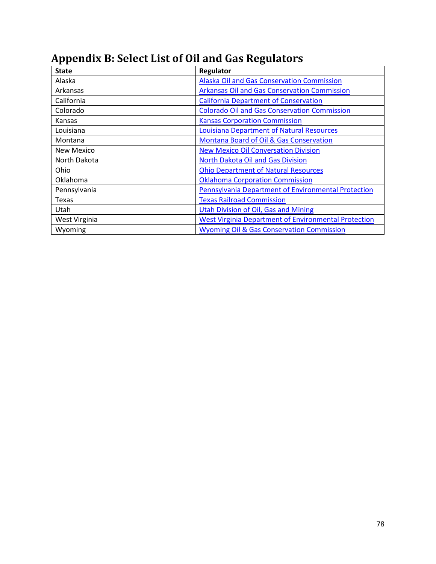| <b>State</b>  | Regulator                                                   |  |  |
|---------------|-------------------------------------------------------------|--|--|
| Alaska        | <b>Alaska Oil and Gas Conservation Commission</b>           |  |  |
| Arkansas      | <b>Arkansas Oil and Gas Conservation Commission</b>         |  |  |
| California    | <b>California Department of Conservation</b>                |  |  |
| Colorado      | <b>Colorado Oil and Gas Conservation Commission</b>         |  |  |
| Kansas        | <b>Kansas Corporation Commission</b>                        |  |  |
| Louisiana     | <b>Louisiana Department of Natural Resources</b>            |  |  |
| Montana       | Montana Board of Oil & Gas Conservation                     |  |  |
| New Mexico    | <b>New Mexico Oil Conversation Division</b>                 |  |  |
| North Dakota  | North Dakota Oil and Gas Division                           |  |  |
| Ohio          | <b>Ohio Department of Natural Resources</b>                 |  |  |
| Oklahoma      | <b>Oklahoma Corporation Commission</b>                      |  |  |
| Pennsylvania  | Pennsylvania Department of Environmental Protection         |  |  |
| Texas         | <b>Texas Railroad Commission</b>                            |  |  |
| Utah          | <b>Utah Division of Oil, Gas and Mining</b>                 |  |  |
| West Virginia | <b>West Virginia Department of Environmental Protection</b> |  |  |
| Wyoming       | <b>Wyoming Oil &amp; Gas Conservation Commission</b>        |  |  |

# **Appendix B: Select List of Oil and Gas Regulators**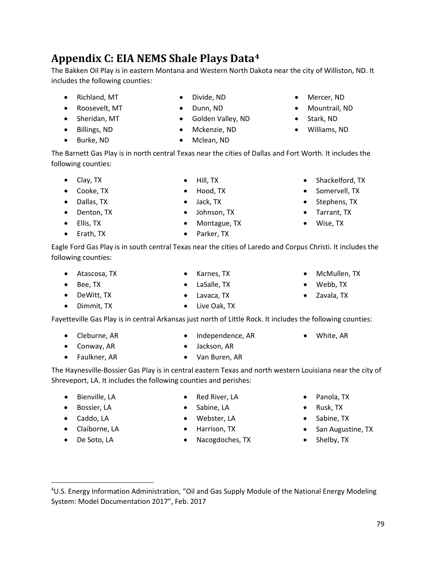# **Appendix C: EIA NEMS Shale Plays Data[4](#page-78-0)**

The Bakken Oil Play is in eastern Montana and Western North Dakota near the city of Williston, ND. It includes the following counties:

> • Divide, ND • Dunn, ND

- Richland, MT
- Roosevelt, MT
- Sheridan, MT
- Billings, ND
- Burke, ND

The Barnett Gas Play is in north central Texas near the cities of Dallas and Fort Worth. It includes the following counties:

> • Hill, TX • Hood, TX • Jack, TX

• Golden Valley, ND • Mckenzie, ND • Mclean, ND

- Clay, TX
- Cooke, TX
- Dallas, TX
- Denton, TX
- Ellis, TX
- Erath, TX
- 
- 

Eagle Ford Gas Play is in south central Texas near the cities of Laredo and Corpus Christi. It includes the following counties:

- Atascosa, TX
- Bee, TX
- DeWitt, TX
- Dimmit, TX

Fayetteville Gas Play is in central Arkansas just north of Little Rock. It includes the following counties:

- Cleburne, AR
- Conway, AR
- Faulkner, AR
- Jackson, AR
- Van Buren, AR

• Red River, LA • Sabine, LA • Webster, LA • Harrison, TX

The Haynesville-Bossier Gas Play is in central eastern Texas and north western Louisiana near the city of Shreveport, LA. It includes the following counties and perishes:

• Nacogdoches, TX

- Bienville, LA
- Bossier, LA
- Caddo, LA
- Claiborne, LA
- De Soto, LA
- <span id="page-78-0"></span> $\overline{a}$ <sup>4</sup>U.S. Energy Information Administration, "Oil and Gas Supply Module of the National Energy Modeling System: Model Documentation 2017", Feb. 2017
- 
- 
- 
- Live Oak, TX
- - Zavala, TX
	- White, AR
	- Panola, TX
	- Rusk, TX
	- Sabine, TX
	- San Augustine, TX
	- Shelby, TX
- 
- Parker, TX
	-

- McMullen, TX
	-
- - Webb, TX
	-
- Johnson, TX
- 
- 
- -
	-
- 
- 
- 
- 
- 
- 
- LaSalle, TX
	-
- Karnes, TX
- 
- 
- 

• Lavaca, TX

- 
- 
- 
- 
- 
- 
- 
- -
	-
	- Independence, AR
- 
- 
- -
- 
- Montague, TX
- Shackelford, TX
	- Somervell, TX
	- Stephens, TX
	- Tarrant, TX
	- Wise, TX

• Mercer, ND • Mountrail, ND • Stark, ND • Williams, ND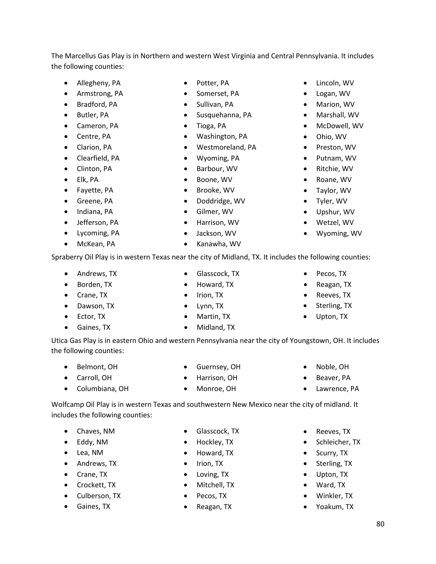The Marcellus Gas Play is in Northern and western West Virginia and Central Pennsylvania. It includes the following counties:

- Allegheny, PA
- Armstrong, PA
- Bradford, PA
- Butler, PA
- Cameron, PA
- Centre, PA
- Clarion, PA
- Clearfield, PA
- Clinton, PA
- Elk, PA
- Fayette, PA
- Greene, PA
- Indiana, PA
- Jefferson, PA
- Lycoming, PA
- McKean, PA
- Potter, PA
- Somerset, PA
- Sullivan, PA
- Susquehanna, PA
- Tioga, PA
- Washington, PA
- Westmoreland, PA
- Wyoming, PA
- Barbour, WV
- Boone, WV
- Brooke, WV
- Doddridge, WV
- Gilmer, WV
- Harrison, WV
- Jackson, WV
- Kanawha, WV

Spraberry Oil Play is in western Texas near the city of Midland, TX. It includes the following counties:

• Glasscock, TX • Howard, TX

- Andrews, TX
- Borden, TX
- Crane, TX
- Dawson, TX
- Ector, TX
- Gaines, TX

Utica Gas Play is in eastern Ohio and western Pennsylvania near the city of Youngstown, OH. It includes the following counties:

- Belmont, OH
- Carroll, OH
- Columbiana, OH
- Guernsey, OH
- Harrison, OH • Monroe, OH
- Wolfcamp Oil Play is in western Texas and southwestern New Mexico near the city of midland. It

includes the following counties:

- Chaves, NM
- Eddy, NM
- Lea, NM
- Andrews, TX
- Crane, TX
- Crockett, TX
- Culberson, TX
- Gaines, TX
- Glasscock, TX
- Hockley, TX
- Howard, TX
- Irion, TX
- Loving, TX
- Mitchell, TX
- Pecos, TX
- Reagan, TX
- Reeves, TX
- Schleicher, TX
- Scurry, TX
- Sterling, TX
- Upton, TX
- Ward, TX
- Winkler, TX
- Yoakum, TX
- Tyler, WV • Upshur, WV
- Wetzel, WV
- Wyoming, WV

• Lincoln, WV • Logan, WV • Marion, WV • Marshall, WV • McDowell, WV • Ohio, WV • Preston, WV • Putnam, WV • Ritchie, WV • Roane, WV • Taylor, WV

- 
- Reagan, TX
- Reeves, TX
- 
- Upton, TX
- Pecos, TX
- 
- Sterling, TX
- 

- 
- 
- - Noble, OH Beaver, PA
		- Lawrence, PA
- 
- 
- 
- Irion, TX • Lynn, TX
- 
- 
- Martin, TX
- - Midland, TX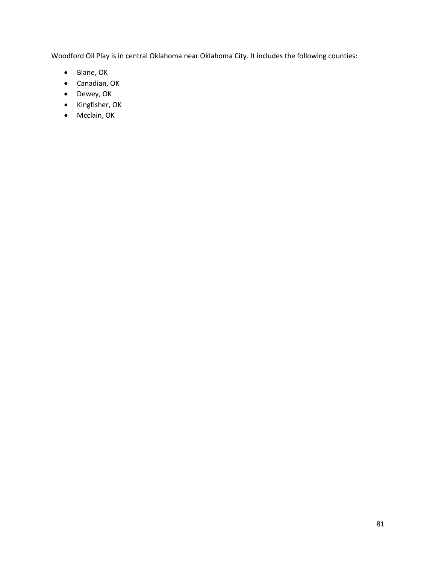Woodford Oil Play is in central Oklahoma near Oklahoma City. It includes the following counties:

- Blane, OK
- Canadian, OK
- Dewey, OK
- Kingfisher, OK
- Mcclain, OK